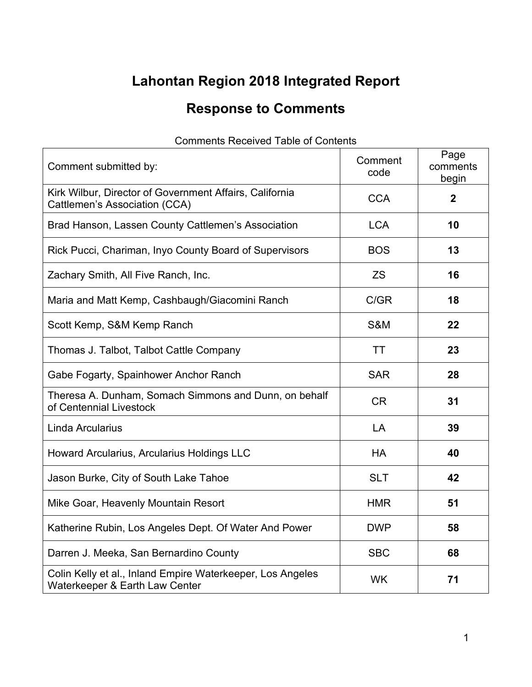## **Lahontan Region 2018 Integrated Report**

## **Response to Comments**

| Comment submitted by:                                                                           | Comment<br>code | Page<br>comments<br>begin |
|-------------------------------------------------------------------------------------------------|-----------------|---------------------------|
| Kirk Wilbur, Director of Government Affairs, California<br><b>Cattlemen's Association (CCA)</b> | <b>CCA</b>      | $\mathbf{2}$              |
| Brad Hanson, Lassen County Cattlemen's Association                                              | <b>LCA</b>      | 10                        |
| Rick Pucci, Chariman, Inyo County Board of Supervisors                                          | <b>BOS</b>      | 13                        |
| Zachary Smith, All Five Ranch, Inc.                                                             | <b>ZS</b>       | 16                        |
| Maria and Matt Kemp, Cashbaugh/Giacomini Ranch                                                  | C/GR            | 18                        |
| Scott Kemp, S&M Kemp Ranch                                                                      | <b>S&amp;M</b>  | 22                        |
| Thomas J. Talbot, Talbot Cattle Company                                                         | TT              | 23                        |
| Gabe Fogarty, Spainhower Anchor Ranch                                                           | <b>SAR</b>      | 28                        |
| Theresa A. Dunham, Somach Simmons and Dunn, on behalf<br>of Centennial Livestock                | <b>CR</b>       | 31                        |
| Linda Arcularius                                                                                | LA              | 39                        |
| Howard Arcularius, Arcularius Holdings LLC                                                      | <b>HA</b>       | 40                        |
| Jason Burke, City of South Lake Tahoe                                                           | <b>SLT</b>      | 42                        |
| Mike Goar, Heavenly Mountain Resort                                                             | <b>HMR</b>      | 51                        |
| Katherine Rubin, Los Angeles Dept. Of Water And Power                                           | <b>DWP</b>      | 58                        |
| Darren J. Meeka, San Bernardino County                                                          | <b>SBC</b>      | 68                        |
| Colin Kelly et al., Inland Empire Waterkeeper, Los Angeles<br>Waterkeeper & Earth Law Center    | <b>WK</b>       | 71                        |

## Comments Received Table of Contents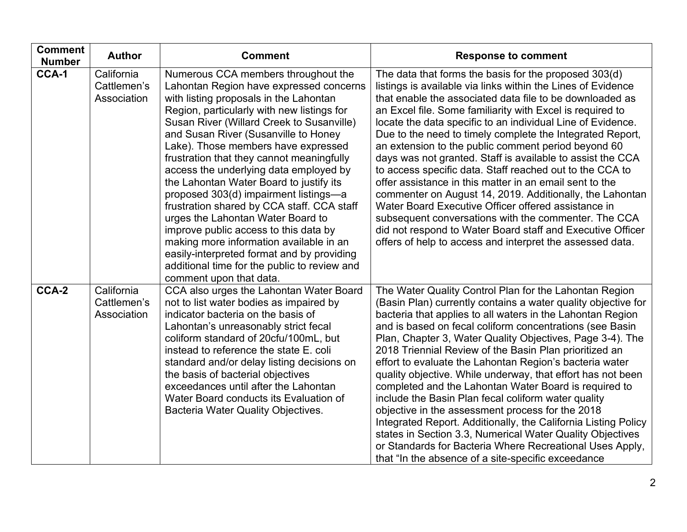| <b>Comment</b><br><b>Number</b> | <b>Author</b>                            | <b>Comment</b>                                                                                                                                                                                                                                                                                                                                                                                                                                                                                                                                                                                                                                                                                                                                                                | <b>Response to comment</b>                                                                                                                                                                                                                                                                                                                                                                                                                                                                                                                                                                                                                                                                                                                                                                                                                                                                                                   |
|---------------------------------|------------------------------------------|-------------------------------------------------------------------------------------------------------------------------------------------------------------------------------------------------------------------------------------------------------------------------------------------------------------------------------------------------------------------------------------------------------------------------------------------------------------------------------------------------------------------------------------------------------------------------------------------------------------------------------------------------------------------------------------------------------------------------------------------------------------------------------|------------------------------------------------------------------------------------------------------------------------------------------------------------------------------------------------------------------------------------------------------------------------------------------------------------------------------------------------------------------------------------------------------------------------------------------------------------------------------------------------------------------------------------------------------------------------------------------------------------------------------------------------------------------------------------------------------------------------------------------------------------------------------------------------------------------------------------------------------------------------------------------------------------------------------|
| CCA-1                           | California<br>Cattlemen's<br>Association | Numerous CCA members throughout the<br>Lahontan Region have expressed concerns<br>with listing proposals in the Lahontan<br>Region, particularly with new listings for<br>Susan River (Willard Creek to Susanville)<br>and Susan River (Susanville to Honey<br>Lake). Those members have expressed<br>frustration that they cannot meaningfully<br>access the underlying data employed by<br>the Lahontan Water Board to justify its<br>proposed 303(d) impairment listings-a<br>frustration shared by CCA staff. CCA staff<br>urges the Lahontan Water Board to<br>improve public access to this data by<br>making more information available in an<br>easily-interpreted format and by providing<br>additional time for the public to review and<br>comment upon that data. | The data that forms the basis for the proposed 303(d)<br>listings is available via links within the Lines of Evidence<br>that enable the associated data file to be downloaded as<br>an Excel file. Some familiarity with Excel is required to<br>locate the data specific to an individual Line of Evidence.<br>Due to the need to timely complete the Integrated Report,<br>an extension to the public comment period beyond 60<br>days was not granted. Staff is available to assist the CCA<br>to access specific data. Staff reached out to the CCA to<br>offer assistance in this matter in an email sent to the<br>commenter on August 14, 2019. Additionally, the Lahontan<br>Water Board Executive Officer offered assistance in<br>subsequent conversations with the commenter. The CCA<br>did not respond to Water Board staff and Executive Officer<br>offers of help to access and interpret the assessed data. |
| CCA-2                           | California<br>Cattlemen's<br>Association | CCA also urges the Lahontan Water Board<br>not to list water bodies as impaired by<br>indicator bacteria on the basis of<br>Lahontan's unreasonably strict fecal<br>coliform standard of 20cfu/100mL, but<br>instead to reference the state E. coli<br>standard and/or delay listing decisions on<br>the basis of bacterial objectives<br>exceedances until after the Lahontan<br>Water Board conducts its Evaluation of<br><b>Bacteria Water Quality Objectives.</b>                                                                                                                                                                                                                                                                                                         | The Water Quality Control Plan for the Lahontan Region<br>(Basin Plan) currently contains a water quality objective for<br>bacteria that applies to all waters in the Lahontan Region<br>and is based on fecal coliform concentrations (see Basin<br>Plan, Chapter 3, Water Quality Objectives, Page 3-4). The<br>2018 Triennial Review of the Basin Plan prioritized an<br>effort to evaluate the Lahontan Region's bacteria water<br>quality objective. While underway, that effort has not been<br>completed and the Lahontan Water Board is required to<br>include the Basin Plan fecal coliform water quality<br>objective in the assessment process for the 2018<br>Integrated Report. Additionally, the California Listing Policy<br>states in Section 3.3, Numerical Water Quality Objectives<br>or Standards for Bacteria Where Recreational Uses Apply,<br>that "In the absence of a site-specific exceedance      |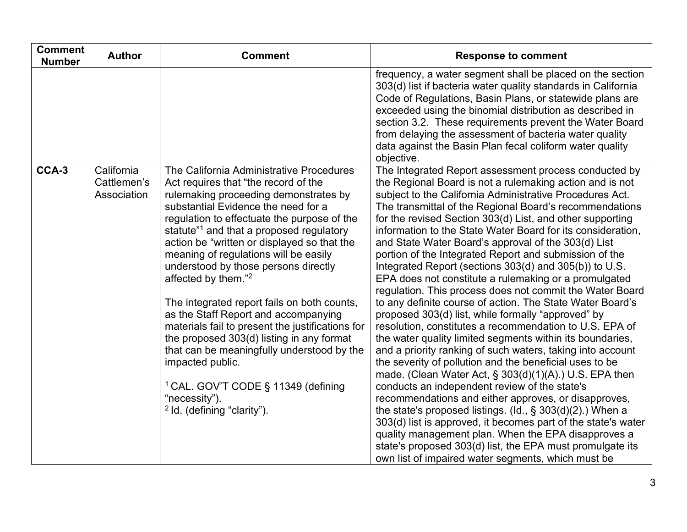| <b>Comment</b><br><b>Number</b> | <b>Author</b>                            | <b>Comment</b>                                                                                                                                                                                                                                                                                                                                                                                                                                                                                                                                                                                                                                                                                                                                                                                                    | <b>Response to comment</b>                                                                                                                                                                                                                                                                                                                                                                                                                                                                                                                                                                                                                                                                                                                                                                                                                                                                                                                                                                                                                                                                                                                                                                                                                                                                                                                                                                                                                                                                                                |
|---------------------------------|------------------------------------------|-------------------------------------------------------------------------------------------------------------------------------------------------------------------------------------------------------------------------------------------------------------------------------------------------------------------------------------------------------------------------------------------------------------------------------------------------------------------------------------------------------------------------------------------------------------------------------------------------------------------------------------------------------------------------------------------------------------------------------------------------------------------------------------------------------------------|---------------------------------------------------------------------------------------------------------------------------------------------------------------------------------------------------------------------------------------------------------------------------------------------------------------------------------------------------------------------------------------------------------------------------------------------------------------------------------------------------------------------------------------------------------------------------------------------------------------------------------------------------------------------------------------------------------------------------------------------------------------------------------------------------------------------------------------------------------------------------------------------------------------------------------------------------------------------------------------------------------------------------------------------------------------------------------------------------------------------------------------------------------------------------------------------------------------------------------------------------------------------------------------------------------------------------------------------------------------------------------------------------------------------------------------------------------------------------------------------------------------------------|
|                                 |                                          |                                                                                                                                                                                                                                                                                                                                                                                                                                                                                                                                                                                                                                                                                                                                                                                                                   | frequency, a water segment shall be placed on the section<br>303(d) list if bacteria water quality standards in California<br>Code of Regulations, Basin Plans, or statewide plans are<br>exceeded using the binomial distribution as described in<br>section 3.2. These requirements prevent the Water Board<br>from delaying the assessment of bacteria water quality<br>data against the Basin Plan fecal coliform water quality<br>objective.                                                                                                                                                                                                                                                                                                                                                                                                                                                                                                                                                                                                                                                                                                                                                                                                                                                                                                                                                                                                                                                                         |
| CCA-3                           | California<br>Cattlemen's<br>Association | The California Administrative Procedures<br>Act requires that "the record of the<br>rulemaking proceeding demonstrates by<br>substantial Evidence the need for a<br>regulation to effectuate the purpose of the<br>statute" <sup>1</sup> and that a proposed regulatory<br>action be "written or displayed so that the<br>meaning of regulations will be easily<br>understood by those persons directly<br>affected by them." <sup>2</sup><br>The integrated report fails on both counts,<br>as the Staff Report and accompanying<br>materials fail to present the justifications for<br>the proposed 303(d) listing in any format<br>that can be meaningfully understood by the<br>impacted public.<br><sup>1</sup> CAL. GOV'T CODE § 11349 (defining<br>"necessity").<br><sup>2</sup> Id. (defining "clarity"). | The Integrated Report assessment process conducted by<br>the Regional Board is not a rulemaking action and is not<br>subject to the California Administrative Procedures Act.<br>The transmittal of the Regional Board's recommendations<br>for the revised Section 303(d) List, and other supporting<br>information to the State Water Board for its consideration,<br>and State Water Board's approval of the 303(d) List<br>portion of the Integrated Report and submission of the<br>Integrated Report (sections 303(d) and 305(b)) to U.S.<br>EPA does not constitute a rulemaking or a promulgated<br>regulation. This process does not commit the Water Board<br>to any definite course of action. The State Water Board's<br>proposed 303(d) list, while formally "approved" by<br>resolution, constitutes a recommendation to U.S. EPA of<br>the water quality limited segments within its boundaries,<br>and a priority ranking of such waters, taking into account<br>the severity of pollution and the beneficial uses to be<br>made. (Clean Water Act, $\S$ 303(d)(1)(A).) U.S. EPA then<br>conducts an independent review of the state's<br>recommendations and either approves, or disapproves,<br>the state's proposed listings. (Id., $\S$ 303(d)(2).) When a<br>303(d) list is approved, it becomes part of the state's water<br>quality management plan. When the EPA disapproves a<br>state's proposed 303(d) list, the EPA must promulgate its<br>own list of impaired water segments, which must be |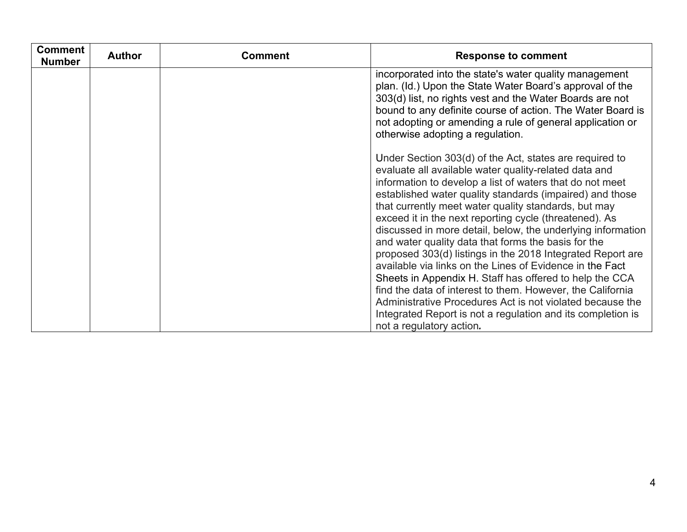| <b>Comment</b><br><b>Number</b> | <b>Author</b> | <b>Comment</b> | <b>Response to comment</b>                                                                                                                                                                                                                                                                                                                                                                                                                                                                                                                                                                                                                                                                                                                                                                       |
|---------------------------------|---------------|----------------|--------------------------------------------------------------------------------------------------------------------------------------------------------------------------------------------------------------------------------------------------------------------------------------------------------------------------------------------------------------------------------------------------------------------------------------------------------------------------------------------------------------------------------------------------------------------------------------------------------------------------------------------------------------------------------------------------------------------------------------------------------------------------------------------------|
|                                 |               |                | incorporated into the state's water quality management<br>plan. (Id.) Upon the State Water Board's approval of the<br>303(d) list, no rights vest and the Water Boards are not<br>bound to any definite course of action. The Water Board is<br>not adopting or amending a rule of general application or<br>otherwise adopting a regulation.                                                                                                                                                                                                                                                                                                                                                                                                                                                    |
|                                 |               |                | Under Section 303(d) of the Act, states are required to<br>evaluate all available water quality-related data and<br>information to develop a list of waters that do not meet<br>established water quality standards (impaired) and those<br>that currently meet water quality standards, but may<br>exceed it in the next reporting cycle (threatened). As<br>discussed in more detail, below, the underlying information<br>and water quality data that forms the basis for the<br>proposed 303(d) listings in the 2018 Integrated Report are<br>available via links on the Lines of Evidence in the Fact<br>Sheets in Appendix H. Staff has offered to help the CCA<br>find the data of interest to them. However, the California<br>Administrative Procedures Act is not violated because the |
|                                 |               |                | Integrated Report is not a regulation and its completion is<br>not a regulatory action.                                                                                                                                                                                                                                                                                                                                                                                                                                                                                                                                                                                                                                                                                                          |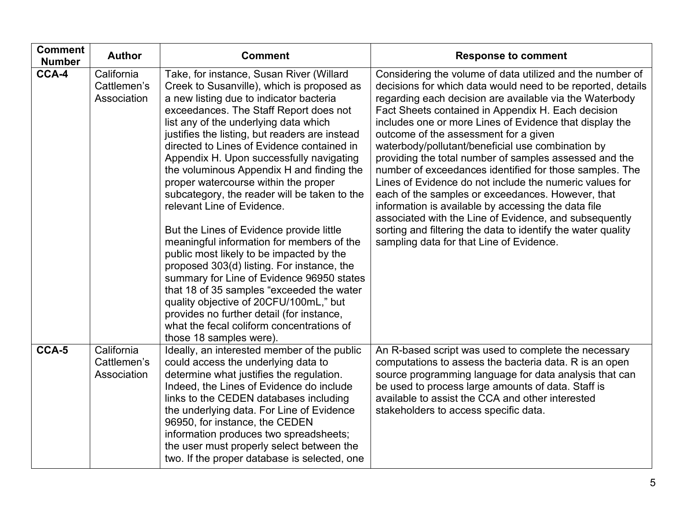| <b>Comment</b><br><b>Number</b> | <b>Author</b>                            | <b>Comment</b>                                                                                                                                                                                                                                                                                                                                                                                                                                                                                                                                                                                                                                                                                                                                                                                                                                                                                                                                                                  | <b>Response to comment</b>                                                                                                                                                                                                                                                                                                                                                                                                                                                                                                                                                                                                                                                                                                                                                                                                                                           |
|---------------------------------|------------------------------------------|---------------------------------------------------------------------------------------------------------------------------------------------------------------------------------------------------------------------------------------------------------------------------------------------------------------------------------------------------------------------------------------------------------------------------------------------------------------------------------------------------------------------------------------------------------------------------------------------------------------------------------------------------------------------------------------------------------------------------------------------------------------------------------------------------------------------------------------------------------------------------------------------------------------------------------------------------------------------------------|----------------------------------------------------------------------------------------------------------------------------------------------------------------------------------------------------------------------------------------------------------------------------------------------------------------------------------------------------------------------------------------------------------------------------------------------------------------------------------------------------------------------------------------------------------------------------------------------------------------------------------------------------------------------------------------------------------------------------------------------------------------------------------------------------------------------------------------------------------------------|
| CCA-4                           | California<br>Cattlemen's<br>Association | Take, for instance, Susan River (Willard<br>Creek to Susanville), which is proposed as<br>a new listing due to indicator bacteria<br>exceedances. The Staff Report does not<br>list any of the underlying data which<br>justifies the listing, but readers are instead<br>directed to Lines of Evidence contained in<br>Appendix H. Upon successfully navigating<br>the voluminous Appendix H and finding the<br>proper watercourse within the proper<br>subcategory, the reader will be taken to the<br>relevant Line of Evidence.<br>But the Lines of Evidence provide little<br>meaningful information for members of the<br>public most likely to be impacted by the<br>proposed 303(d) listing. For instance, the<br>summary for Line of Evidence 96950 states<br>that 18 of 35 samples "exceeded the water<br>quality objective of 20CFU/100mL," but<br>provides no further detail (for instance,<br>what the fecal coliform concentrations of<br>those 18 samples were). | Considering the volume of data utilized and the number of<br>decisions for which data would need to be reported, details<br>regarding each decision are available via the Waterbody<br>Fact Sheets contained in Appendix H. Each decision<br>includes one or more Lines of Evidence that display the<br>outcome of the assessment for a given<br>waterbody/pollutant/beneficial use combination by<br>providing the total number of samples assessed and the<br>number of exceedances identified for those samples. The<br>Lines of Evidence do not include the numeric values for<br>each of the samples or exceedances. However, that<br>information is available by accessing the data file<br>associated with the Line of Evidence, and subsequently<br>sorting and filtering the data to identify the water quality<br>sampling data for that Line of Evidence. |
| CCA-5                           | California<br>Cattlemen's<br>Association | Ideally, an interested member of the public<br>could access the underlying data to<br>determine what justifies the regulation.<br>Indeed, the Lines of Evidence do include<br>links to the CEDEN databases including<br>the underlying data. For Line of Evidence<br>96950, for instance, the CEDEN<br>information produces two spreadsheets;<br>the user must properly select between the<br>two. If the proper database is selected, one                                                                                                                                                                                                                                                                                                                                                                                                                                                                                                                                      | An R-based script was used to complete the necessary<br>computations to assess the bacteria data. R is an open<br>source programming language for data analysis that can<br>be used to process large amounts of data. Staff is<br>available to assist the CCA and other interested<br>stakeholders to access specific data.                                                                                                                                                                                                                                                                                                                                                                                                                                                                                                                                          |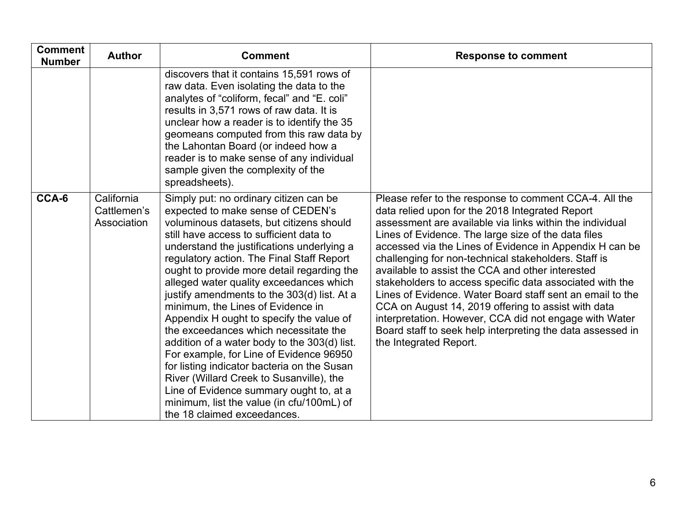| <b>Comment</b><br><b>Number</b> | <b>Author</b>                            | <b>Comment</b>                                                                                                                                                                                                                                                                                                                                                                                                                                                                                                                                                                                                                                                                                                                                                                                                                               | <b>Response to comment</b>                                                                                                                                                                                                                                                                                                                                                                                                                                                                                                                                                                                                                                                                                                            |
|---------------------------------|------------------------------------------|----------------------------------------------------------------------------------------------------------------------------------------------------------------------------------------------------------------------------------------------------------------------------------------------------------------------------------------------------------------------------------------------------------------------------------------------------------------------------------------------------------------------------------------------------------------------------------------------------------------------------------------------------------------------------------------------------------------------------------------------------------------------------------------------------------------------------------------------|---------------------------------------------------------------------------------------------------------------------------------------------------------------------------------------------------------------------------------------------------------------------------------------------------------------------------------------------------------------------------------------------------------------------------------------------------------------------------------------------------------------------------------------------------------------------------------------------------------------------------------------------------------------------------------------------------------------------------------------|
|                                 |                                          | discovers that it contains 15,591 rows of<br>raw data. Even isolating the data to the<br>analytes of "coliform, fecal" and "E. coli"<br>results in 3,571 rows of raw data. It is<br>unclear how a reader is to identify the 35<br>geomeans computed from this raw data by<br>the Lahontan Board (or indeed how a<br>reader is to make sense of any individual<br>sample given the complexity of the<br>spreadsheets).                                                                                                                                                                                                                                                                                                                                                                                                                        |                                                                                                                                                                                                                                                                                                                                                                                                                                                                                                                                                                                                                                                                                                                                       |
| CCA-6                           | California<br>Cattlemen's<br>Association | Simply put: no ordinary citizen can be<br>expected to make sense of CEDEN's<br>voluminous datasets, but citizens should<br>still have access to sufficient data to<br>understand the justifications underlying a<br>regulatory action. The Final Staff Report<br>ought to provide more detail regarding the<br>alleged water quality exceedances which<br>justify amendments to the 303(d) list. At a<br>minimum, the Lines of Evidence in<br>Appendix H ought to specify the value of<br>the exceedances which necessitate the<br>addition of a water body to the 303(d) list.<br>For example, for Line of Evidence 96950<br>for listing indicator bacteria on the Susan<br>River (Willard Creek to Susanville), the<br>Line of Evidence summary ought to, at a<br>minimum, list the value (in cfu/100mL) of<br>the 18 claimed exceedances. | Please refer to the response to comment CCA-4. All the<br>data relied upon for the 2018 Integrated Report<br>assessment are available via links within the individual<br>Lines of Evidence. The large size of the data files<br>accessed via the Lines of Evidence in Appendix H can be<br>challenging for non-technical stakeholders. Staff is<br>available to assist the CCA and other interested<br>stakeholders to access specific data associated with the<br>Lines of Evidence. Water Board staff sent an email to the<br>CCA on August 14, 2019 offering to assist with data<br>interpretation. However, CCA did not engage with Water<br>Board staff to seek help interpreting the data assessed in<br>the Integrated Report. |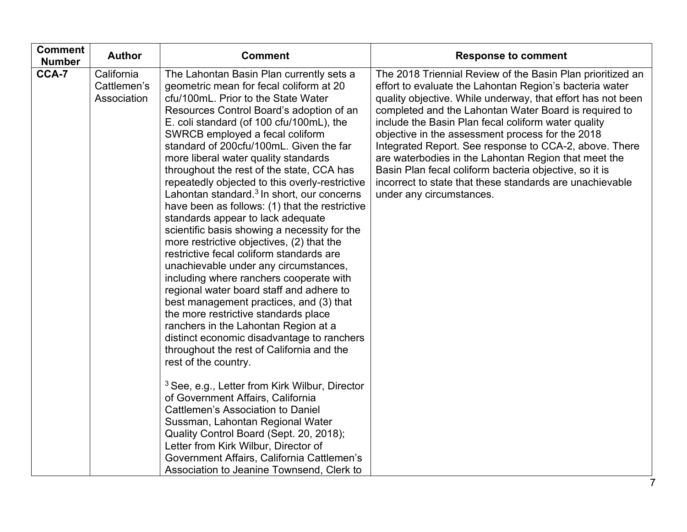| <b>Comment</b><br><b>Number</b> | <b>Author</b>                            | <b>Comment</b>                                                                                                                                                                                                                                                                                                                                                                                                                                                                                                                                                                                                                                                                                                                                                                                                                                                                                                                                                                                                                                                                                                  | <b>Response to comment</b>                                                                                                                                                                                                                                                                                                                                                                                                                                                                                                                                                                                                   |
|---------------------------------|------------------------------------------|-----------------------------------------------------------------------------------------------------------------------------------------------------------------------------------------------------------------------------------------------------------------------------------------------------------------------------------------------------------------------------------------------------------------------------------------------------------------------------------------------------------------------------------------------------------------------------------------------------------------------------------------------------------------------------------------------------------------------------------------------------------------------------------------------------------------------------------------------------------------------------------------------------------------------------------------------------------------------------------------------------------------------------------------------------------------------------------------------------------------|------------------------------------------------------------------------------------------------------------------------------------------------------------------------------------------------------------------------------------------------------------------------------------------------------------------------------------------------------------------------------------------------------------------------------------------------------------------------------------------------------------------------------------------------------------------------------------------------------------------------------|
| CCA-7                           | California<br>Cattlemen's<br>Association | The Lahontan Basin Plan currently sets a<br>geometric mean for fecal coliform at 20<br>cfu/100mL. Prior to the State Water<br>Resources Control Board's adoption of an<br>E. coli standard (of 100 cfu/100mL), the<br>SWRCB employed a fecal coliform<br>standard of 200cfu/100mL. Given the far<br>more liberal water quality standards<br>throughout the rest of the state, CCA has<br>repeatedly objected to this overly-restrictive<br>Lahontan standard. <sup>3</sup> In short, our concerns<br>have been as follows: (1) that the restrictive<br>standards appear to lack adequate<br>scientific basis showing a necessity for the<br>more restrictive objectives, (2) that the<br>restrictive fecal coliform standards are<br>unachievable under any circumstances,<br>including where ranchers cooperate with<br>regional water board staff and adhere to<br>best management practices, and (3) that<br>the more restrictive standards place<br>ranchers in the Lahontan Region at a<br>distinct economic disadvantage to ranchers<br>throughout the rest of California and the<br>rest of the country. | The 2018 Triennial Review of the Basin Plan prioritized an<br>effort to evaluate the Lahontan Region's bacteria water<br>quality objective. While underway, that effort has not been<br>completed and the Lahontan Water Board is required to<br>include the Basin Plan fecal coliform water quality<br>objective in the assessment process for the 2018<br>Integrated Report. See response to CCA-2, above. There<br>are waterbodies in the Lahontan Region that meet the<br>Basin Plan fecal coliform bacteria objective, so it is<br>incorrect to state that these standards are unachievable<br>under any circumstances. |
|                                 |                                          | <sup>3</sup> See, e.g., Letter from Kirk Wilbur, Director<br>of Government Affairs, California<br><b>Cattlemen's Association to Daniel</b><br>Sussman, Lahontan Regional Water<br>Quality Control Board (Sept. 20, 2018);<br>Letter from Kirk Wilbur, Director of<br>Government Affairs, California Cattlemen's<br>Association to Jeanine Townsend, Clerk to                                                                                                                                                                                                                                                                                                                                                                                                                                                                                                                                                                                                                                                                                                                                                    |                                                                                                                                                                                                                                                                                                                                                                                                                                                                                                                                                                                                                              |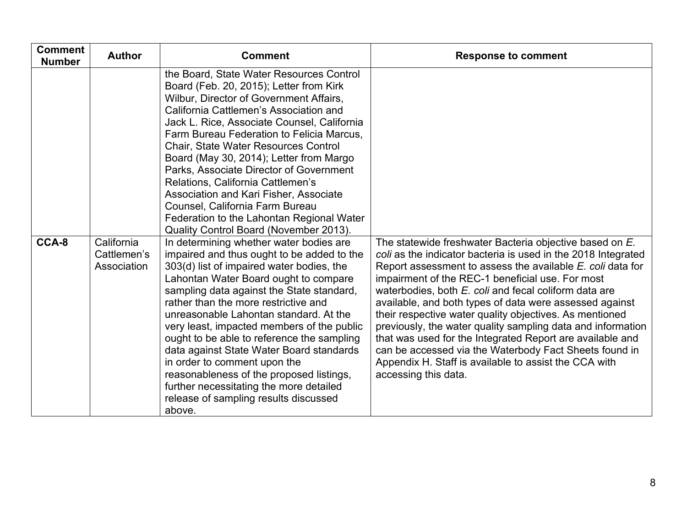| <b>Comment</b><br><b>Number</b> | <b>Author</b>                            | <b>Comment</b>                                                                                                                                                                                                                                                                                                                                                                                                                                                                                                                                                                                                               | <b>Response to comment</b>                                                                                                                                                                                                                                                                                                                                                                                                                                                                                                                                                                                                                                                                       |
|---------------------------------|------------------------------------------|------------------------------------------------------------------------------------------------------------------------------------------------------------------------------------------------------------------------------------------------------------------------------------------------------------------------------------------------------------------------------------------------------------------------------------------------------------------------------------------------------------------------------------------------------------------------------------------------------------------------------|--------------------------------------------------------------------------------------------------------------------------------------------------------------------------------------------------------------------------------------------------------------------------------------------------------------------------------------------------------------------------------------------------------------------------------------------------------------------------------------------------------------------------------------------------------------------------------------------------------------------------------------------------------------------------------------------------|
|                                 |                                          | the Board, State Water Resources Control<br>Board (Feb. 20, 2015); Letter from Kirk<br>Wilbur, Director of Government Affairs,<br>California Cattlemen's Association and<br>Jack L. Rice, Associate Counsel, California<br>Farm Bureau Federation to Felicia Marcus,<br><b>Chair, State Water Resources Control</b><br>Board (May 30, 2014); Letter from Margo<br>Parks, Associate Director of Government<br>Relations, California Cattlemen's<br>Association and Kari Fisher, Associate<br>Counsel, California Farm Bureau<br>Federation to the Lahontan Regional Water<br>Quality Control Board (November 2013).           |                                                                                                                                                                                                                                                                                                                                                                                                                                                                                                                                                                                                                                                                                                  |
| CCA-8                           | California<br>Cattlemen's<br>Association | In determining whether water bodies are<br>impaired and thus ought to be added to the<br>303(d) list of impaired water bodies, the<br>Lahontan Water Board ought to compare<br>sampling data against the State standard,<br>rather than the more restrictive and<br>unreasonable Lahontan standard. At the<br>very least, impacted members of the public<br>ought to be able to reference the sampling<br>data against State Water Board standards<br>in order to comment upon the<br>reasonableness of the proposed listings,<br>further necessitating the more detailed<br>release of sampling results discussed<br>above. | The statewide freshwater Bacteria objective based on E.<br>coli as the indicator bacteria is used in the 2018 Integrated<br>Report assessment to assess the available E. coli data for<br>impairment of the REC-1 beneficial use. For most<br>waterbodies, both E. coli and fecal coliform data are<br>available, and both types of data were assessed against<br>their respective water quality objectives. As mentioned<br>previously, the water quality sampling data and information<br>that was used for the Integrated Report are available and<br>can be accessed via the Waterbody Fact Sheets found in<br>Appendix H. Staff is available to assist the CCA with<br>accessing this data. |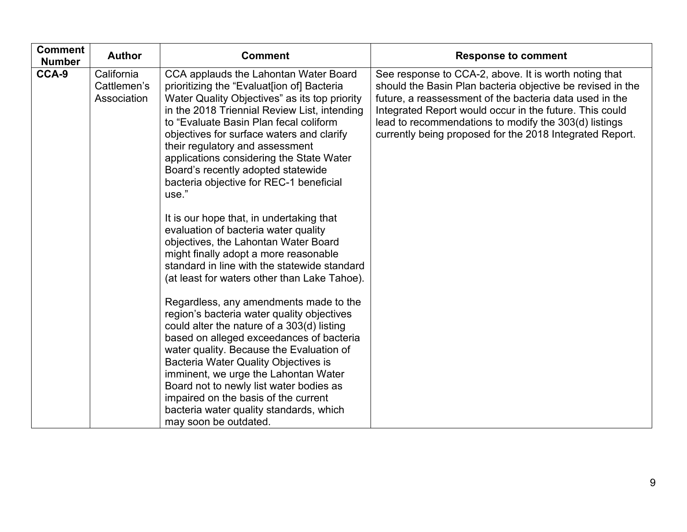| <b>Comment</b><br><b>Number</b> | <b>Author</b>                            | <b>Comment</b>                                                                                                                                                                                                                                                                                                                                                                                                                                                                                                                                                                                                                                                                                                                                                                                                                                                                                                                                                                                                                                                                                                                                                                                        | <b>Response to comment</b>                                                                                                                                                                                                                                                                                                                                     |
|---------------------------------|------------------------------------------|-------------------------------------------------------------------------------------------------------------------------------------------------------------------------------------------------------------------------------------------------------------------------------------------------------------------------------------------------------------------------------------------------------------------------------------------------------------------------------------------------------------------------------------------------------------------------------------------------------------------------------------------------------------------------------------------------------------------------------------------------------------------------------------------------------------------------------------------------------------------------------------------------------------------------------------------------------------------------------------------------------------------------------------------------------------------------------------------------------------------------------------------------------------------------------------------------------|----------------------------------------------------------------------------------------------------------------------------------------------------------------------------------------------------------------------------------------------------------------------------------------------------------------------------------------------------------------|
| CCA-9                           | California<br>Cattlemen's<br>Association | CCA applauds the Lahontan Water Board<br>prioritizing the "Evaluat[ion of] Bacteria<br>Water Quality Objectives" as its top priority<br>in the 2018 Triennial Review List, intending<br>to "Evaluate Basin Plan fecal coliform<br>objectives for surface waters and clarify<br>their regulatory and assessment<br>applications considering the State Water<br>Board's recently adopted statewide<br>bacteria objective for REC-1 beneficial<br>use."<br>It is our hope that, in undertaking that<br>evaluation of bacteria water quality<br>objectives, the Lahontan Water Board<br>might finally adopt a more reasonable<br>standard in line with the statewide standard<br>(at least for waters other than Lake Tahoe).<br>Regardless, any amendments made to the<br>region's bacteria water quality objectives<br>could alter the nature of a 303(d) listing<br>based on alleged exceedances of bacteria<br>water quality. Because the Evaluation of<br><b>Bacteria Water Quality Objectives is</b><br>imminent, we urge the Lahontan Water<br>Board not to newly list water bodies as<br>impaired on the basis of the current<br>bacteria water quality standards, which<br>may soon be outdated. | See response to CCA-2, above. It is worth noting that<br>should the Basin Plan bacteria objective be revised in the<br>future, a reassessment of the bacteria data used in the<br>Integrated Report would occur in the future. This could<br>lead to recommendations to modify the 303(d) listings<br>currently being proposed for the 2018 Integrated Report. |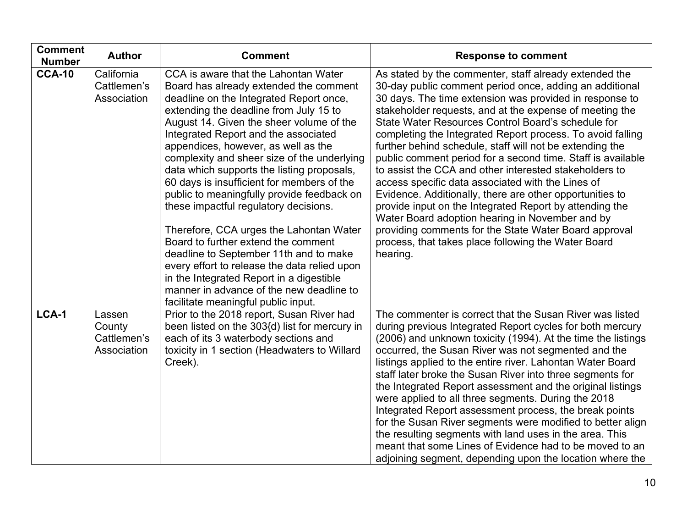| <b>Comment</b><br><b>Number</b> | <b>Author</b>                                  | <b>Comment</b>                                                                                                                                                                                                                                                                                                                                                                                                                                                                                                                                                                                                                                                                                                                                                                                                                              | <b>Response to comment</b>                                                                                                                                                                                                                                                                                                                                                                                                                                                                                                                                                                                                                                                                                                                                                                                                                                                                                  |
|---------------------------------|------------------------------------------------|---------------------------------------------------------------------------------------------------------------------------------------------------------------------------------------------------------------------------------------------------------------------------------------------------------------------------------------------------------------------------------------------------------------------------------------------------------------------------------------------------------------------------------------------------------------------------------------------------------------------------------------------------------------------------------------------------------------------------------------------------------------------------------------------------------------------------------------------|-------------------------------------------------------------------------------------------------------------------------------------------------------------------------------------------------------------------------------------------------------------------------------------------------------------------------------------------------------------------------------------------------------------------------------------------------------------------------------------------------------------------------------------------------------------------------------------------------------------------------------------------------------------------------------------------------------------------------------------------------------------------------------------------------------------------------------------------------------------------------------------------------------------|
| <b>CCA-10</b>                   | California<br>Cattlemen's<br>Association       | CCA is aware that the Lahontan Water<br>Board has already extended the comment<br>deadline on the Integrated Report once,<br>extending the deadline from July 15 to<br>August 14. Given the sheer volume of the<br>Integrated Report and the associated<br>appendices, however, as well as the<br>complexity and sheer size of the underlying<br>data which supports the listing proposals,<br>60 days is insufficient for members of the<br>public to meaningfully provide feedback on<br>these impactful regulatory decisions.<br>Therefore, CCA urges the Lahontan Water<br>Board to further extend the comment<br>deadline to September 11th and to make<br>every effort to release the data relied upon<br>in the Integrated Report in a digestible<br>manner in advance of the new deadline to<br>facilitate meaningful public input. | As stated by the commenter, staff already extended the<br>30-day public comment period once, adding an additional<br>30 days. The time extension was provided in response to<br>stakeholder requests, and at the expense of meeting the<br>State Water Resources Control Board's schedule for<br>completing the Integrated Report process. To avoid falling<br>further behind schedule, staff will not be extending the<br>public comment period for a second time. Staff is available<br>to assist the CCA and other interested stakeholders to<br>access specific data associated with the Lines of<br>Evidence. Additionally, there are other opportunities to<br>provide input on the Integrated Report by attending the<br>Water Board adoption hearing in November and by<br>providing comments for the State Water Board approval<br>process, that takes place following the Water Board<br>hearing. |
| LCA-1                           | Lassen<br>County<br>Cattlemen's<br>Association | Prior to the 2018 report, Susan River had<br>been listed on the 303{d) list for mercury in<br>each of its 3 waterbody sections and<br>toxicity in 1 section (Headwaters to Willard<br>Creek).                                                                                                                                                                                                                                                                                                                                                                                                                                                                                                                                                                                                                                               | The commenter is correct that the Susan River was listed<br>during previous Integrated Report cycles for both mercury<br>(2006) and unknown toxicity (1994). At the time the listings<br>occurred, the Susan River was not segmented and the<br>listings applied to the entire river. Lahontan Water Board<br>staff later broke the Susan River into three segments for<br>the Integrated Report assessment and the original listings<br>were applied to all three segments. During the 2018<br>Integrated Report assessment process, the break points<br>for the Susan River segments were modified to better align<br>the resulting segments with land uses in the area. This<br>meant that some Lines of Evidence had to be moved to an<br>adjoining segment, depending upon the location where the                                                                                                      |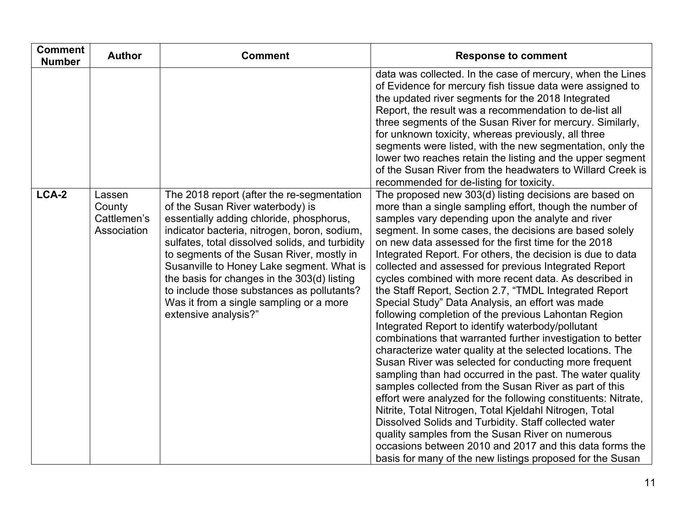| <b>Comment</b><br><b>Number</b> | <b>Author</b>                                  | <b>Comment</b>                                                                                                                                                                                                                                                                                                                                                                                                                                                                          | <b>Response to comment</b>                                                                                                                                                                                                                                                                                                                                                                                                                                                                                                                                                                                                                                                                                                                                                                                                                                                                                                                                                                                                                                                                                                                                                                                                                                                                                                                                                         |
|---------------------------------|------------------------------------------------|-----------------------------------------------------------------------------------------------------------------------------------------------------------------------------------------------------------------------------------------------------------------------------------------------------------------------------------------------------------------------------------------------------------------------------------------------------------------------------------------|------------------------------------------------------------------------------------------------------------------------------------------------------------------------------------------------------------------------------------------------------------------------------------------------------------------------------------------------------------------------------------------------------------------------------------------------------------------------------------------------------------------------------------------------------------------------------------------------------------------------------------------------------------------------------------------------------------------------------------------------------------------------------------------------------------------------------------------------------------------------------------------------------------------------------------------------------------------------------------------------------------------------------------------------------------------------------------------------------------------------------------------------------------------------------------------------------------------------------------------------------------------------------------------------------------------------------------------------------------------------------------|
|                                 |                                                |                                                                                                                                                                                                                                                                                                                                                                                                                                                                                         | data was collected. In the case of mercury, when the Lines<br>of Evidence for mercury fish tissue data were assigned to<br>the updated river segments for the 2018 Integrated<br>Report, the result was a recommendation to de-list all<br>three segments of the Susan River for mercury. Similarly,<br>for unknown toxicity, whereas previously, all three<br>segments were listed, with the new segmentation, only the<br>lower two reaches retain the listing and the upper segment<br>of the Susan River from the headwaters to Willard Creek is<br>recommended for de-listing for toxicity.                                                                                                                                                                                                                                                                                                                                                                                                                                                                                                                                                                                                                                                                                                                                                                                   |
| LCA-2                           | Lassen<br>County<br>Cattlemen's<br>Association | The 2018 report (after the re-segmentation<br>of the Susan River waterbody) is<br>essentially adding chloride, phosphorus,<br>indicator bacteria, nitrogen, boron, sodium,<br>sulfates, total dissolved solids, and turbidity<br>to segments of the Susan River, mostly in<br>Susanville to Honey Lake segment. What is<br>the basis for changes in the 303(d) listing<br>to include those substances as pollutants?<br>Was it from a single sampling or a more<br>extensive analysis?" | The proposed new 303(d) listing decisions are based on<br>more than a single sampling effort, though the number of<br>samples vary depending upon the analyte and river<br>segment. In some cases, the decisions are based solely<br>on new data assessed for the first time for the 2018<br>Integrated Report. For others, the decision is due to data<br>collected and assessed for previous Integrated Report<br>cycles combined with more recent data. As described in<br>the Staff Report, Section 2.7, "TMDL Integrated Report<br>Special Study" Data Analysis, an effort was made<br>following completion of the previous Lahontan Region<br>Integrated Report to identify waterbody/pollutant<br>combinations that warranted further investigation to better<br>characterize water quality at the selected locations. The<br>Susan River was selected for conducting more frequent<br>sampling than had occurred in the past. The water quality<br>samples collected from the Susan River as part of this<br>effort were analyzed for the following constituents: Nitrate,<br>Nitrite, Total Nitrogen, Total Kjeldahl Nitrogen, Total<br>Dissolved Solids and Turbidity. Staff collected water<br>quality samples from the Susan River on numerous<br>occasions between 2010 and 2017 and this data forms the<br>basis for many of the new listings proposed for the Susan |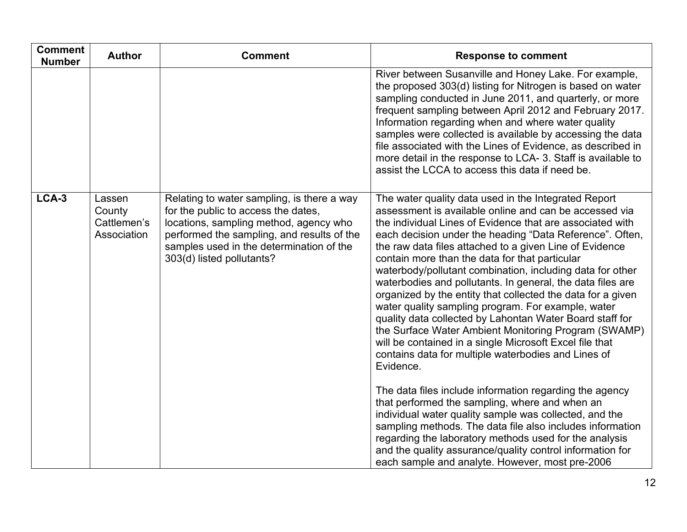| <b>Comment</b><br><b>Number</b> | <b>Author</b>                                  | <b>Comment</b>                                                                                                                                                                                                                                     | <b>Response to comment</b>                                                                                                                                                                                                                                                                                                                                                                                                                                                                                                                                                                                                                                                                                                                                                                                                                                                                                                                                                                                                                                                                                                                                                                                         |
|---------------------------------|------------------------------------------------|----------------------------------------------------------------------------------------------------------------------------------------------------------------------------------------------------------------------------------------------------|--------------------------------------------------------------------------------------------------------------------------------------------------------------------------------------------------------------------------------------------------------------------------------------------------------------------------------------------------------------------------------------------------------------------------------------------------------------------------------------------------------------------------------------------------------------------------------------------------------------------------------------------------------------------------------------------------------------------------------------------------------------------------------------------------------------------------------------------------------------------------------------------------------------------------------------------------------------------------------------------------------------------------------------------------------------------------------------------------------------------------------------------------------------------------------------------------------------------|
|                                 |                                                |                                                                                                                                                                                                                                                    | River between Susanville and Honey Lake. For example,<br>the proposed 303(d) listing for Nitrogen is based on water<br>sampling conducted in June 2011, and quarterly, or more<br>frequent sampling between April 2012 and February 2017.<br>Information regarding when and where water quality<br>samples were collected is available by accessing the data<br>file associated with the Lines of Evidence, as described in<br>more detail in the response to LCA-3. Staff is available to<br>assist the LCCA to access this data if need be.                                                                                                                                                                                                                                                                                                                                                                                                                                                                                                                                                                                                                                                                      |
| LCA-3                           | Lassen<br>County<br>Cattlemen's<br>Association | Relating to water sampling, is there a way<br>for the public to access the dates,<br>locations, sampling method, agency who<br>performed the sampling, and results of the<br>samples used in the determination of the<br>303(d) listed pollutants? | The water quality data used in the Integrated Report<br>assessment is available online and can be accessed via<br>the individual Lines of Evidence that are associated with<br>each decision under the heading "Data Reference". Often,<br>the raw data files attached to a given Line of Evidence<br>contain more than the data for that particular<br>waterbody/pollutant combination, including data for other<br>waterbodies and pollutants. In general, the data files are<br>organized by the entity that collected the data for a given<br>water quality sampling program. For example, water<br>quality data collected by Lahontan Water Board staff for<br>the Surface Water Ambient Monitoring Program (SWAMP)<br>will be contained in a single Microsoft Excel file that<br>contains data for multiple waterbodies and Lines of<br>Evidence.<br>The data files include information regarding the agency<br>that performed the sampling, where and when an<br>individual water quality sample was collected, and the<br>sampling methods. The data file also includes information<br>regarding the laboratory methods used for the analysis<br>and the quality assurance/quality control information for |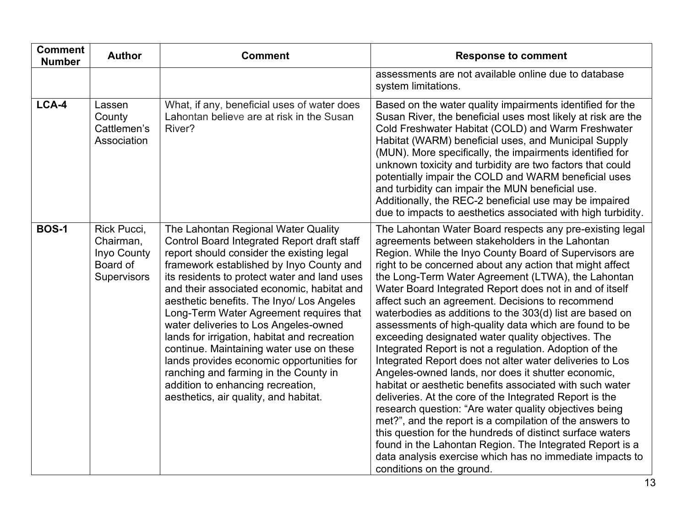| <b>Comment</b><br><b>Number</b> | <b>Author</b>                                                      | <b>Comment</b>                                                                                                                                                                                                                                                                                                                                                                                                                                                                                                                                                                                                                                                             | <b>Response to comment</b>                                                                                                                                                                                                                                                                                                                                                                                                                                                                                                                                                                                                                                                                                                                                                                                                                                                                                                                                                                                                                                                                                                                                                                                                    |
|---------------------------------|--------------------------------------------------------------------|----------------------------------------------------------------------------------------------------------------------------------------------------------------------------------------------------------------------------------------------------------------------------------------------------------------------------------------------------------------------------------------------------------------------------------------------------------------------------------------------------------------------------------------------------------------------------------------------------------------------------------------------------------------------------|-------------------------------------------------------------------------------------------------------------------------------------------------------------------------------------------------------------------------------------------------------------------------------------------------------------------------------------------------------------------------------------------------------------------------------------------------------------------------------------------------------------------------------------------------------------------------------------------------------------------------------------------------------------------------------------------------------------------------------------------------------------------------------------------------------------------------------------------------------------------------------------------------------------------------------------------------------------------------------------------------------------------------------------------------------------------------------------------------------------------------------------------------------------------------------------------------------------------------------|
|                                 |                                                                    |                                                                                                                                                                                                                                                                                                                                                                                                                                                                                                                                                                                                                                                                            | assessments are not available online due to database<br>system limitations.                                                                                                                                                                                                                                                                                                                                                                                                                                                                                                                                                                                                                                                                                                                                                                                                                                                                                                                                                                                                                                                                                                                                                   |
| LCA-4                           | Lassen<br>County<br>Cattlemen's<br>Association                     | What, if any, beneficial uses of water does<br>Lahontan believe are at risk in the Susan<br>River?                                                                                                                                                                                                                                                                                                                                                                                                                                                                                                                                                                         | Based on the water quality impairments identified for the<br>Susan River, the beneficial uses most likely at risk are the<br>Cold Freshwater Habitat (COLD) and Warm Freshwater<br>Habitat (WARM) beneficial uses, and Municipal Supply<br>(MUN). More specifically, the impairments identified for<br>unknown toxicity and turbidity are two factors that could<br>potentially impair the COLD and WARM beneficial uses<br>and turbidity can impair the MUN beneficial use.<br>Additionally, the REC-2 beneficial use may be impaired<br>due to impacts to aesthetics associated with high turbidity.                                                                                                                                                                                                                                                                                                                                                                                                                                                                                                                                                                                                                        |
| <b>BOS-1</b>                    | Rick Pucci,<br>Chairman,<br>Inyo County<br>Board of<br>Supervisors | The Lahontan Regional Water Quality<br>Control Board Integrated Report draft staff<br>report should consider the existing legal<br>framework established by Inyo County and<br>its residents to protect water and land uses<br>and their associated economic, habitat and<br>aesthetic benefits. The Inyo/ Los Angeles<br>Long-Term Water Agreement requires that<br>water deliveries to Los Angeles-owned<br>lands for irrigation, habitat and recreation<br>continue. Maintaining water use on these<br>lands provides economic opportunities for<br>ranching and farming in the County in<br>addition to enhancing recreation,<br>aesthetics, air quality, and habitat. | The Lahontan Water Board respects any pre-existing legal<br>agreements between stakeholders in the Lahontan<br>Region. While the Inyo County Board of Supervisors are<br>right to be concerned about any action that might affect<br>the Long-Term Water Agreement (LTWA), the Lahontan<br>Water Board Integrated Report does not in and of itself<br>affect such an agreement. Decisions to recommend<br>waterbodies as additions to the 303(d) list are based on<br>assessments of high-quality data which are found to be<br>exceeding designated water quality objectives. The<br>Integrated Report is not a regulation. Adoption of the<br>Integrated Report does not alter water deliveries to Los<br>Angeles-owned lands, nor does it shutter economic,<br>habitat or aesthetic benefits associated with such water<br>deliveries. At the core of the Integrated Report is the<br>research question: "Are water quality objectives being<br>met?", and the report is a compilation of the answers to<br>this question for the hundreds of distinct surface waters<br>found in the Lahontan Region. The Integrated Report is a<br>data analysis exercise which has no immediate impacts to<br>conditions on the ground. |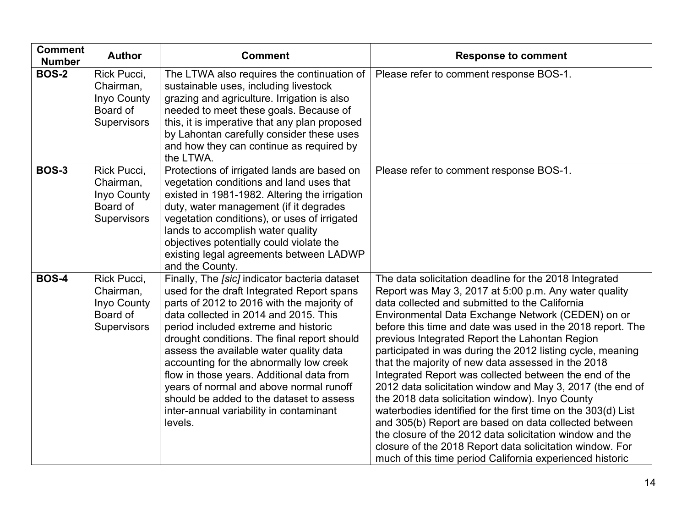| <b>Comment</b><br><b>Number</b> | <b>Author</b>                                                             | <b>Comment</b>                                                                                                                                                                                                                                                                                                                                                                                                                                                                                                                                            | <b>Response to comment</b>                                                                                                                                                                                                                                                                                                                                                                                                                                                                                                                                                                                                                                                                                                                                                                                                                                                                                                                        |
|---------------------------------|---------------------------------------------------------------------------|-----------------------------------------------------------------------------------------------------------------------------------------------------------------------------------------------------------------------------------------------------------------------------------------------------------------------------------------------------------------------------------------------------------------------------------------------------------------------------------------------------------------------------------------------------------|---------------------------------------------------------------------------------------------------------------------------------------------------------------------------------------------------------------------------------------------------------------------------------------------------------------------------------------------------------------------------------------------------------------------------------------------------------------------------------------------------------------------------------------------------------------------------------------------------------------------------------------------------------------------------------------------------------------------------------------------------------------------------------------------------------------------------------------------------------------------------------------------------------------------------------------------------|
| <b>BOS-2</b>                    | Rick Pucci,<br>Chairman,<br>Inyo County<br>Board of<br>Supervisors        | The LTWA also requires the continuation of<br>sustainable uses, including livestock<br>grazing and agriculture. Irrigation is also<br>needed to meet these goals. Because of<br>this, it is imperative that any plan proposed<br>by Lahontan carefully consider these uses<br>and how they can continue as required by<br>the LTWA.                                                                                                                                                                                                                       | Please refer to comment response BOS-1.                                                                                                                                                                                                                                                                                                                                                                                                                                                                                                                                                                                                                                                                                                                                                                                                                                                                                                           |
| <b>BOS-3</b>                    | Rick Pucci,<br>Chairman,<br>Inyo County<br>Board of<br><b>Supervisors</b> | Protections of irrigated lands are based on<br>vegetation conditions and land uses that<br>existed in 1981-1982. Altering the irrigation<br>duty, water management (if it degrades<br>vegetation conditions), or uses of irrigated<br>lands to accomplish water quality<br>objectives potentially could violate the<br>existing legal agreements between LADWP<br>and the County.                                                                                                                                                                         | Please refer to comment response BOS-1.                                                                                                                                                                                                                                                                                                                                                                                                                                                                                                                                                                                                                                                                                                                                                                                                                                                                                                           |
| <b>BOS-4</b>                    | Rick Pucci,<br>Chairman,<br>Inyo County<br>Board of<br><b>Supervisors</b> | Finally, The [sic] indicator bacteria dataset<br>used for the draft Integrated Report spans<br>parts of 2012 to 2016 with the majority of<br>data collected in 2014 and 2015. This<br>period included extreme and historic<br>drought conditions. The final report should<br>assess the available water quality data<br>accounting for the abnormally low creek<br>flow in those years. Additional data from<br>years of normal and above normal runoff<br>should be added to the dataset to assess<br>inter-annual variability in contaminant<br>levels. | The data solicitation deadline for the 2018 Integrated<br>Report was May 3, 2017 at 5:00 p.m. Any water quality<br>data collected and submitted to the California<br>Environmental Data Exchange Network (CEDEN) on or<br>before this time and date was used in the 2018 report. The<br>previous Integrated Report the Lahontan Region<br>participated in was during the 2012 listing cycle, meaning<br>that the majority of new data assessed in the 2018<br>Integrated Report was collected between the end of the<br>2012 data solicitation window and May 3, 2017 (the end of<br>the 2018 data solicitation window). Inyo County<br>waterbodies identified for the first time on the 303(d) List<br>and 305(b) Report are based on data collected between<br>the closure of the 2012 data solicitation window and the<br>closure of the 2018 Report data solicitation window. For<br>much of this time period California experienced historic |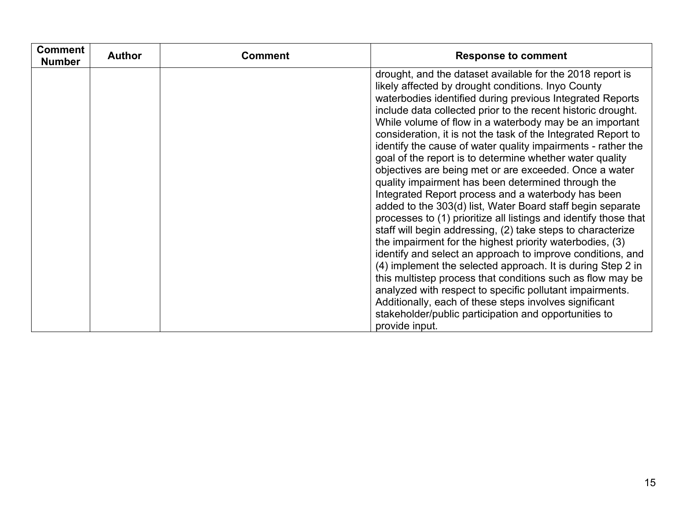| <b>Comment</b><br><b>Number</b> | <b>Author</b> | <b>Comment</b> | <b>Response to comment</b>                                                                                                                                                                                                                                                                                                                                                                                                                                                                                                                                                                                                                                                                                                                                                                                                                                                                                                                                                                                                                                                                                                                                                                                                                                                                                                          |
|---------------------------------|---------------|----------------|-------------------------------------------------------------------------------------------------------------------------------------------------------------------------------------------------------------------------------------------------------------------------------------------------------------------------------------------------------------------------------------------------------------------------------------------------------------------------------------------------------------------------------------------------------------------------------------------------------------------------------------------------------------------------------------------------------------------------------------------------------------------------------------------------------------------------------------------------------------------------------------------------------------------------------------------------------------------------------------------------------------------------------------------------------------------------------------------------------------------------------------------------------------------------------------------------------------------------------------------------------------------------------------------------------------------------------------|
|                                 |               |                | drought, and the dataset available for the 2018 report is<br>likely affected by drought conditions. Inyo County<br>waterbodies identified during previous Integrated Reports<br>include data collected prior to the recent historic drought.<br>While volume of flow in a waterbody may be an important<br>consideration, it is not the task of the Integrated Report to<br>identify the cause of water quality impairments - rather the<br>goal of the report is to determine whether water quality<br>objectives are being met or are exceeded. Once a water<br>quality impairment has been determined through the<br>Integrated Report process and a waterbody has been<br>added to the 303(d) list, Water Board staff begin separate<br>processes to (1) prioritize all listings and identify those that<br>staff will begin addressing, (2) take steps to characterize<br>the impairment for the highest priority waterbodies, (3)<br>identify and select an approach to improve conditions, and<br>(4) implement the selected approach. It is during Step 2 in<br>this multistep process that conditions such as flow may be<br>analyzed with respect to specific pollutant impairments.<br>Additionally, each of these steps involves significant<br>stakeholder/public participation and opportunities to<br>provide input. |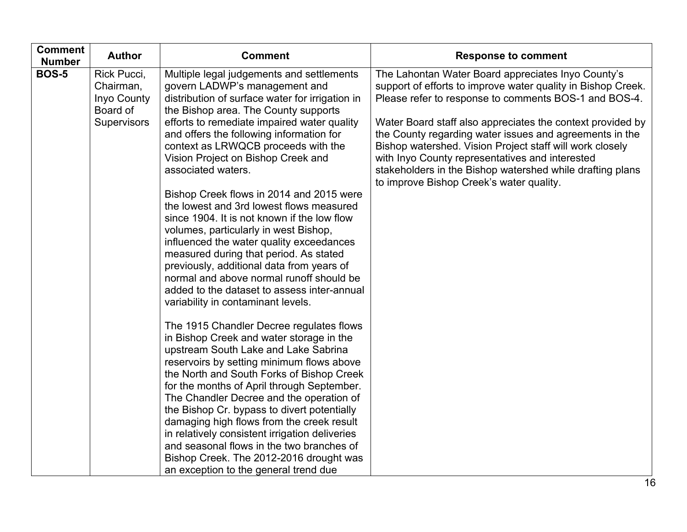| <b>Comment</b><br><b>Number</b> | <b>Author</b>                                                      | <b>Comment</b>                                                                                                                                                                                                                                                                                                                                                                                                                                                                                                                                                                                                                                                                                                                                                                                                          | <b>Response to comment</b>                                                                                                                                                                                                                                                                                                                                                                                                                                                                                                   |
|---------------------------------|--------------------------------------------------------------------|-------------------------------------------------------------------------------------------------------------------------------------------------------------------------------------------------------------------------------------------------------------------------------------------------------------------------------------------------------------------------------------------------------------------------------------------------------------------------------------------------------------------------------------------------------------------------------------------------------------------------------------------------------------------------------------------------------------------------------------------------------------------------------------------------------------------------|------------------------------------------------------------------------------------------------------------------------------------------------------------------------------------------------------------------------------------------------------------------------------------------------------------------------------------------------------------------------------------------------------------------------------------------------------------------------------------------------------------------------------|
| <b>BOS-5</b>                    | Rick Pucci,<br>Chairman,<br>Inyo County<br>Board of<br>Supervisors | Multiple legal judgements and settlements<br>govern LADWP's management and<br>distribution of surface water for irrigation in<br>the Bishop area. The County supports<br>efforts to remediate impaired water quality<br>and offers the following information for<br>context as LRWQCB proceeds with the<br>Vision Project on Bishop Creek and<br>associated waters.<br>Bishop Creek flows in 2014 and 2015 were<br>the lowest and 3rd lowest flows measured<br>since 1904. It is not known if the low flow<br>volumes, particularly in west Bishop,<br>influenced the water quality exceedances<br>measured during that period. As stated<br>previously, additional data from years of<br>normal and above normal runoff should be<br>added to the dataset to assess inter-annual<br>variability in contaminant levels. | The Lahontan Water Board appreciates Inyo County's<br>support of efforts to improve water quality in Bishop Creek.<br>Please refer to response to comments BOS-1 and BOS-4.<br>Water Board staff also appreciates the context provided by<br>the County regarding water issues and agreements in the<br>Bishop watershed. Vision Project staff will work closely<br>with Inyo County representatives and interested<br>stakeholders in the Bishop watershed while drafting plans<br>to improve Bishop Creek's water quality. |
|                                 |                                                                    | The 1915 Chandler Decree regulates flows<br>in Bishop Creek and water storage in the<br>upstream South Lake and Lake Sabrina<br>reservoirs by setting minimum flows above<br>the North and South Forks of Bishop Creek<br>for the months of April through September.<br>The Chandler Decree and the operation of<br>the Bishop Cr. bypass to divert potentially<br>damaging high flows from the creek result<br>in relatively consistent irrigation deliveries<br>and seasonal flows in the two branches of<br>Bishop Creek. The 2012-2016 drought was<br>an exception to the general trend due                                                                                                                                                                                                                         |                                                                                                                                                                                                                                                                                                                                                                                                                                                                                                                              |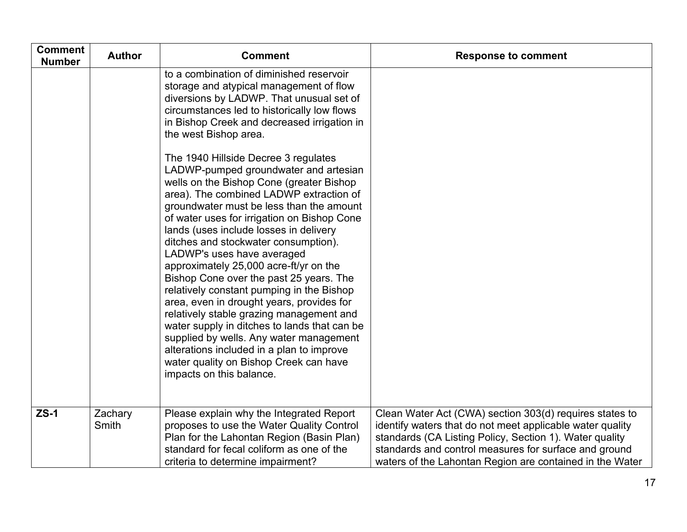| <b>Comment</b><br><b>Number</b> | <b>Author</b>    | <b>Comment</b>                                                                                                                                                                                                                                                                                                                                                                                                                                                                                                                                                                                                                                                                                                                                                                                                           | <b>Response to comment</b>                                                                                                                                                                                                                                                                           |
|---------------------------------|------------------|--------------------------------------------------------------------------------------------------------------------------------------------------------------------------------------------------------------------------------------------------------------------------------------------------------------------------------------------------------------------------------------------------------------------------------------------------------------------------------------------------------------------------------------------------------------------------------------------------------------------------------------------------------------------------------------------------------------------------------------------------------------------------------------------------------------------------|------------------------------------------------------------------------------------------------------------------------------------------------------------------------------------------------------------------------------------------------------------------------------------------------------|
|                                 |                  | to a combination of diminished reservoir<br>storage and atypical management of flow<br>diversions by LADWP. That unusual set of<br>circumstances led to historically low flows<br>in Bishop Creek and decreased irrigation in<br>the west Bishop area.                                                                                                                                                                                                                                                                                                                                                                                                                                                                                                                                                                   |                                                                                                                                                                                                                                                                                                      |
|                                 |                  | The 1940 Hillside Decree 3 regulates<br>LADWP-pumped groundwater and artesian<br>wells on the Bishop Cone (greater Bishop<br>area). The combined LADWP extraction of<br>groundwater must be less than the amount<br>of water uses for irrigation on Bishop Cone<br>lands (uses include losses in delivery<br>ditches and stockwater consumption).<br>LADWP's uses have averaged<br>approximately 25,000 acre-ft/yr on the<br>Bishop Cone over the past 25 years. The<br>relatively constant pumping in the Bishop<br>area, even in drought years, provides for<br>relatively stable grazing management and<br>water supply in ditches to lands that can be<br>supplied by wells. Any water management<br>alterations included in a plan to improve<br>water quality on Bishop Creek can have<br>impacts on this balance. |                                                                                                                                                                                                                                                                                                      |
| $ZS-1$                          | Zachary<br>Smith | Please explain why the Integrated Report<br>proposes to use the Water Quality Control<br>Plan for the Lahontan Region (Basin Plan)<br>standard for fecal coliform as one of the<br>criteria to determine impairment?                                                                                                                                                                                                                                                                                                                                                                                                                                                                                                                                                                                                     | Clean Water Act (CWA) section 303(d) requires states to<br>identify waters that do not meet applicable water quality<br>standards (CA Listing Policy, Section 1). Water quality<br>standards and control measures for surface and ground<br>waters of the Lahontan Region are contained in the Water |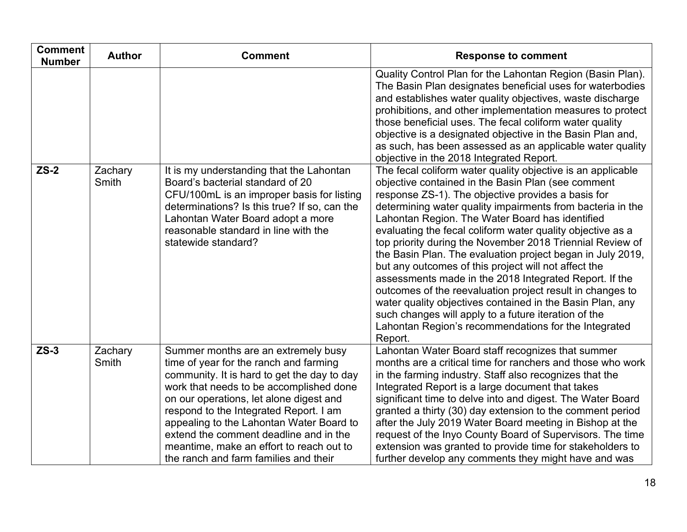| <b>Comment</b><br><b>Number</b> | <b>Author</b>           | <b>Comment</b>                                                                                                                                                                                                                                                                                                                                                                                                                          | <b>Response to comment</b>                                                                                                                                                                                                                                                                                                                                                                                                                                                                                                                                                                                                                                                    |
|---------------------------------|-------------------------|-----------------------------------------------------------------------------------------------------------------------------------------------------------------------------------------------------------------------------------------------------------------------------------------------------------------------------------------------------------------------------------------------------------------------------------------|-------------------------------------------------------------------------------------------------------------------------------------------------------------------------------------------------------------------------------------------------------------------------------------------------------------------------------------------------------------------------------------------------------------------------------------------------------------------------------------------------------------------------------------------------------------------------------------------------------------------------------------------------------------------------------|
| $ZS-2$                          | Zachary<br>Smith        | It is my understanding that the Lahontan<br>Board's bacterial standard of 20<br>CFU/100mL is an improper basis for listing                                                                                                                                                                                                                                                                                                              | Quality Control Plan for the Lahontan Region (Basin Plan).<br>The Basin Plan designates beneficial uses for waterbodies<br>and establishes water quality objectives, waste discharge<br>prohibitions, and other implementation measures to protect<br>those beneficial uses. The fecal coliform water quality<br>objective is a designated objective in the Basin Plan and,<br>as such, has been assessed as an applicable water quality<br>objective in the 2018 Integrated Report.<br>The fecal coliform water quality objective is an applicable<br>objective contained in the Basin Plan (see comment<br>response ZS-1). The objective provides a basis for               |
|                                 |                         | determinations? Is this true? If so, can the<br>Lahontan Water Board adopt a more<br>reasonable standard in line with the<br>statewide standard?                                                                                                                                                                                                                                                                                        | determining water quality impairments from bacteria in the<br>Lahontan Region. The Water Board has identified<br>evaluating the fecal coliform water quality objective as a<br>top priority during the November 2018 Triennial Review of<br>the Basin Plan. The evaluation project began in July 2019,<br>but any outcomes of this project will not affect the<br>assessments made in the 2018 Integrated Report. If the<br>outcomes of the reevaluation project result in changes to<br>water quality objectives contained in the Basin Plan, any<br>such changes will apply to a future iteration of the<br>Lahontan Region's recommendations for the Integrated<br>Report. |
| $ZS-3$                          | Zachary<br><b>Smith</b> | Summer months are an extremely busy<br>time of year for the ranch and farming<br>community. It is hard to get the day to day<br>work that needs to be accomplished done<br>on our operations, let alone digest and<br>respond to the Integrated Report. I am<br>appealing to the Lahontan Water Board to<br>extend the comment deadline and in the<br>meantime, make an effort to reach out to<br>the ranch and farm families and their | Lahontan Water Board staff recognizes that summer<br>months are a critical time for ranchers and those who work<br>in the farming industry. Staff also recognizes that the<br>Integrated Report is a large document that takes<br>significant time to delve into and digest. The Water Board<br>granted a thirty (30) day extension to the comment period<br>after the July 2019 Water Board meeting in Bishop at the<br>request of the Inyo County Board of Supervisors. The time<br>extension was granted to provide time for stakeholders to<br>further develop any comments they might have and was                                                                       |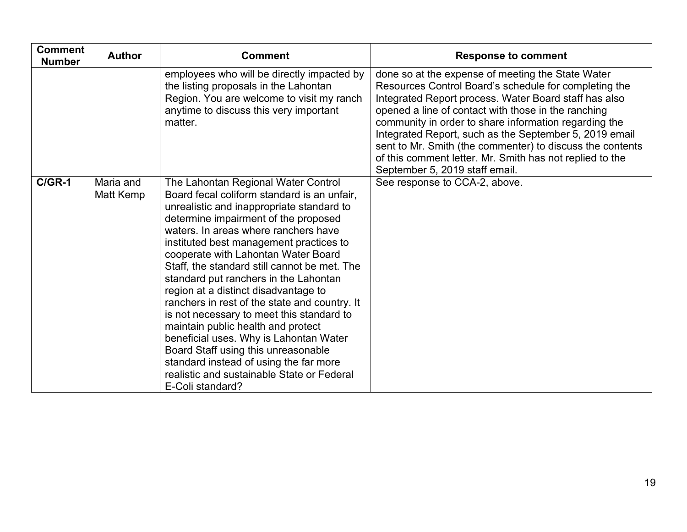| <b>Comment</b><br><b>Number</b> | <b>Author</b>          | <b>Comment</b>                                                                                                                                                                                                                                                                                                                                                                                                                                                                                                                                                                                                                                                                                                                                                      | <b>Response to comment</b>                                                                                                                                                                                                                                                                                                                                                                                                                                                                               |
|---------------------------------|------------------------|---------------------------------------------------------------------------------------------------------------------------------------------------------------------------------------------------------------------------------------------------------------------------------------------------------------------------------------------------------------------------------------------------------------------------------------------------------------------------------------------------------------------------------------------------------------------------------------------------------------------------------------------------------------------------------------------------------------------------------------------------------------------|----------------------------------------------------------------------------------------------------------------------------------------------------------------------------------------------------------------------------------------------------------------------------------------------------------------------------------------------------------------------------------------------------------------------------------------------------------------------------------------------------------|
|                                 |                        | employees who will be directly impacted by<br>the listing proposals in the Lahontan<br>Region. You are welcome to visit my ranch<br>anytime to discuss this very important<br>matter.                                                                                                                                                                                                                                                                                                                                                                                                                                                                                                                                                                               | done so at the expense of meeting the State Water<br>Resources Control Board's schedule for completing the<br>Integrated Report process. Water Board staff has also<br>opened a line of contact with those in the ranching<br>community in order to share information regarding the<br>Integrated Report, such as the September 5, 2019 email<br>sent to Mr. Smith (the commenter) to discuss the contents<br>of this comment letter. Mr. Smith has not replied to the<br>September 5, 2019 staff email. |
| $C/GR-1$                        | Maria and<br>Matt Kemp | The Lahontan Regional Water Control<br>Board fecal coliform standard is an unfair,<br>unrealistic and inappropriate standard to<br>determine impairment of the proposed<br>waters. In areas where ranchers have<br>instituted best management practices to<br>cooperate with Lahontan Water Board<br>Staff, the standard still cannot be met. The<br>standard put ranchers in the Lahontan<br>region at a distinct disadvantage to<br>ranchers in rest of the state and country. It<br>is not necessary to meet this standard to<br>maintain public health and protect<br>beneficial uses. Why is Lahontan Water<br>Board Staff using this unreasonable<br>standard instead of using the far more<br>realistic and sustainable State or Federal<br>E-Coli standard? | See response to CCA-2, above.                                                                                                                                                                                                                                                                                                                                                                                                                                                                            |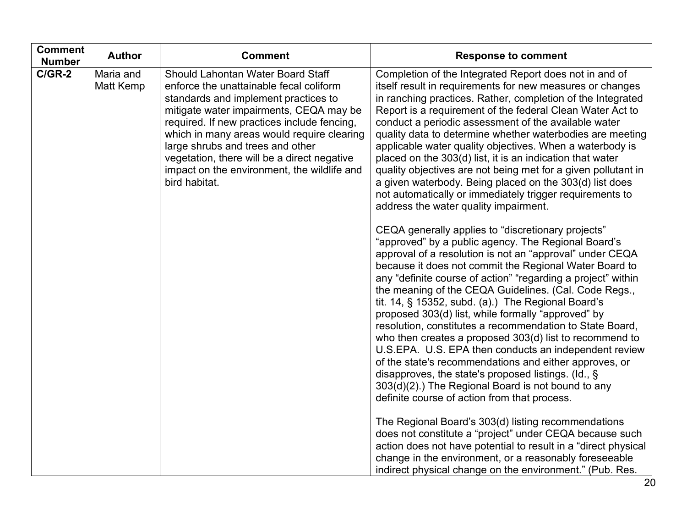| <b>Response to comment</b>                                                                                                                                                                                                                                                                                                                                                                                                                                                                                                                                                                                                                                                                                                                                                                                                                                                                                                                                                                                                                                           |
|----------------------------------------------------------------------------------------------------------------------------------------------------------------------------------------------------------------------------------------------------------------------------------------------------------------------------------------------------------------------------------------------------------------------------------------------------------------------------------------------------------------------------------------------------------------------------------------------------------------------------------------------------------------------------------------------------------------------------------------------------------------------------------------------------------------------------------------------------------------------------------------------------------------------------------------------------------------------------------------------------------------------------------------------------------------------|
| Completion of the Integrated Report does not in and of<br>itself result in requirements for new measures or changes<br>in ranching practices. Rather, completion of the Integrated<br>Report is a requirement of the federal Clean Water Act to<br>conduct a periodic assessment of the available water<br>quality data to determine whether waterbodies are meeting<br>applicable water quality objectives. When a waterbody is<br>placed on the 303(d) list, it is an indication that water<br>quality objectives are not being met for a given pollutant in<br>a given waterbody. Being placed on the 303(d) list does<br>not automatically or immediately trigger requirements to<br>address the water quality impairment.                                                                                                                                                                                                                                                                                                                                       |
| CEQA generally applies to "discretionary projects"<br>"approved" by a public agency. The Regional Board's<br>approval of a resolution is not an "approval" under CEQA<br>because it does not commit the Regional Water Board to<br>any "definite course of action" "regarding a project" within<br>the meaning of the CEQA Guidelines. (Cal. Code Regs.,<br>tit. 14, § 15352, subd. (a).) The Regional Board's<br>proposed 303(d) list, while formally "approved" by<br>resolution, constitutes a recommendation to State Board,<br>who then creates a proposed 303(d) list to recommend to<br>U.S.EPA. U.S. EPA then conducts an independent review<br>of the state's recommendations and either approves, or<br>disapproves, the state's proposed listings. (Id., $\S$ )<br>303(d)(2).) The Regional Board is not bound to any<br>definite course of action from that process.<br>The Regional Board's 303(d) listing recommendations<br>does not constitute a "project" under CEQA because such<br>action does not have potential to result in a "direct physical |
| change in the environment, or a reasonably foreseeable<br>indirect physical change on the environment." (Pub. Res.                                                                                                                                                                                                                                                                                                                                                                                                                                                                                                                                                                                                                                                                                                                                                                                                                                                                                                                                                   |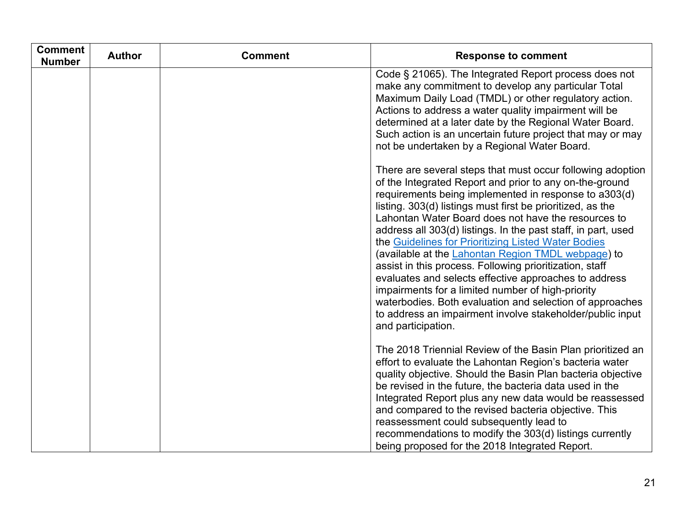| <b>Comment</b><br><b>Number</b> | <b>Author</b> | <b>Comment</b> | <b>Response to comment</b>                                                                                                                                                                                                                                                                                                                                                                                                                                                                                                                                                                                                                                                                                                                                                                                |
|---------------------------------|---------------|----------------|-----------------------------------------------------------------------------------------------------------------------------------------------------------------------------------------------------------------------------------------------------------------------------------------------------------------------------------------------------------------------------------------------------------------------------------------------------------------------------------------------------------------------------------------------------------------------------------------------------------------------------------------------------------------------------------------------------------------------------------------------------------------------------------------------------------|
|                                 |               |                | Code § 21065). The Integrated Report process does not<br>make any commitment to develop any particular Total<br>Maximum Daily Load (TMDL) or other regulatory action.<br>Actions to address a water quality impairment will be<br>determined at a later date by the Regional Water Board.<br>Such action is an uncertain future project that may or may<br>not be undertaken by a Regional Water Board.                                                                                                                                                                                                                                                                                                                                                                                                   |
|                                 |               |                | There are several steps that must occur following adoption<br>of the Integrated Report and prior to any on-the-ground<br>requirements being implemented in response to a303(d)<br>listing. 303(d) listings must first be prioritized, as the<br>Lahontan Water Board does not have the resources to<br>address all 303(d) listings. In the past staff, in part, used<br>the Guidelines for Prioritizing Listed Water Bodies<br>(available at the Lahontan Region TMDL webpage) to<br>assist in this process. Following prioritization, staff<br>evaluates and selects effective approaches to address<br>impairments for a limited number of high-priority<br>waterbodies. Both evaluation and selection of approaches<br>to address an impairment involve stakeholder/public input<br>and participation. |
|                                 |               |                | The 2018 Triennial Review of the Basin Plan prioritized an<br>effort to evaluate the Lahontan Region's bacteria water<br>quality objective. Should the Basin Plan bacteria objective<br>be revised in the future, the bacteria data used in the<br>Integrated Report plus any new data would be reassessed<br>and compared to the revised bacteria objective. This<br>reassessment could subsequently lead to<br>recommendations to modify the 303(d) listings currently<br>being proposed for the 2018 Integrated Report.                                                                                                                                                                                                                                                                                |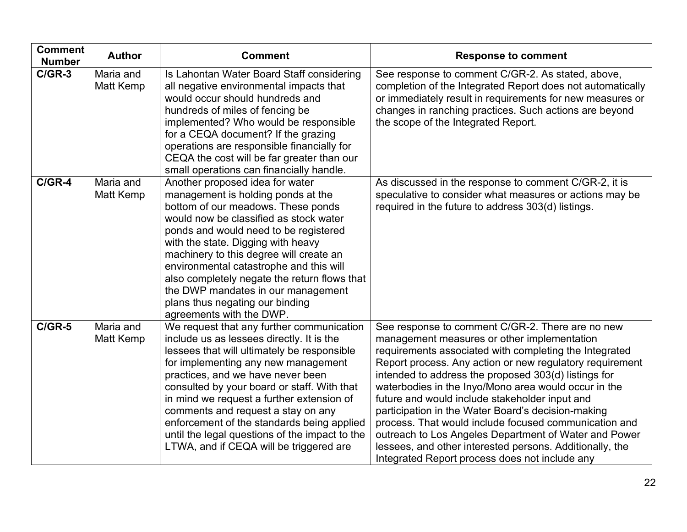| <b>Comment</b><br><b>Number</b> | <b>Author</b>                 | <b>Comment</b>                                                                                                                                                                                                                                                                                                                                                                                                                                                                                 | <b>Response to comment</b>                                                                                                                                                                                                                                                                                                                                                                                                                                                                                                                                                                                                                                                    |
|---------------------------------|-------------------------------|------------------------------------------------------------------------------------------------------------------------------------------------------------------------------------------------------------------------------------------------------------------------------------------------------------------------------------------------------------------------------------------------------------------------------------------------------------------------------------------------|-------------------------------------------------------------------------------------------------------------------------------------------------------------------------------------------------------------------------------------------------------------------------------------------------------------------------------------------------------------------------------------------------------------------------------------------------------------------------------------------------------------------------------------------------------------------------------------------------------------------------------------------------------------------------------|
| $C/GR-3$                        | Maria and<br><b>Matt Kemp</b> | Is Lahontan Water Board Staff considering<br>all negative environmental impacts that<br>would occur should hundreds and<br>hundreds of miles of fencing be<br>implemented? Who would be responsible<br>for a CEQA document? If the grazing<br>operations are responsible financially for<br>CEQA the cost will be far greater than our<br>small operations can financially handle.                                                                                                             | See response to comment C/GR-2. As stated, above,<br>completion of the Integrated Report does not automatically<br>or immediately result in requirements for new measures or<br>changes in ranching practices. Such actions are beyond<br>the scope of the Integrated Report.                                                                                                                                                                                                                                                                                                                                                                                                 |
| $C/GR-4$                        | Maria and<br>Matt Kemp        | Another proposed idea for water<br>management is holding ponds at the<br>bottom of our meadows. These ponds<br>would now be classified as stock water<br>ponds and would need to be registered<br>with the state. Digging with heavy<br>machinery to this degree will create an<br>environmental catastrophe and this will<br>also completely negate the return flows that<br>the DWP mandates in our management<br>plans thus negating our binding<br>agreements with the DWP.                | As discussed in the response to comment C/GR-2, it is<br>speculative to consider what measures or actions may be<br>required in the future to address 303(d) listings.                                                                                                                                                                                                                                                                                                                                                                                                                                                                                                        |
| $C/GR-5$                        | Maria and<br>Matt Kemp        | We request that any further communication<br>include us as lessees directly. It is the<br>lessees that will ultimately be responsible<br>for implementing any new management<br>practices, and we have never been<br>consulted by your board or staff. With that<br>in mind we request a further extension of<br>comments and request a stay on any<br>enforcement of the standards being applied<br>until the legal questions of the impact to the<br>LTWA, and if CEQA will be triggered are | See response to comment C/GR-2. There are no new<br>management measures or other implementation<br>requirements associated with completing the Integrated<br>Report process. Any action or new regulatory requirement<br>intended to address the proposed 303(d) listings for<br>waterbodies in the Inyo/Mono area would occur in the<br>future and would include stakeholder input and<br>participation in the Water Board's decision-making<br>process. That would include focused communication and<br>outreach to Los Angeles Department of Water and Power<br>lessees, and other interested persons. Additionally, the<br>Integrated Report process does not include any |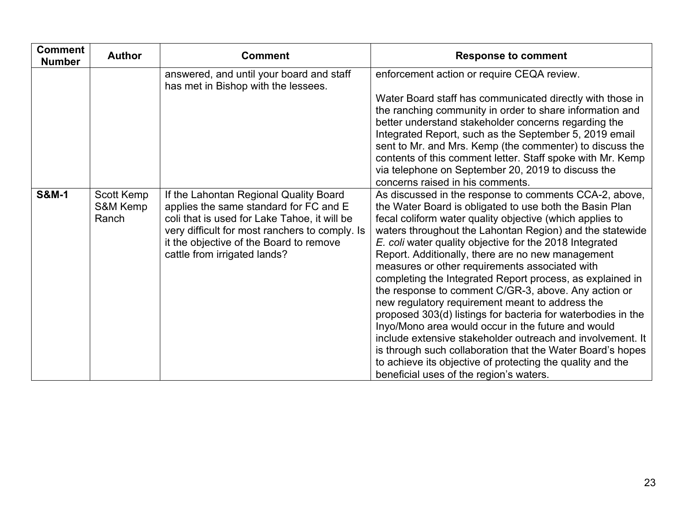| <b>Comment</b><br><b>Number</b> | <b>Author</b>                   | <b>Comment</b>                                                                                                                                                                                                                                                | <b>Response to comment</b>                                                                                                                                                                                                                                                                                                                                                                                                                                                                                                                                                                                                                                                                                                                                                                                                                                                                                                                     |
|---------------------------------|---------------------------------|---------------------------------------------------------------------------------------------------------------------------------------------------------------------------------------------------------------------------------------------------------------|------------------------------------------------------------------------------------------------------------------------------------------------------------------------------------------------------------------------------------------------------------------------------------------------------------------------------------------------------------------------------------------------------------------------------------------------------------------------------------------------------------------------------------------------------------------------------------------------------------------------------------------------------------------------------------------------------------------------------------------------------------------------------------------------------------------------------------------------------------------------------------------------------------------------------------------------|
|                                 |                                 | answered, and until your board and staff<br>has met in Bishop with the lessees.                                                                                                                                                                               | enforcement action or require CEQA review.                                                                                                                                                                                                                                                                                                                                                                                                                                                                                                                                                                                                                                                                                                                                                                                                                                                                                                     |
|                                 |                                 |                                                                                                                                                                                                                                                               | Water Board staff has communicated directly with those in<br>the ranching community in order to share information and<br>better understand stakeholder concerns regarding the<br>Integrated Report, such as the September 5, 2019 email<br>sent to Mr. and Mrs. Kemp (the commenter) to discuss the<br>contents of this comment letter. Staff spoke with Mr. Kemp<br>via telephone on September 20, 2019 to discuss the<br>concerns raised in his comments.                                                                                                                                                                                                                                                                                                                                                                                                                                                                                    |
| <b>S&amp;M-1</b>                | Scott Kemp<br>S&M Kemp<br>Ranch | If the Lahontan Regional Quality Board<br>applies the same standard for FC and E<br>coli that is used for Lake Tahoe, it will be<br>very difficult for most ranchers to comply. Is<br>it the objective of the Board to remove<br>cattle from irrigated lands? | As discussed in the response to comments CCA-2, above,<br>the Water Board is obligated to use both the Basin Plan<br>fecal coliform water quality objective (which applies to<br>waters throughout the Lahontan Region) and the statewide<br>E. coli water quality objective for the 2018 Integrated<br>Report. Additionally, there are no new management<br>measures or other requirements associated with<br>completing the Integrated Report process, as explained in<br>the response to comment C/GR-3, above. Any action or<br>new regulatory requirement meant to address the<br>proposed 303(d) listings for bacteria for waterbodies in the<br>Inyo/Mono area would occur in the future and would<br>include extensive stakeholder outreach and involvement. It<br>is through such collaboration that the Water Board's hopes<br>to achieve its objective of protecting the quality and the<br>beneficial uses of the region's waters. |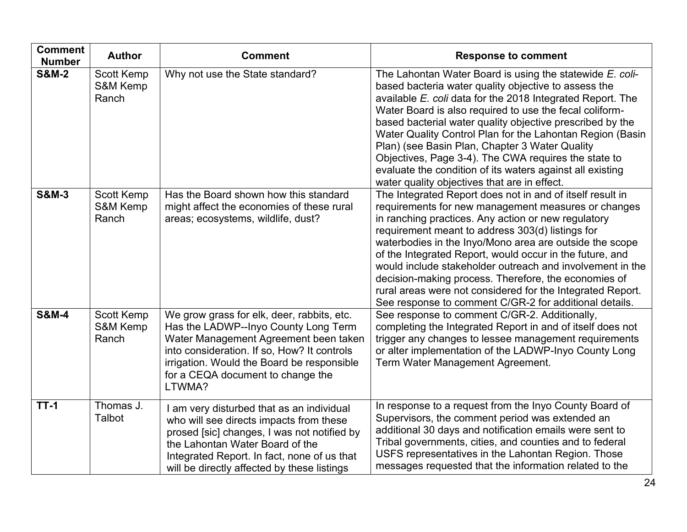| <b>Comment</b><br><b>Number</b> | <b>Author</b>                          | <b>Comment</b>                                                                                                                                                                                                                                                          | <b>Response to comment</b>                                                                                                                                                                                                                                                                                                                                                                                                                                                                                                                                                                      |
|---------------------------------|----------------------------------------|-------------------------------------------------------------------------------------------------------------------------------------------------------------------------------------------------------------------------------------------------------------------------|-------------------------------------------------------------------------------------------------------------------------------------------------------------------------------------------------------------------------------------------------------------------------------------------------------------------------------------------------------------------------------------------------------------------------------------------------------------------------------------------------------------------------------------------------------------------------------------------------|
| <b>S&amp;M-2</b>                | <b>Scott Kemp</b><br>S&M Kemp<br>Ranch | Why not use the State standard?                                                                                                                                                                                                                                         | The Lahontan Water Board is using the statewide E. coli-<br>based bacteria water quality objective to assess the<br>available E. coli data for the 2018 Integrated Report. The<br>Water Board is also required to use the fecal coliform-<br>based bacterial water quality objective prescribed by the<br>Water Quality Control Plan for the Lahontan Region (Basin<br>Plan) (see Basin Plan, Chapter 3 Water Quality<br>Objectives, Page 3-4). The CWA requires the state to<br>evaluate the condition of its waters against all existing<br>water quality objectives that are in effect.      |
| <b>S&amp;M-3</b>                | Scott Kemp<br>S&M Kemp<br>Ranch        | Has the Board shown how this standard<br>might affect the economies of these rural<br>areas; ecosystems, wildlife, dust?                                                                                                                                                | The Integrated Report does not in and of itself result in<br>requirements for new management measures or changes<br>in ranching practices. Any action or new regulatory<br>requirement meant to address 303(d) listings for<br>waterbodies in the Inyo/Mono area are outside the scope<br>of the Integrated Report, would occur in the future, and<br>would include stakeholder outreach and involvement in the<br>decision-making process. Therefore, the economies of<br>rural areas were not considered for the Integrated Report.<br>See response to comment C/GR-2 for additional details. |
| <b>S&amp;M-4</b>                | Scott Kemp<br>S&M Kemp<br>Ranch        | We grow grass for elk, deer, rabbits, etc.<br>Has the LADWP--Inyo County Long Term<br>Water Management Agreement been taken<br>into consideration. If so, How? It controls<br>irrigation. Would the Board be responsible<br>for a CEQA document to change the<br>LTWMA? | See response to comment C/GR-2. Additionally,<br>completing the Integrated Report in and of itself does not<br>trigger any changes to lessee management requirements<br>or alter implementation of the LADWP-Inyo County Long<br>Term Water Management Agreement.                                                                                                                                                                                                                                                                                                                               |
| $TT-1$                          | Thomas J.<br><b>Talbot</b>             | I am very disturbed that as an individual<br>who will see directs impacts from these<br>prosed [sic] changes, I was not notified by<br>the Lahontan Water Board of the<br>Integrated Report. In fact, none of us that<br>will be directly affected by these listings    | In response to a request from the Inyo County Board of<br>Supervisors, the comment period was extended an<br>additional 30 days and notification emails were sent to<br>Tribal governments, cities, and counties and to federal<br>USFS representatives in the Lahontan Region. Those<br>messages requested that the information related to the                                                                                                                                                                                                                                                 |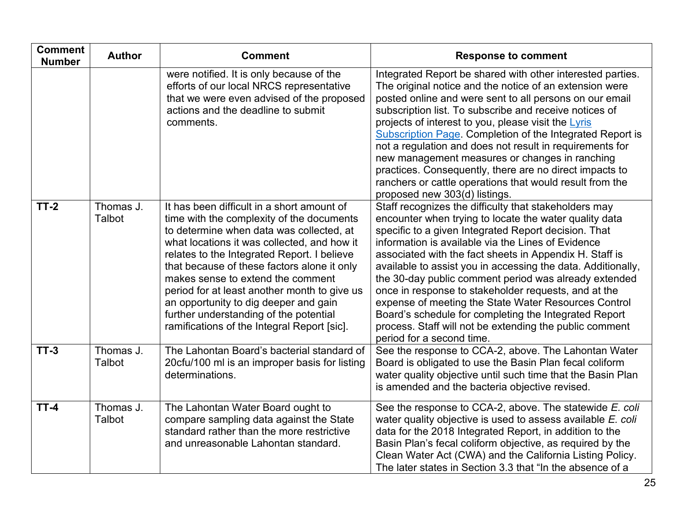| <b>Comment</b><br><b>Number</b> | <b>Author</b>       | <b>Comment</b>                                                                                                                                                                                                                                                                                                                                                                                                                                                                                          | <b>Response to comment</b>                                                                                                                                                                                                                                                                                                                                                                                                                                                                                                                                                                                                                                                         |
|---------------------------------|---------------------|---------------------------------------------------------------------------------------------------------------------------------------------------------------------------------------------------------------------------------------------------------------------------------------------------------------------------------------------------------------------------------------------------------------------------------------------------------------------------------------------------------|------------------------------------------------------------------------------------------------------------------------------------------------------------------------------------------------------------------------------------------------------------------------------------------------------------------------------------------------------------------------------------------------------------------------------------------------------------------------------------------------------------------------------------------------------------------------------------------------------------------------------------------------------------------------------------|
|                                 |                     | were notified. It is only because of the<br>efforts of our local NRCS representative<br>that we were even advised of the proposed<br>actions and the deadline to submit<br>comments.                                                                                                                                                                                                                                                                                                                    | Integrated Report be shared with other interested parties.<br>The original notice and the notice of an extension were<br>posted online and were sent to all persons on our email<br>subscription list. To subscribe and receive notices of<br>projects of interest to you, please visit the Lyris<br><b>Subscription Page. Completion of the Integrated Report is</b><br>not a regulation and does not result in requirements for<br>new management measures or changes in ranching<br>practices. Consequently, there are no direct impacts to<br>ranchers or cattle operations that would result from the<br>proposed new 303(d) listings.                                        |
| $TT-2$                          | Thomas J.<br>Talbot | It has been difficult in a short amount of<br>time with the complexity of the documents<br>to determine when data was collected, at<br>what locations it was collected, and how it<br>relates to the Integrated Report. I believe<br>that because of these factors alone it only<br>makes sense to extend the comment<br>period for at least another month to give us<br>an opportunity to dig deeper and gain<br>further understanding of the potential<br>ramifications of the Integral Report [sic]. | Staff recognizes the difficulty that stakeholders may<br>encounter when trying to locate the water quality data<br>specific to a given Integrated Report decision. That<br>information is available via the Lines of Evidence<br>associated with the fact sheets in Appendix H. Staff is<br>available to assist you in accessing the data. Additionally,<br>the 30-day public comment period was already extended<br>once in response to stakeholder requests, and at the<br>expense of meeting the State Water Resources Control<br>Board's schedule for completing the Integrated Report<br>process. Staff will not be extending the public comment<br>period for a second time. |
| $TT-3$                          | Thomas J.<br>Talbot | The Lahontan Board's bacterial standard of<br>20cfu/100 ml is an improper basis for listing<br>determinations.                                                                                                                                                                                                                                                                                                                                                                                          | See the response to CCA-2, above. The Lahontan Water<br>Board is obligated to use the Basin Plan fecal coliform<br>water quality objective until such time that the Basin Plan<br>is amended and the bacteria objective revised.                                                                                                                                                                                                                                                                                                                                                                                                                                                   |
| $TT-4$                          | Thomas J.<br>Talbot | The Lahontan Water Board ought to<br>compare sampling data against the State<br>standard rather than the more restrictive<br>and unreasonable Lahontan standard.                                                                                                                                                                                                                                                                                                                                        | See the response to CCA-2, above. The statewide E. coli<br>water quality objective is used to assess available E. coli<br>data for the 2018 Integrated Report, in addition to the<br>Basin Plan's fecal coliform objective, as required by the<br>Clean Water Act (CWA) and the California Listing Policy.<br>The later states in Section 3.3 that "In the absence of a                                                                                                                                                                                                                                                                                                            |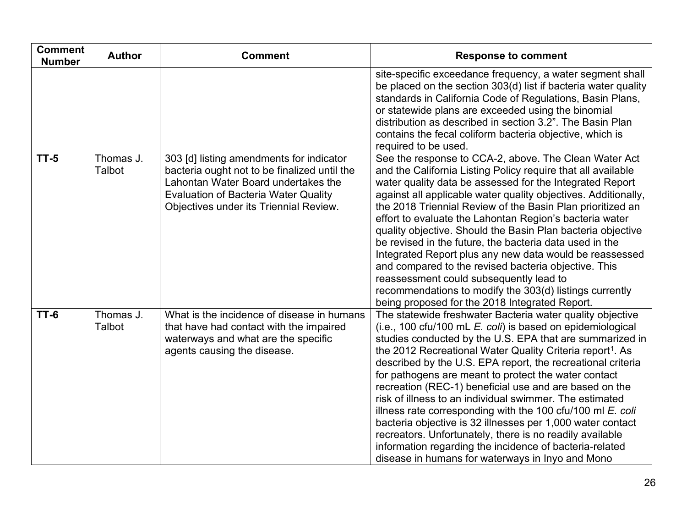| <b>Comment</b><br><b>Number</b> | <b>Author</b>       | <b>Comment</b>                                                                                                                                                                                                           | <b>Response to comment</b>                                                                                                                                                                                                                                                                                                                                                                                                                                                                                                                                                                                                                                                                                                                                                                                           |
|---------------------------------|---------------------|--------------------------------------------------------------------------------------------------------------------------------------------------------------------------------------------------------------------------|----------------------------------------------------------------------------------------------------------------------------------------------------------------------------------------------------------------------------------------------------------------------------------------------------------------------------------------------------------------------------------------------------------------------------------------------------------------------------------------------------------------------------------------------------------------------------------------------------------------------------------------------------------------------------------------------------------------------------------------------------------------------------------------------------------------------|
|                                 |                     |                                                                                                                                                                                                                          | site-specific exceedance frequency, a water segment shall<br>be placed on the section 303(d) list if bacteria water quality<br>standards in California Code of Regulations, Basin Plans,<br>or statewide plans are exceeded using the binomial<br>distribution as described in section 3.2". The Basin Plan<br>contains the fecal coliform bacteria objective, which is<br>required to be used.                                                                                                                                                                                                                                                                                                                                                                                                                      |
| $TT-5$                          | Thomas J.<br>Talbot | 303 [d] listing amendments for indicator<br>bacteria ought not to be finalized until the<br>Lahontan Water Board undertakes the<br><b>Evaluation of Bacteria Water Quality</b><br>Objectives under its Triennial Review. | See the response to CCA-2, above. The Clean Water Act<br>and the California Listing Policy require that all available<br>water quality data be assessed for the Integrated Report<br>against all applicable water quality objectives. Additionally,<br>the 2018 Triennial Review of the Basin Plan prioritized an<br>effort to evaluate the Lahontan Region's bacteria water<br>quality objective. Should the Basin Plan bacteria objective<br>be revised in the future, the bacteria data used in the<br>Integrated Report plus any new data would be reassessed<br>and compared to the revised bacteria objective. This<br>reassessment could subsequently lead to<br>recommendations to modify the 303(d) listings currently<br>being proposed for the 2018 Integrated Report.                                    |
| $TT-6$                          | Thomas J.<br>Talbot | What is the incidence of disease in humans<br>that have had contact with the impaired<br>waterways and what are the specific<br>agents causing the disease.                                                              | The statewide freshwater Bacteria water quality objective<br>$(i.e., 100 cfu/100 mL E. coli)$ is based on epidemiological<br>studies conducted by the U.S. EPA that are summarized in<br>the 2012 Recreational Water Quality Criteria report <sup>1</sup> . As<br>described by the U.S. EPA report, the recreational criteria<br>for pathogens are meant to protect the water contact<br>recreation (REC-1) beneficial use and are based on the<br>risk of illness to an individual swimmer. The estimated<br>illness rate corresponding with the 100 cfu/100 ml $E$ . coli<br>bacteria objective is 32 illnesses per 1,000 water contact<br>recreators. Unfortunately, there is no readily available<br>information regarding the incidence of bacteria-related<br>disease in humans for waterways in Inyo and Mono |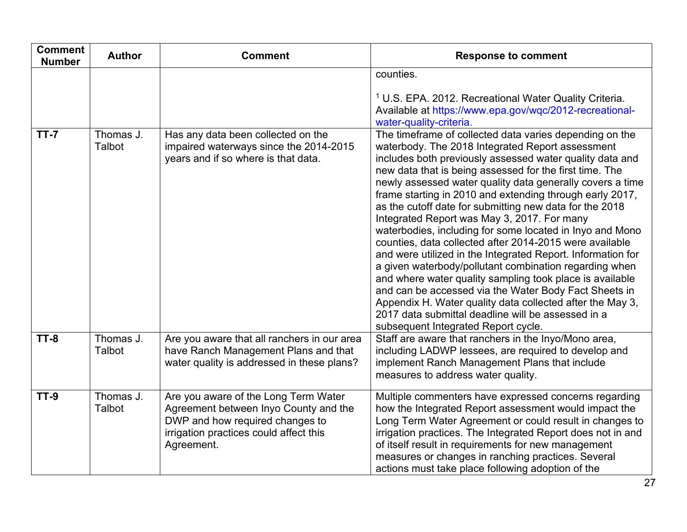| <b>Comment</b><br><b>Number</b> | <b>Author</b>       | <b>Comment</b>                                                                                                                                                           | <b>Response to comment</b>                                                                                                                                                                                                                                                                                                                                                                                                                                                                                                                                                                                                                                                                                                                                                                                                                                                                                                                                                                           |
|---------------------------------|---------------------|--------------------------------------------------------------------------------------------------------------------------------------------------------------------------|------------------------------------------------------------------------------------------------------------------------------------------------------------------------------------------------------------------------------------------------------------------------------------------------------------------------------------------------------------------------------------------------------------------------------------------------------------------------------------------------------------------------------------------------------------------------------------------------------------------------------------------------------------------------------------------------------------------------------------------------------------------------------------------------------------------------------------------------------------------------------------------------------------------------------------------------------------------------------------------------------|
|                                 |                     |                                                                                                                                                                          | counties.<br><sup>1</sup> U.S. EPA. 2012. Recreational Water Quality Criteria.<br>Available at https://www.epa.gov/wqc/2012-recreational-<br>water-quality-criteria.                                                                                                                                                                                                                                                                                                                                                                                                                                                                                                                                                                                                                                                                                                                                                                                                                                 |
| $TT - 7$                        | Thomas J.<br>Talbot | Has any data been collected on the<br>impaired waterways since the 2014-2015<br>years and if so where is that data.                                                      | The timeframe of collected data varies depending on the<br>waterbody. The 2018 Integrated Report assessment<br>includes both previously assessed water quality data and<br>new data that is being assessed for the first time. The<br>newly assessed water quality data generally covers a time<br>frame starting in 2010 and extending through early 2017,<br>as the cutoff date for submitting new data for the 2018<br>Integrated Report was May 3, 2017. For many<br>waterbodies, including for some located in Inyo and Mono<br>counties, data collected after 2014-2015 were available<br>and were utilized in the Integrated Report. Information for<br>a given waterbody/pollutant combination regarding when<br>and where water quality sampling took place is available<br>and can be accessed via the Water Body Fact Sheets in<br>Appendix H. Water quality data collected after the May 3,<br>2017 data submittal deadline will be assessed in a<br>subsequent Integrated Report cycle. |
| $TT-8$                          | Thomas J.<br>Talbot | Are you aware that all ranchers in our area<br>have Ranch Management Plans and that<br>water quality is addressed in these plans?                                        | Staff are aware that ranchers in the Inyo/Mono area,<br>including LADWP lessees, are required to develop and<br>implement Ranch Management Plans that include<br>measures to address water quality.                                                                                                                                                                                                                                                                                                                                                                                                                                                                                                                                                                                                                                                                                                                                                                                                  |
| <b>TT-9</b>                     | Thomas J.<br>Talbot | Are you aware of the Long Term Water<br>Agreement between Inyo County and the<br>DWP and how required changes to<br>irrigation practices could affect this<br>Agreement. | Multiple commenters have expressed concerns regarding<br>how the Integrated Report assessment would impact the<br>Long Term Water Agreement or could result in changes to<br>irrigation practices. The Integrated Report does not in and<br>of itself result in requirements for new management<br>measures or changes in ranching practices. Several<br>actions must take place following adoption of the                                                                                                                                                                                                                                                                                                                                                                                                                                                                                                                                                                                           |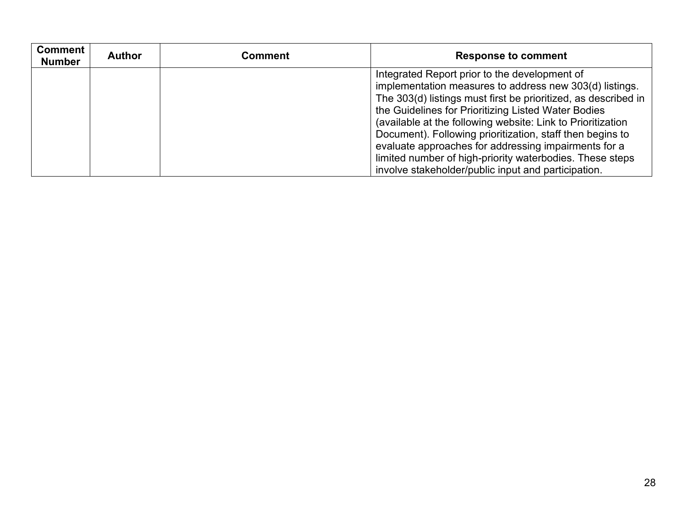| <b>Comment</b><br><b>Number</b> | <b>Author</b> | Comment | <b>Response to comment</b>                                     |
|---------------------------------|---------------|---------|----------------------------------------------------------------|
|                                 |               |         | Integrated Report prior to the development of                  |
|                                 |               |         | implementation measures to address new 303(d) listings.        |
|                                 |               |         | The 303(d) listings must first be prioritized, as described in |
|                                 |               |         | the Guidelines for Prioritizing Listed Water Bodies            |
|                                 |               |         | (available at the following website: Link to Prioritization    |
|                                 |               |         | Document). Following prioritization, staff then begins to      |
|                                 |               |         | evaluate approaches for addressing impairments for a           |
|                                 |               |         | limited number of high-priority waterbodies. These steps       |
|                                 |               |         | involve stakeholder/public input and participation.            |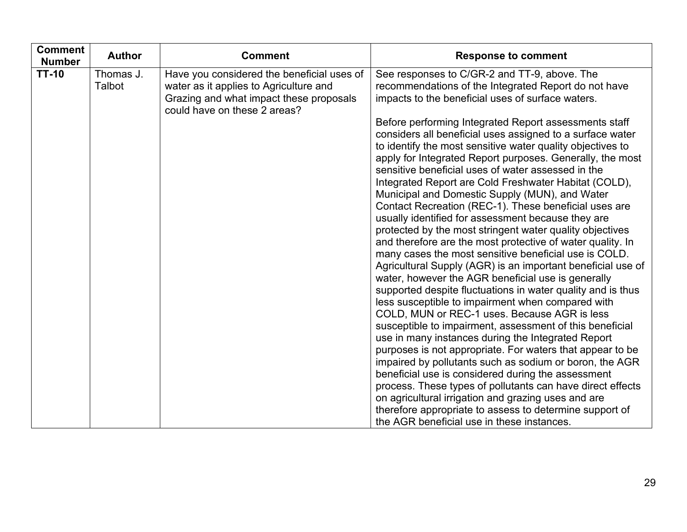| <b>Comment</b><br><b>Number</b> | <b>Author</b>       | <b>Comment</b>                                                                                                                                                  | <b>Response to comment</b>                                                                                                                                                                                                                                                                                                                                                                                                                                                                                                                                                                                                                                                                                                                                                                                                                                                                                                                                                                                                                                                                                                                                                               |
|---------------------------------|---------------------|-----------------------------------------------------------------------------------------------------------------------------------------------------------------|------------------------------------------------------------------------------------------------------------------------------------------------------------------------------------------------------------------------------------------------------------------------------------------------------------------------------------------------------------------------------------------------------------------------------------------------------------------------------------------------------------------------------------------------------------------------------------------------------------------------------------------------------------------------------------------------------------------------------------------------------------------------------------------------------------------------------------------------------------------------------------------------------------------------------------------------------------------------------------------------------------------------------------------------------------------------------------------------------------------------------------------------------------------------------------------|
| <b>TT-10</b>                    | Thomas J.<br>Talbot | Have you considered the beneficial uses of<br>water as it applies to Agriculture and<br>Grazing and what impact these proposals<br>could have on these 2 areas? | See responses to C/GR-2 and TT-9, above. The<br>recommendations of the Integrated Report do not have<br>impacts to the beneficial uses of surface waters.                                                                                                                                                                                                                                                                                                                                                                                                                                                                                                                                                                                                                                                                                                                                                                                                                                                                                                                                                                                                                                |
|                                 |                     |                                                                                                                                                                 | Before performing Integrated Report assessments staff<br>considers all beneficial uses assigned to a surface water<br>to identify the most sensitive water quality objectives to<br>apply for Integrated Report purposes. Generally, the most<br>sensitive beneficial uses of water assessed in the<br>Integrated Report are Cold Freshwater Habitat (COLD),<br>Municipal and Domestic Supply (MUN), and Water<br>Contact Recreation (REC-1). These beneficial uses are<br>usually identified for assessment because they are<br>protected by the most stringent water quality objectives<br>and therefore are the most protective of water quality. In<br>many cases the most sensitive beneficial use is COLD.<br>Agricultural Supply (AGR) is an important beneficial use of<br>water, however the AGR beneficial use is generally<br>supported despite fluctuations in water quality and is thus<br>less susceptible to impairment when compared with<br>COLD, MUN or REC-1 uses. Because AGR is less<br>susceptible to impairment, assessment of this beneficial<br>use in many instances during the Integrated Report<br>purposes is not appropriate. For waters that appear to be |
|                                 |                     |                                                                                                                                                                 | impaired by pollutants such as sodium or boron, the AGR<br>beneficial use is considered during the assessment<br>process. These types of pollutants can have direct effects                                                                                                                                                                                                                                                                                                                                                                                                                                                                                                                                                                                                                                                                                                                                                                                                                                                                                                                                                                                                              |
|                                 |                     |                                                                                                                                                                 | on agricultural irrigation and grazing uses and are<br>therefore appropriate to assess to determine support of<br>the AGR beneficial use in these instances.                                                                                                                                                                                                                                                                                                                                                                                                                                                                                                                                                                                                                                                                                                                                                                                                                                                                                                                                                                                                                             |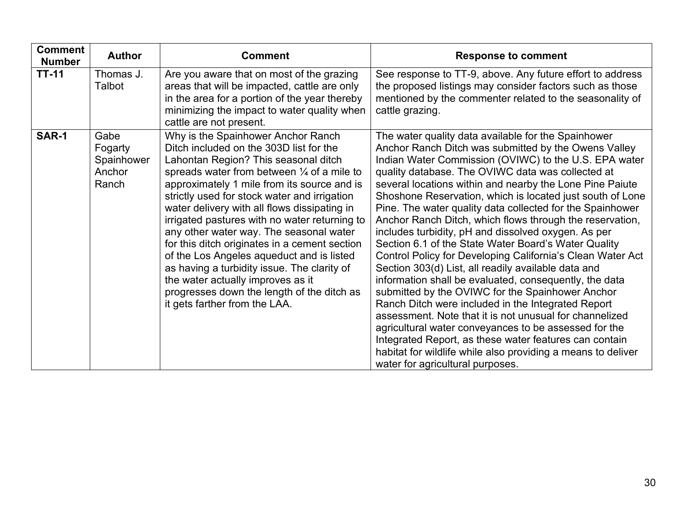| <b>Comment</b><br><b>Number</b> | <b>Author</b>                                    | <b>Comment</b>                                                                                                                                                                                                                                                                                                                                                                                                                                                                                                                                                                                                                                                                             | <b>Response to comment</b>                                                                                                                                                                                                                                                                                                                                                                                                                                                                                                                                                                                                                                                                                                                                                                                                                                                                                                                                                                                                                                                                                                                                            |
|---------------------------------|--------------------------------------------------|--------------------------------------------------------------------------------------------------------------------------------------------------------------------------------------------------------------------------------------------------------------------------------------------------------------------------------------------------------------------------------------------------------------------------------------------------------------------------------------------------------------------------------------------------------------------------------------------------------------------------------------------------------------------------------------------|-----------------------------------------------------------------------------------------------------------------------------------------------------------------------------------------------------------------------------------------------------------------------------------------------------------------------------------------------------------------------------------------------------------------------------------------------------------------------------------------------------------------------------------------------------------------------------------------------------------------------------------------------------------------------------------------------------------------------------------------------------------------------------------------------------------------------------------------------------------------------------------------------------------------------------------------------------------------------------------------------------------------------------------------------------------------------------------------------------------------------------------------------------------------------|
| <b>TT-11</b>                    | Thomas J.<br>Talbot                              | Are you aware that on most of the grazing<br>areas that will be impacted, cattle are only<br>in the area for a portion of the year thereby<br>minimizing the impact to water quality when<br>cattle are not present.                                                                                                                                                                                                                                                                                                                                                                                                                                                                       | See response to TT-9, above. Any future effort to address<br>the proposed listings may consider factors such as those<br>mentioned by the commenter related to the seasonality of<br>cattle grazing.                                                                                                                                                                                                                                                                                                                                                                                                                                                                                                                                                                                                                                                                                                                                                                                                                                                                                                                                                                  |
| SAR-1                           | Gabe<br>Fogarty<br>Spainhower<br>Anchor<br>Ranch | Why is the Spainhower Anchor Ranch<br>Ditch included on the 303D list for the<br>Lahontan Region? This seasonal ditch<br>spreads water from between $\frac{1}{4}$ of a mile to<br>approximately 1 mile from its source and is<br>strictly used for stock water and irrigation<br>water delivery with all flows dissipating in<br>irrigated pastures with no water returning to<br>any other water way. The seasonal water<br>for this ditch originates in a cement section<br>of the Los Angeles aqueduct and is listed<br>as having a turbidity issue. The clarity of<br>the water actually improves as it<br>progresses down the length of the ditch as<br>it gets farther from the LAA. | The water quality data available for the Spainhower<br>Anchor Ranch Ditch was submitted by the Owens Valley<br>Indian Water Commission (OVIWC) to the U.S. EPA water<br>quality database. The OVIWC data was collected at<br>several locations within and nearby the Lone Pine Paiute<br>Shoshone Reservation, which is located just south of Lone<br>Pine. The water quality data collected for the Spainhower<br>Anchor Ranch Ditch, which flows through the reservation,<br>includes turbidity, pH and dissolved oxygen. As per<br>Section 6.1 of the State Water Board's Water Quality<br>Control Policy for Developing California's Clean Water Act<br>Section 303(d) List, all readily available data and<br>information shall be evaluated, consequently, the data<br>submitted by the OVIWC for the Spainhower Anchor<br>Ranch Ditch were included in the Integrated Report<br>assessment. Note that it is not unusual for channelized<br>agricultural water conveyances to be assessed for the<br>Integrated Report, as these water features can contain<br>habitat for wildlife while also providing a means to deliver<br>water for agricultural purposes. |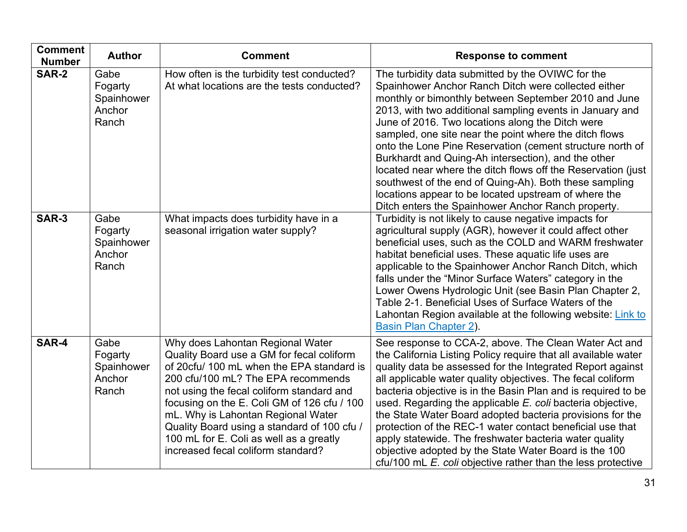| <b>Comment</b><br><b>Number</b> | <b>Author</b>                                    | <b>Comment</b>                                                                                                                                                                                                                                                                                                                                                                                                                     | <b>Response to comment</b>                                                                                                                                                                                                                                                                                                                                                                                                                                                                                                                                                                                                                                                                              |
|---------------------------------|--------------------------------------------------|------------------------------------------------------------------------------------------------------------------------------------------------------------------------------------------------------------------------------------------------------------------------------------------------------------------------------------------------------------------------------------------------------------------------------------|---------------------------------------------------------------------------------------------------------------------------------------------------------------------------------------------------------------------------------------------------------------------------------------------------------------------------------------------------------------------------------------------------------------------------------------------------------------------------------------------------------------------------------------------------------------------------------------------------------------------------------------------------------------------------------------------------------|
| <b>SAR-2</b>                    | Gabe<br>Fogarty<br>Spainhower<br>Anchor<br>Ranch | How often is the turbidity test conducted?<br>At what locations are the tests conducted?                                                                                                                                                                                                                                                                                                                                           | The turbidity data submitted by the OVIWC for the<br>Spainhower Anchor Ranch Ditch were collected either<br>monthly or bimonthly between September 2010 and June<br>2013, with two additional sampling events in January and<br>June of 2016. Two locations along the Ditch were<br>sampled, one site near the point where the ditch flows<br>onto the Lone Pine Reservation (cement structure north of<br>Burkhardt and Quing-Ah intersection), and the other<br>located near where the ditch flows off the Reservation (just)<br>southwest of the end of Quing-Ah). Both these sampling<br>locations appear to be located upstream of where the<br>Ditch enters the Spainhower Anchor Ranch property. |
| SAR-3                           | Gabe<br>Fogarty<br>Spainhower<br>Anchor<br>Ranch | What impacts does turbidity have in a<br>seasonal irrigation water supply?                                                                                                                                                                                                                                                                                                                                                         | Turbidity is not likely to cause negative impacts for<br>agricultural supply (AGR), however it could affect other<br>beneficial uses, such as the COLD and WARM freshwater<br>habitat beneficial uses. These aquatic life uses are<br>applicable to the Spainhower Anchor Ranch Ditch, which<br>falls under the "Minor Surface Waters" category in the<br>Lower Owens Hydrologic Unit (see Basin Plan Chapter 2,<br>Table 2-1. Beneficial Uses of Surface Waters of the<br>Lahontan Region available at the following website: Link to<br>Basin Plan Chapter 2).                                                                                                                                        |
| SAR-4                           | Gabe<br>Fogarty<br>Spainhower<br>Anchor<br>Ranch | Why does Lahontan Regional Water<br>Quality Board use a GM for fecal coliform<br>of 20cfu/ 100 mL when the EPA standard is<br>200 cfu/100 mL? The EPA recommends<br>not using the fecal coliform standard and<br>focusing on the E. Coli GM of 126 cfu / 100<br>mL. Why is Lahontan Regional Water<br>Quality Board using a standard of 100 cfu /<br>100 mL for E. Coli as well as a greatly<br>increased fecal coliform standard? | See response to CCA-2, above. The Clean Water Act and<br>the California Listing Policy require that all available water<br>quality data be assessed for the Integrated Report against<br>all applicable water quality objectives. The fecal coliform<br>bacteria objective is in the Basin Plan and is required to be<br>used. Regarding the applicable E. coli bacteria objective,<br>the State Water Board adopted bacteria provisions for the<br>protection of the REC-1 water contact beneficial use that<br>apply statewide. The freshwater bacteria water quality<br>objective adopted by the State Water Board is the 100<br>cfu/100 mL E. coli objective rather than the less protective        |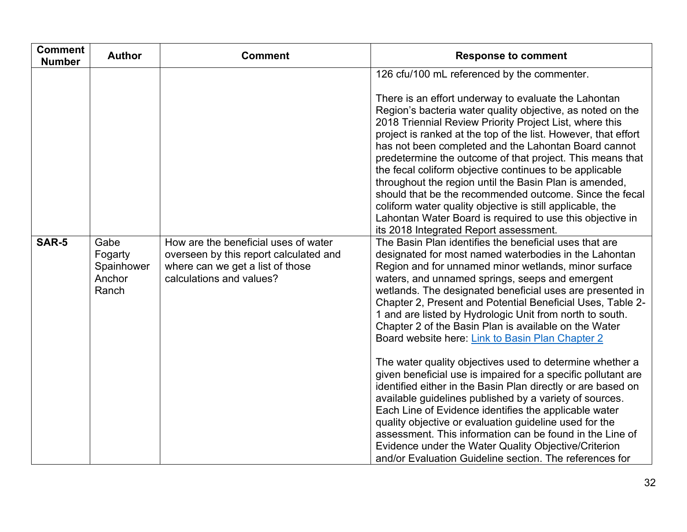| <b>Comment</b><br><b>Number</b> | <b>Author</b>                                    | <b>Comment</b>                                                                                                                                 | <b>Response to comment</b>                                                                                                                                                                                                                                                                                                                                                                                                                                                                                                                                                                                                                                                                                                                                                                                                                                                                                                                                                                                                                                                                                                         |
|---------------------------------|--------------------------------------------------|------------------------------------------------------------------------------------------------------------------------------------------------|------------------------------------------------------------------------------------------------------------------------------------------------------------------------------------------------------------------------------------------------------------------------------------------------------------------------------------------------------------------------------------------------------------------------------------------------------------------------------------------------------------------------------------------------------------------------------------------------------------------------------------------------------------------------------------------------------------------------------------------------------------------------------------------------------------------------------------------------------------------------------------------------------------------------------------------------------------------------------------------------------------------------------------------------------------------------------------------------------------------------------------|
|                                 |                                                  |                                                                                                                                                | 126 cfu/100 mL referenced by the commenter.<br>There is an effort underway to evaluate the Lahontan<br>Region's bacteria water quality objective, as noted on the<br>2018 Triennial Review Priority Project List, where this<br>project is ranked at the top of the list. However, that effort<br>has not been completed and the Lahontan Board cannot<br>predetermine the outcome of that project. This means that<br>the fecal coliform objective continues to be applicable<br>throughout the region until the Basin Plan is amended,<br>should that be the recommended outcome. Since the fecal<br>coliform water quality objective is still applicable, the<br>Lahontan Water Board is required to use this objective in                                                                                                                                                                                                                                                                                                                                                                                                      |
| SAR-5                           | Gabe<br>Fogarty<br>Spainhower<br>Anchor<br>Ranch | How are the beneficial uses of water<br>overseen by this report calculated and<br>where can we get a list of those<br>calculations and values? | its 2018 Integrated Report assessment.<br>The Basin Plan identifies the beneficial uses that are<br>designated for most named waterbodies in the Lahontan<br>Region and for unnamed minor wetlands, minor surface<br>waters, and unnamed springs, seeps and emergent<br>wetlands. The designated beneficial uses are presented in<br>Chapter 2, Present and Potential Beneficial Uses, Table 2-<br>1 and are listed by Hydrologic Unit from north to south.<br>Chapter 2 of the Basin Plan is available on the Water<br>Board website here: Link to Basin Plan Chapter 2<br>The water quality objectives used to determine whether a<br>given beneficial use is impaired for a specific pollutant are<br>identified either in the Basin Plan directly or are based on<br>available guidelines published by a variety of sources.<br>Each Line of Evidence identifies the applicable water<br>quality objective or evaluation guideline used for the<br>assessment. This information can be found in the Line of<br>Evidence under the Water Quality Objective/Criterion<br>and/or Evaluation Guideline section. The references for |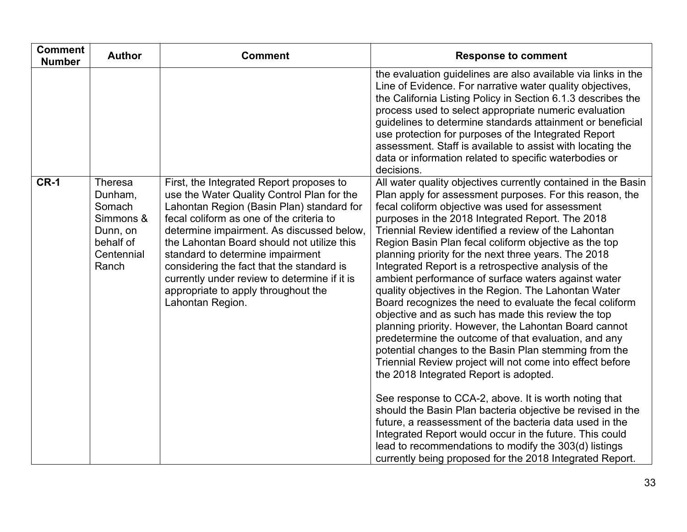| <b>Comment</b><br><b>Number</b> | <b>Author</b>                                                                             | <b>Comment</b>                                                                                                                                                                                                                                                                                                                                                                                                                                                         | <b>Response to comment</b>                                                                                                                                                                                                                                                                                                                                                                                                                                                                                                                                                                                                                                                                                                                                                                                                                                                                                                                                                                                                                                                                                                                                                                                                                                                                                                                             |
|---------------------------------|-------------------------------------------------------------------------------------------|------------------------------------------------------------------------------------------------------------------------------------------------------------------------------------------------------------------------------------------------------------------------------------------------------------------------------------------------------------------------------------------------------------------------------------------------------------------------|--------------------------------------------------------------------------------------------------------------------------------------------------------------------------------------------------------------------------------------------------------------------------------------------------------------------------------------------------------------------------------------------------------------------------------------------------------------------------------------------------------------------------------------------------------------------------------------------------------------------------------------------------------------------------------------------------------------------------------------------------------------------------------------------------------------------------------------------------------------------------------------------------------------------------------------------------------------------------------------------------------------------------------------------------------------------------------------------------------------------------------------------------------------------------------------------------------------------------------------------------------------------------------------------------------------------------------------------------------|
|                                 |                                                                                           |                                                                                                                                                                                                                                                                                                                                                                                                                                                                        | the evaluation guidelines are also available via links in the<br>Line of Evidence. For narrative water quality objectives,<br>the California Listing Policy in Section 6.1.3 describes the<br>process used to select appropriate numeric evaluation<br>guidelines to determine standards attainment or beneficial<br>use protection for purposes of the Integrated Report<br>assessment. Staff is available to assist with locating the<br>data or information related to specific waterbodies or<br>decisions.                                                                                                                                                                                                                                                                                                                                                                                                                                                                                                                                                                                                                                                                                                                                                                                                                                        |
| <b>CR-1</b>                     | Theresa<br>Dunham,<br>Somach<br>Simmons &<br>Dunn, on<br>behalf of<br>Centennial<br>Ranch | First, the Integrated Report proposes to<br>use the Water Quality Control Plan for the<br>Lahontan Region (Basin Plan) standard for<br>fecal coliform as one of the criteria to<br>determine impairment. As discussed below,<br>the Lahontan Board should not utilize this<br>standard to determine impairment<br>considering the fact that the standard is<br>currently under review to determine if it is<br>appropriate to apply throughout the<br>Lahontan Region. | All water quality objectives currently contained in the Basin<br>Plan apply for assessment purposes. For this reason, the<br>fecal coliform objective was used for assessment<br>purposes in the 2018 Integrated Report. The 2018<br>Triennial Review identified a review of the Lahontan<br>Region Basin Plan fecal coliform objective as the top<br>planning priority for the next three years. The 2018<br>Integrated Report is a retrospective analysis of the<br>ambient performance of surface waters against water<br>quality objectives in the Region. The Lahontan Water<br>Board recognizes the need to evaluate the fecal coliform<br>objective and as such has made this review the top<br>planning priority. However, the Lahontan Board cannot<br>predetermine the outcome of that evaluation, and any<br>potential changes to the Basin Plan stemming from the<br>Triennial Review project will not come into effect before<br>the 2018 Integrated Report is adopted.<br>See response to CCA-2, above. It is worth noting that<br>should the Basin Plan bacteria objective be revised in the<br>future, a reassessment of the bacteria data used in the<br>Integrated Report would occur in the future. This could<br>lead to recommendations to modify the 303(d) listings<br>currently being proposed for the 2018 Integrated Report. |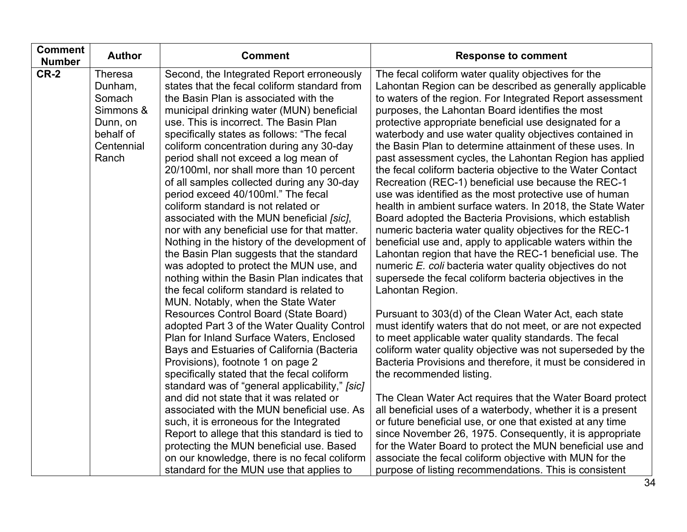| <b>Comment</b><br><b>Number</b> | <b>Author</b>                                                                             | <b>Comment</b>                                                                                                                                                                                                                                                                                                                                                                                                                                                                                                                                                                                                                                                                                                                                                                                                                                                                                                                                                                                      | <b>Response to comment</b>                                                                                                                                                                                                                                                                                                                                                                                                                                                                                                                                                                                                                                                                                                                                                                                                                                                                                                                                                                                                                                                                                                                                                                                                               |
|---------------------------------|-------------------------------------------------------------------------------------------|-----------------------------------------------------------------------------------------------------------------------------------------------------------------------------------------------------------------------------------------------------------------------------------------------------------------------------------------------------------------------------------------------------------------------------------------------------------------------------------------------------------------------------------------------------------------------------------------------------------------------------------------------------------------------------------------------------------------------------------------------------------------------------------------------------------------------------------------------------------------------------------------------------------------------------------------------------------------------------------------------------|------------------------------------------------------------------------------------------------------------------------------------------------------------------------------------------------------------------------------------------------------------------------------------------------------------------------------------------------------------------------------------------------------------------------------------------------------------------------------------------------------------------------------------------------------------------------------------------------------------------------------------------------------------------------------------------------------------------------------------------------------------------------------------------------------------------------------------------------------------------------------------------------------------------------------------------------------------------------------------------------------------------------------------------------------------------------------------------------------------------------------------------------------------------------------------------------------------------------------------------|
| <b>CR-2</b>                     | Theresa<br>Dunham,<br>Somach<br>Simmons &<br>Dunn, on<br>behalf of<br>Centennial<br>Ranch | Second, the Integrated Report erroneously<br>states that the fecal coliform standard from<br>the Basin Plan is associated with the<br>municipal drinking water (MUN) beneficial<br>use. This is incorrect. The Basin Plan<br>specifically states as follows: "The fecal<br>coliform concentration during any 30-day<br>period shall not exceed a log mean of<br>20/100ml, nor shall more than 10 percent<br>of all samples collected during any 30-day<br>period exceed 40/100ml." The fecal<br>coliform standard is not related or<br>associated with the MUN beneficial [sic],<br>nor with any beneficial use for that matter.<br>Nothing in the history of the development of<br>the Basin Plan suggests that the standard<br>was adopted to protect the MUN use, and<br>nothing within the Basin Plan indicates that<br>the fecal coliform standard is related to<br>MUN. Notably, when the State Water<br>Resources Control Board (State Board)<br>adopted Part 3 of the Water Quality Control | The fecal coliform water quality objectives for the<br>Lahontan Region can be described as generally applicable<br>to waters of the region. For Integrated Report assessment<br>purposes, the Lahontan Board identifies the most<br>protective appropriate beneficial use designated for a<br>waterbody and use water quality objectives contained in<br>the Basin Plan to determine attainment of these uses. In<br>past assessment cycles, the Lahontan Region has applied<br>the fecal coliform bacteria objective to the Water Contact<br>Recreation (REC-1) beneficial use because the REC-1<br>use was identified as the most protective use of human<br>health in ambient surface waters. In 2018, the State Water<br>Board adopted the Bacteria Provisions, which establish<br>numeric bacteria water quality objectives for the REC-1<br>beneficial use and, apply to applicable waters within the<br>Lahontan region that have the REC-1 beneficial use. The<br>numeric E. coli bacteria water quality objectives do not<br>supersede the fecal coliform bacteria objectives in the<br>Lahontan Region.<br>Pursuant to 303(d) of the Clean Water Act, each state<br>must identify waters that do not meet, or are not expected |
|                                 |                                                                                           | Plan for Inland Surface Waters, Enclosed<br>Bays and Estuaries of California (Bacteria<br>Provisions), footnote 1 on page 2<br>specifically stated that the fecal coliform<br>standard was of "general applicability," [sic]                                                                                                                                                                                                                                                                                                                                                                                                                                                                                                                                                                                                                                                                                                                                                                        | to meet applicable water quality standards. The fecal<br>coliform water quality objective was not superseded by the<br>Bacteria Provisions and therefore, it must be considered in<br>the recommended listing.                                                                                                                                                                                                                                                                                                                                                                                                                                                                                                                                                                                                                                                                                                                                                                                                                                                                                                                                                                                                                           |
|                                 |                                                                                           | and did not state that it was related or<br>associated with the MUN beneficial use. As<br>such, it is erroneous for the Integrated<br>Report to allege that this standard is tied to<br>protecting the MUN beneficial use. Based<br>on our knowledge, there is no fecal coliform<br>standard for the MUN use that applies to                                                                                                                                                                                                                                                                                                                                                                                                                                                                                                                                                                                                                                                                        | The Clean Water Act requires that the Water Board protect<br>all beneficial uses of a waterbody, whether it is a present<br>or future beneficial use, or one that existed at any time<br>since November 26, 1975. Consequently, it is appropriate<br>for the Water Board to protect the MUN beneficial use and<br>associate the fecal coliform objective with MUN for the<br>purpose of listing recommendations. This is consistent                                                                                                                                                                                                                                                                                                                                                                                                                                                                                                                                                                                                                                                                                                                                                                                                      |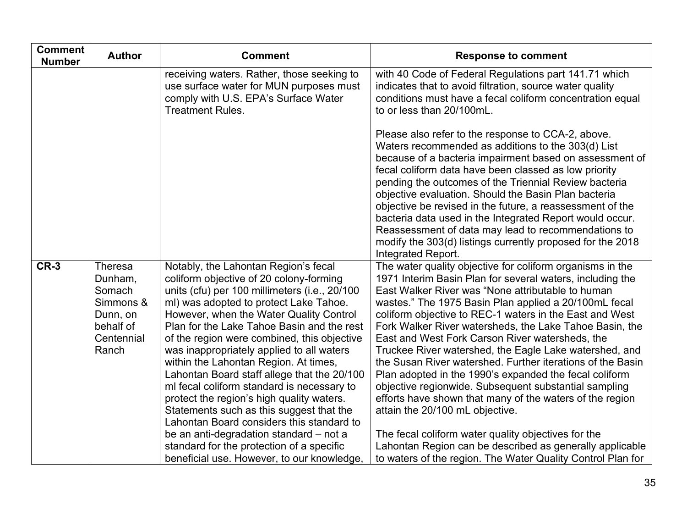| <b>Comment</b><br><b>Number</b> | <b>Author</b>                                | <b>Comment</b>                                                                                                                                                                                                                                                                                                          | <b>Response to comment</b>                                                                                                                                                                                                                                                                                                                                                                                                                                                                                                                                                                                        |
|---------------------------------|----------------------------------------------|-------------------------------------------------------------------------------------------------------------------------------------------------------------------------------------------------------------------------------------------------------------------------------------------------------------------------|-------------------------------------------------------------------------------------------------------------------------------------------------------------------------------------------------------------------------------------------------------------------------------------------------------------------------------------------------------------------------------------------------------------------------------------------------------------------------------------------------------------------------------------------------------------------------------------------------------------------|
|                                 |                                              | receiving waters. Rather, those seeking to<br>use surface water for MUN purposes must<br>comply with U.S. EPA's Surface Water<br><b>Treatment Rules.</b>                                                                                                                                                                | with 40 Code of Federal Regulations part 141.71 which<br>indicates that to avoid filtration, source water quality<br>conditions must have a fecal coliform concentration equal<br>to or less than 20/100mL.                                                                                                                                                                                                                                                                                                                                                                                                       |
|                                 |                                              |                                                                                                                                                                                                                                                                                                                         | Please also refer to the response to CCA-2, above.<br>Waters recommended as additions to the 303(d) List<br>because of a bacteria impairment based on assessment of<br>fecal coliform data have been classed as low priority<br>pending the outcomes of the Triennial Review bacteria<br>objective evaluation. Should the Basin Plan bacteria<br>objective be revised in the future, a reassessment of the<br>bacteria data used in the Integrated Report would occur.<br>Reassessment of data may lead to recommendations to<br>modify the 303(d) listings currently proposed for the 2018<br>Integrated Report. |
| $CR-3$                          | Theresa<br>Dunham,<br>Somach<br>Simmons &    | Notably, the Lahontan Region's fecal<br>coliform objective of 20 colony-forming<br>units (cfu) per 100 millimeters (i.e., 20/100<br>ml) was adopted to protect Lake Tahoe.                                                                                                                                              | The water quality objective for coliform organisms in the<br>1971 Interim Basin Plan for several waters, including the<br>East Walker River was "None attributable to human<br>wastes." The 1975 Basin Plan applied a 20/100mL fecal                                                                                                                                                                                                                                                                                                                                                                              |
|                                 | Dunn, on<br>behalf of<br>Centennial<br>Ranch | However, when the Water Quality Control<br>Plan for the Lake Tahoe Basin and the rest<br>of the region were combined, this objective<br>was inappropriately applied to all waters<br>within the Lahontan Region. At times,<br>Lahontan Board staff allege that the 20/100<br>ml fecal coliform standard is necessary to | coliform objective to REC-1 waters in the East and West<br>Fork Walker River watersheds, the Lake Tahoe Basin, the<br>East and West Fork Carson River watersheds, the<br>Truckee River watershed, the Eagle Lake watershed, and<br>the Susan River watershed. Further iterations of the Basin<br>Plan adopted in the 1990's expanded the fecal coliform<br>objective regionwide. Subsequent substantial sampling                                                                                                                                                                                                  |
|                                 |                                              | protect the region's high quality waters.<br>Statements such as this suggest that the<br>Lahontan Board considers this standard to<br>be an anti-degradation standard – not a<br>standard for the protection of a specific<br>beneficial use. However, to our knowledge,                                                | efforts have shown that many of the waters of the region<br>attain the 20/100 mL objective.<br>The fecal coliform water quality objectives for the<br>Lahontan Region can be described as generally applicable<br>to waters of the region. The Water Quality Control Plan for                                                                                                                                                                                                                                                                                                                                     |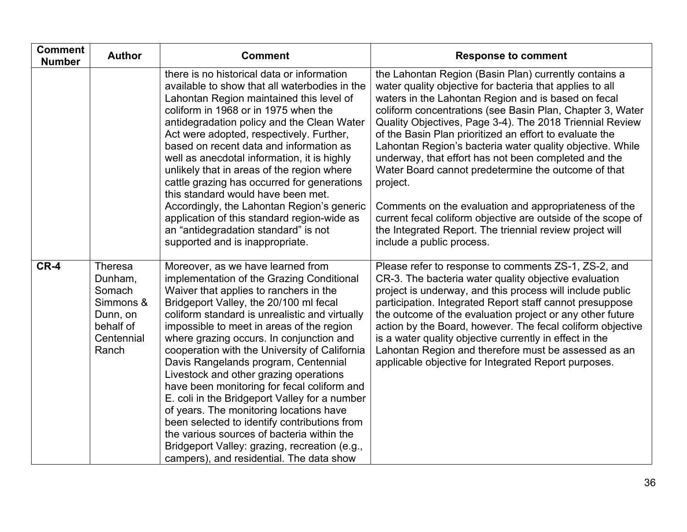| <b>Comment</b><br><b>Number</b> | <b>Author</b>                                                                                    | <b>Comment</b>                                                                                                                                                                                                                                                                                                                                                                                                                                                                                                                                                                                                                                                                                                                                                                         | <b>Response to comment</b>                                                                                                                                                                                                                                                                                                                                                                                                                                                                                                                                                                                                                                                                                                                                             |
|---------------------------------|--------------------------------------------------------------------------------------------------|----------------------------------------------------------------------------------------------------------------------------------------------------------------------------------------------------------------------------------------------------------------------------------------------------------------------------------------------------------------------------------------------------------------------------------------------------------------------------------------------------------------------------------------------------------------------------------------------------------------------------------------------------------------------------------------------------------------------------------------------------------------------------------------|------------------------------------------------------------------------------------------------------------------------------------------------------------------------------------------------------------------------------------------------------------------------------------------------------------------------------------------------------------------------------------------------------------------------------------------------------------------------------------------------------------------------------------------------------------------------------------------------------------------------------------------------------------------------------------------------------------------------------------------------------------------------|
|                                 |                                                                                                  | there is no historical data or information<br>available to show that all waterbodies in the<br>Lahontan Region maintained this level of<br>coliform in 1968 or in 1975 when the<br>antidegradation policy and the Clean Water<br>Act were adopted, respectively. Further,<br>based on recent data and information as<br>well as anecdotal information, it is highly<br>unlikely that in areas of the region where<br>cattle grazing has occurred for generations<br>this standard would have been met.<br>Accordingly, the Lahontan Region's generic<br>application of this standard region-wide as<br>an "antidegradation standard" is not<br>supported and is inappropriate.                                                                                                         | the Lahontan Region (Basin Plan) currently contains a<br>water quality objective for bacteria that applies to all<br>waters in the Lahontan Region and is based on fecal<br>coliform concentrations (see Basin Plan, Chapter 3, Water<br>Quality Objectives, Page 3-4). The 2018 Triennial Review<br>of the Basin Plan prioritized an effort to evaluate the<br>Lahontan Region's bacteria water quality objective. While<br>underway, that effort has not been completed and the<br>Water Board cannot predetermine the outcome of that<br>project.<br>Comments on the evaluation and appropriateness of the<br>current fecal coliform objective are outside of the scope of<br>the Integrated Report. The triennial review project will<br>include a public process. |
| $CR-4$                          | <b>Theresa</b><br>Dunham,<br>Somach<br>Simmons &<br>Dunn, on<br>behalf of<br>Centennial<br>Ranch | Moreover, as we have learned from<br>implementation of the Grazing Conditional<br>Waiver that applies to ranchers in the<br>Bridgeport Valley, the 20/100 ml fecal<br>coliform standard is unrealistic and virtually<br>impossible to meet in areas of the region<br>where grazing occurs. In conjunction and<br>cooperation with the University of California<br>Davis Rangelands program, Centennial<br>Livestock and other grazing operations<br>have been monitoring for fecal coliform and<br>E. coli in the Bridgeport Valley for a number<br>of years. The monitoring locations have<br>been selected to identify contributions from<br>the various sources of bacteria within the<br>Bridgeport Valley: grazing, recreation (e.g.,<br>campers), and residential. The data show | Please refer to response to comments ZS-1, ZS-2, and<br>CR-3. The bacteria water quality objective evaluation<br>project is underway, and this process will include public<br>participation. Integrated Report staff cannot presuppose<br>the outcome of the evaluation project or any other future<br>action by the Board, however. The fecal coliform objective<br>is a water quality objective currently in effect in the<br>Lahontan Region and therefore must be assessed as an<br>applicable objective for Integrated Report purposes.                                                                                                                                                                                                                           |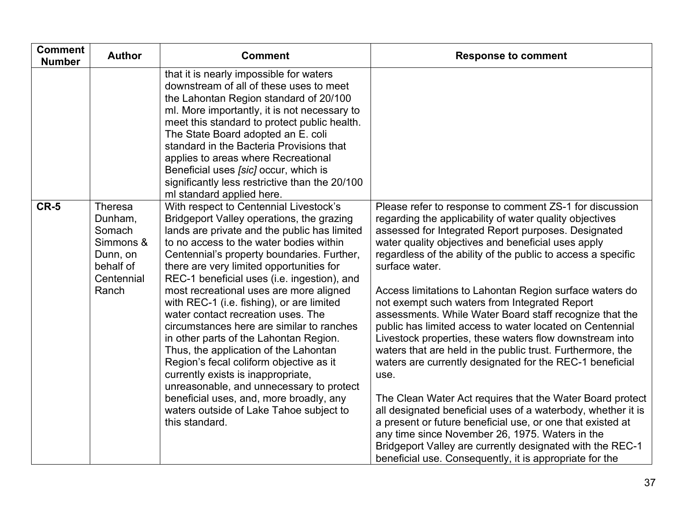| <b>Comment</b><br><b>Number</b> | <b>Author</b>                                                                                    | <b>Comment</b>                                                                                                                                                                                                                                                                                                                                                                                                                                                                                                                                                                                                                                                                                                                                                                                                             | <b>Response to comment</b>                                                                                                                                                                                                                                                                                                                                                                                                                                                                                                                                                                                                                                                                                                                                                                                                                                                                                                                                                                                                                                                                                              |
|---------------------------------|--------------------------------------------------------------------------------------------------|----------------------------------------------------------------------------------------------------------------------------------------------------------------------------------------------------------------------------------------------------------------------------------------------------------------------------------------------------------------------------------------------------------------------------------------------------------------------------------------------------------------------------------------------------------------------------------------------------------------------------------------------------------------------------------------------------------------------------------------------------------------------------------------------------------------------------|-------------------------------------------------------------------------------------------------------------------------------------------------------------------------------------------------------------------------------------------------------------------------------------------------------------------------------------------------------------------------------------------------------------------------------------------------------------------------------------------------------------------------------------------------------------------------------------------------------------------------------------------------------------------------------------------------------------------------------------------------------------------------------------------------------------------------------------------------------------------------------------------------------------------------------------------------------------------------------------------------------------------------------------------------------------------------------------------------------------------------|
|                                 |                                                                                                  | that it is nearly impossible for waters<br>downstream of all of these uses to meet<br>the Lahontan Region standard of 20/100<br>ml. More importantly, it is not necessary to<br>meet this standard to protect public health.<br>The State Board adopted an E. coli<br>standard in the Bacteria Provisions that<br>applies to areas where Recreational<br>Beneficial uses [sic] occur, which is<br>significantly less restrictive than the 20/100<br>ml standard applied here.                                                                                                                                                                                                                                                                                                                                              |                                                                                                                                                                                                                                                                                                                                                                                                                                                                                                                                                                                                                                                                                                                                                                                                                                                                                                                                                                                                                                                                                                                         |
| $CR-5$                          | <b>Theresa</b><br>Dunham,<br>Somach<br>Simmons &<br>Dunn, on<br>behalf of<br>Centennial<br>Ranch | With respect to Centennial Livestock's<br>Bridgeport Valley operations, the grazing<br>lands are private and the public has limited<br>to no access to the water bodies within<br>Centennial's property boundaries. Further,<br>there are very limited opportunities for<br>REC-1 beneficial uses (i.e. ingestion), and<br>most recreational uses are more aligned<br>with REC-1 (i.e. fishing), or are limited<br>water contact recreation uses. The<br>circumstances here are similar to ranches<br>in other parts of the Lahontan Region.<br>Thus, the application of the Lahontan<br>Region's fecal coliform objective as it<br>currently exists is inappropriate,<br>unreasonable, and unnecessary to protect<br>beneficial uses, and, more broadly, any<br>waters outside of Lake Tahoe subject to<br>this standard. | Please refer to response to comment ZS-1 for discussion<br>regarding the applicability of water quality objectives<br>assessed for Integrated Report purposes. Designated<br>water quality objectives and beneficial uses apply<br>regardless of the ability of the public to access a specific<br>surface water.<br>Access limitations to Lahontan Region surface waters do<br>not exempt such waters from Integrated Report<br>assessments. While Water Board staff recognize that the<br>public has limited access to water located on Centennial<br>Livestock properties, these waters flow downstream into<br>waters that are held in the public trust. Furthermore, the<br>waters are currently designated for the REC-1 beneficial<br>use.<br>The Clean Water Act requires that the Water Board protect<br>all designated beneficial uses of a waterbody, whether it is<br>a present or future beneficial use, or one that existed at<br>any time since November 26, 1975. Waters in the<br>Bridgeport Valley are currently designated with the REC-1<br>beneficial use. Consequently, it is appropriate for the |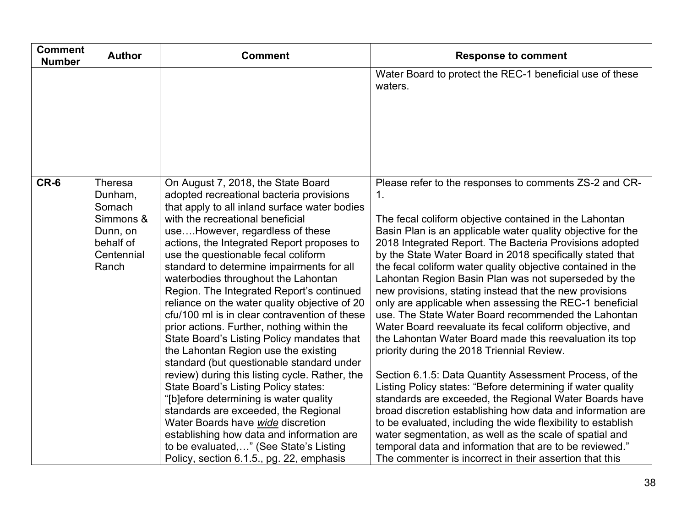| <b>Comment</b><br><b>Number</b> | <b>Author</b>                                                                             | <b>Comment</b>                                                                                                                                                                                                                                                                                                                                                                                                                                                                                                                                                                                                                                                                                                                                                                                                                                                                                                                                                                                                                                                             | <b>Response to comment</b>                                                                                                                                                                                                                                                                                                                                                                                                                                                                                                                                                                                                                                                                                                                                                                                                                                                                                                                                                                                                                                                                                                                                                                                                                                                                           |
|---------------------------------|-------------------------------------------------------------------------------------------|----------------------------------------------------------------------------------------------------------------------------------------------------------------------------------------------------------------------------------------------------------------------------------------------------------------------------------------------------------------------------------------------------------------------------------------------------------------------------------------------------------------------------------------------------------------------------------------------------------------------------------------------------------------------------------------------------------------------------------------------------------------------------------------------------------------------------------------------------------------------------------------------------------------------------------------------------------------------------------------------------------------------------------------------------------------------------|------------------------------------------------------------------------------------------------------------------------------------------------------------------------------------------------------------------------------------------------------------------------------------------------------------------------------------------------------------------------------------------------------------------------------------------------------------------------------------------------------------------------------------------------------------------------------------------------------------------------------------------------------------------------------------------------------------------------------------------------------------------------------------------------------------------------------------------------------------------------------------------------------------------------------------------------------------------------------------------------------------------------------------------------------------------------------------------------------------------------------------------------------------------------------------------------------------------------------------------------------------------------------------------------------|
|                                 |                                                                                           |                                                                                                                                                                                                                                                                                                                                                                                                                                                                                                                                                                                                                                                                                                                                                                                                                                                                                                                                                                                                                                                                            | Water Board to protect the REC-1 beneficial use of these<br>waters.                                                                                                                                                                                                                                                                                                                                                                                                                                                                                                                                                                                                                                                                                                                                                                                                                                                                                                                                                                                                                                                                                                                                                                                                                                  |
| CR-6                            | Theresa<br>Dunham,<br>Somach<br>Simmons &<br>Dunn, on<br>behalf of<br>Centennial<br>Ranch | On August 7, 2018, the State Board<br>adopted recreational bacteria provisions<br>that apply to all inland surface water bodies<br>with the recreational beneficial<br>useHowever, regardless of these<br>actions, the Integrated Report proposes to<br>use the questionable fecal coliform<br>standard to determine impairments for all<br>waterbodies throughout the Lahontan<br>Region. The Integrated Report's continued<br>reliance on the water quality objective of 20<br>cfu/100 ml is in clear contravention of these<br>prior actions. Further, nothing within the<br>State Board's Listing Policy mandates that<br>the Lahontan Region use the existing<br>standard (but questionable standard under<br>review) during this listing cycle. Rather, the<br><b>State Board's Listing Policy states:</b><br>"[b]efore determining is water quality<br>standards are exceeded, the Regional<br>Water Boards have wide discretion<br>establishing how data and information are<br>to be evaluated," (See State's Listing<br>Policy, section 6.1.5., pg. 22, emphasis | Please refer to the responses to comments ZS-2 and CR-<br>$\mathbf 1$ .<br>The fecal coliform objective contained in the Lahontan<br>Basin Plan is an applicable water quality objective for the<br>2018 Integrated Report. The Bacteria Provisions adopted<br>by the State Water Board in 2018 specifically stated that<br>the fecal coliform water quality objective contained in the<br>Lahontan Region Basin Plan was not superseded by the<br>new provisions, stating instead that the new provisions<br>only are applicable when assessing the REC-1 beneficial<br>use. The State Water Board recommended the Lahontan<br>Water Board reevaluate its fecal coliform objective, and<br>the Lahontan Water Board made this reevaluation its top<br>priority during the 2018 Triennial Review.<br>Section 6.1.5: Data Quantity Assessment Process, of the<br>Listing Policy states: "Before determining if water quality<br>standards are exceeded, the Regional Water Boards have<br>broad discretion establishing how data and information are<br>to be evaluated, including the wide flexibility to establish<br>water segmentation, as well as the scale of spatial and<br>temporal data and information that are to be reviewed."<br>The commenter is incorrect in their assertion that this |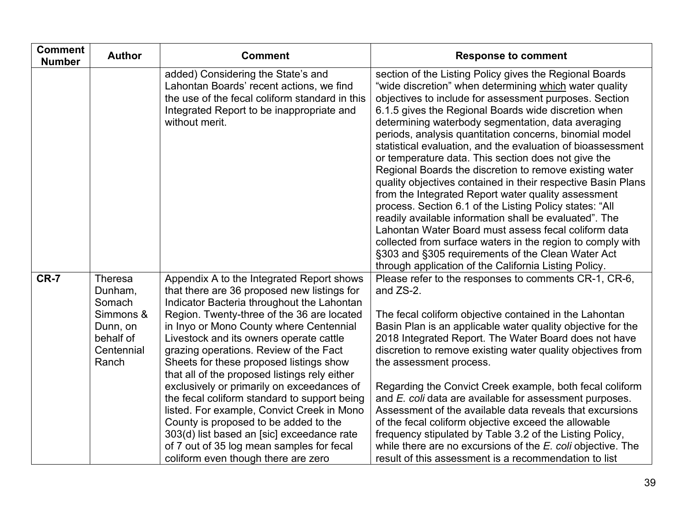| <b>Comment</b><br><b>Number</b> | <b>Author</b>                                                                                    | <b>Comment</b>                                                                                                                                                                                                                                                                                                                                                                                                                                                                                                                                                                                                                                                                                                                          | <b>Response to comment</b>                                                                                                                                                                                                                                                                                                                                                                                                                                                                                                                                                                                                                                                                                                                                                                                                                                                                                                                                                                                            |
|---------------------------------|--------------------------------------------------------------------------------------------------|-----------------------------------------------------------------------------------------------------------------------------------------------------------------------------------------------------------------------------------------------------------------------------------------------------------------------------------------------------------------------------------------------------------------------------------------------------------------------------------------------------------------------------------------------------------------------------------------------------------------------------------------------------------------------------------------------------------------------------------------|-----------------------------------------------------------------------------------------------------------------------------------------------------------------------------------------------------------------------------------------------------------------------------------------------------------------------------------------------------------------------------------------------------------------------------------------------------------------------------------------------------------------------------------------------------------------------------------------------------------------------------------------------------------------------------------------------------------------------------------------------------------------------------------------------------------------------------------------------------------------------------------------------------------------------------------------------------------------------------------------------------------------------|
|                                 |                                                                                                  | added) Considering the State's and<br>Lahontan Boards' recent actions, we find<br>the use of the fecal coliform standard in this<br>Integrated Report to be inappropriate and<br>without merit.                                                                                                                                                                                                                                                                                                                                                                                                                                                                                                                                         | section of the Listing Policy gives the Regional Boards<br>"wide discretion" when determining which water quality<br>objectives to include for assessment purposes. Section<br>6.1.5 gives the Regional Boards wide discretion when<br>determining waterbody segmentation, data averaging<br>periods, analysis quantitation concerns, binomial model<br>statistical evaluation, and the evaluation of bioassessment<br>or temperature data. This section does not give the<br>Regional Boards the discretion to remove existing water<br>quality objectives contained in their respective Basin Plans<br>from the Integrated Report water quality assessment<br>process. Section 6.1 of the Listing Policy states: "All<br>readily available information shall be evaluated". The<br>Lahontan Water Board must assess fecal coliform data<br>collected from surface waters in the region to comply with<br>§303 and §305 requirements of the Clean Water Act<br>through application of the California Listing Policy. |
| <b>CR-7</b>                     | <b>Theresa</b><br>Dunham,<br>Somach<br>Simmons &<br>Dunn, on<br>behalf of<br>Centennial<br>Ranch | Appendix A to the Integrated Report shows<br>that there are 36 proposed new listings for<br>Indicator Bacteria throughout the Lahontan<br>Region. Twenty-three of the 36 are located<br>in Inyo or Mono County where Centennial<br>Livestock and its owners operate cattle<br>grazing operations. Review of the Fact<br>Sheets for these proposed listings show<br>that all of the proposed listings rely either<br>exclusively or primarily on exceedances of<br>the fecal coliform standard to support being<br>listed. For example, Convict Creek in Mono<br>County is proposed to be added to the<br>303(d) list based an [sic] exceedance rate<br>of 7 out of 35 log mean samples for fecal<br>coliform even though there are zero | Please refer to the responses to comments CR-1, CR-6,<br>and ZS-2.<br>The fecal coliform objective contained in the Lahontan<br>Basin Plan is an applicable water quality objective for the<br>2018 Integrated Report. The Water Board does not have<br>discretion to remove existing water quality objectives from<br>the assessment process.<br>Regarding the Convict Creek example, both fecal coliform<br>and E. coli data are available for assessment purposes.<br>Assessment of the available data reveals that excursions<br>of the fecal coliform objective exceed the allowable<br>frequency stipulated by Table 3.2 of the Listing Policy,<br>while there are no excursions of the $E$ . coli objective. The<br>result of this assessment is a recommendation to list                                                                                                                                                                                                                                      |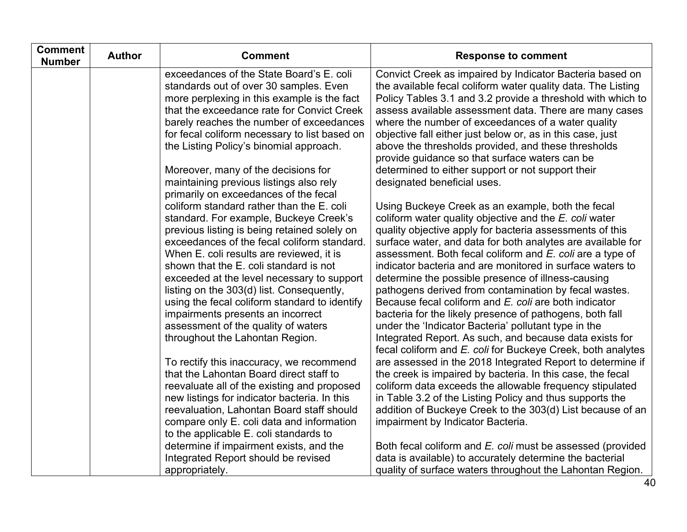| <b>Comment</b><br><b>Number</b> | <b>Author</b> | <b>Comment</b>                                                                            | <b>Response to comment</b>                                                                                                |
|---------------------------------|---------------|-------------------------------------------------------------------------------------------|---------------------------------------------------------------------------------------------------------------------------|
|                                 |               | exceedances of the State Board's E. coli                                                  | Convict Creek as impaired by Indicator Bacteria based on                                                                  |
|                                 |               | standards out of over 30 samples. Even                                                    | the available fecal coliform water quality data. The Listing                                                              |
|                                 |               | more perplexing in this example is the fact<br>that the exceedance rate for Convict Creek | Policy Tables 3.1 and 3.2 provide a threshold with which to<br>assess available assessment data. There are many cases     |
|                                 |               | barely reaches the number of exceedances                                                  | where the number of exceedances of a water quality                                                                        |
|                                 |               | for fecal coliform necessary to list based on                                             | objective fall either just below or, as in this case, just                                                                |
|                                 |               | the Listing Policy's binomial approach.                                                   | above the thresholds provided, and these thresholds                                                                       |
|                                 |               |                                                                                           | provide guidance so that surface waters can be                                                                            |
|                                 |               | Moreover, many of the decisions for                                                       | determined to either support or not support their                                                                         |
|                                 |               | maintaining previous listings also rely                                                   | designated beneficial uses.                                                                                               |
|                                 |               | primarily on exceedances of the fecal                                                     |                                                                                                                           |
|                                 |               | coliform standard rather than the E. coli                                                 | Using Buckeye Creek as an example, both the fecal                                                                         |
|                                 |               | standard. For example, Buckeye Creek's<br>previous listing is being retained solely on    | coliform water quality objective and the E. coli water<br>quality objective apply for bacteria assessments of this        |
|                                 |               | exceedances of the fecal coliform standard.                                               | surface water, and data for both analytes are available for                                                               |
|                                 |               | When E. coli results are reviewed, it is                                                  | assessment. Both fecal coliform and E. coli are a type of                                                                 |
|                                 |               | shown that the E. coli standard is not                                                    | indicator bacteria and are monitored in surface waters to                                                                 |
|                                 |               | exceeded at the level necessary to support                                                | determine the possible presence of illness-causing                                                                        |
|                                 |               | listing on the 303(d) list. Consequently,                                                 | pathogens derived from contamination by fecal wastes.                                                                     |
|                                 |               | using the fecal coliform standard to identify                                             | Because fecal coliform and E. coli are both indicator                                                                     |
|                                 |               | impairments presents an incorrect                                                         | bacteria for the likely presence of pathogens, both fall                                                                  |
|                                 |               | assessment of the quality of waters                                                       | under the 'Indicator Bacteria' pollutant type in the                                                                      |
|                                 |               | throughout the Lahontan Region.                                                           | Integrated Report. As such, and because data exists for                                                                   |
|                                 |               | To rectify this inaccuracy, we recommend                                                  | fecal coliform and E. coli for Buckeye Creek, both analytes<br>are assessed in the 2018 Integrated Report to determine if |
|                                 |               | that the Lahontan Board direct staff to                                                   | the creek is impaired by bacteria. In this case, the fecal                                                                |
|                                 |               | reevaluate all of the existing and proposed                                               | coliform data exceeds the allowable frequency stipulated                                                                  |
|                                 |               | new listings for indicator bacteria. In this                                              | in Table 3.2 of the Listing Policy and thus supports the                                                                  |
|                                 |               | reevaluation, Lahontan Board staff should                                                 | addition of Buckeye Creek to the 303(d) List because of an                                                                |
|                                 |               | compare only E. coli data and information                                                 | impairment by Indicator Bacteria.                                                                                         |
|                                 |               | to the applicable E. coli standards to                                                    |                                                                                                                           |
|                                 |               | determine if impairment exists, and the                                                   | Both fecal coliform and E. coli must be assessed (provided                                                                |
|                                 |               | Integrated Report should be revised                                                       | data is available) to accurately determine the bacterial                                                                  |
|                                 |               | appropriately.                                                                            | quality of surface waters throughout the Lahontan Region.                                                                 |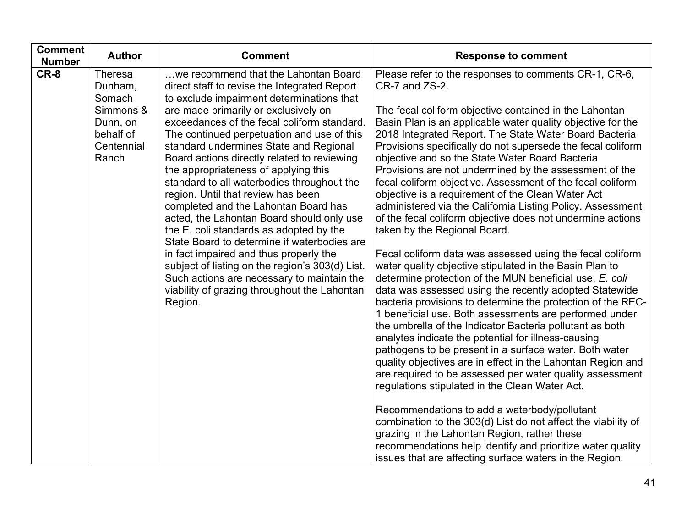| <b>Comment</b><br><b>Author</b><br><b>Number</b>                                                  | <b>Comment</b>                                                                                                                                                                                                                                                                                                                                                                                                                                                                                                                                                                                                                                                                                                                  | <b>Response to comment</b>                                                                                                                                                                                                                                                                                                                                                                                                                                                                                                                                                                                                                                                                                                                                                                                                                                                                     |
|---------------------------------------------------------------------------------------------------|---------------------------------------------------------------------------------------------------------------------------------------------------------------------------------------------------------------------------------------------------------------------------------------------------------------------------------------------------------------------------------------------------------------------------------------------------------------------------------------------------------------------------------------------------------------------------------------------------------------------------------------------------------------------------------------------------------------------------------|------------------------------------------------------------------------------------------------------------------------------------------------------------------------------------------------------------------------------------------------------------------------------------------------------------------------------------------------------------------------------------------------------------------------------------------------------------------------------------------------------------------------------------------------------------------------------------------------------------------------------------------------------------------------------------------------------------------------------------------------------------------------------------------------------------------------------------------------------------------------------------------------|
| CR-8<br>Theresa<br>Dunham,<br>Somach<br>Simmons &<br>Dunn, on<br>behalf of<br>Centennial<br>Ranch | we recommend that the Lahontan Board<br>direct staff to revise the Integrated Report<br>to exclude impairment determinations that<br>are made primarily or exclusively on<br>exceedances of the fecal coliform standard.<br>The continued perpetuation and use of this<br>standard undermines State and Regional<br>Board actions directly related to reviewing<br>the appropriateness of applying this<br>standard to all waterbodies throughout the<br>region. Until that review has been<br>completed and the Lahontan Board has<br>acted, the Lahontan Board should only use<br>the E. coli standards as adopted by the<br>State Board to determine if waterbodies are<br>in fact impaired and thus properly the<br>Region. | Please refer to the responses to comments CR-1, CR-6,<br>CR-7 and ZS-2.<br>The fecal coliform objective contained in the Lahontan<br>Basin Plan is an applicable water quality objective for the<br>2018 Integrated Report. The State Water Board Bacteria<br>Provisions specifically do not supersede the fecal coliform<br>objective and so the State Water Board Bacteria<br>Provisions are not undermined by the assessment of the<br>fecal coliform objective. Assessment of the fecal coliform<br>objective is a requirement of the Clean Water Act<br>administered via the California Listing Policy. Assessment<br>of the fecal coliform objective does not undermine actions<br>taken by the Regional Board.<br>Fecal coliform data was assessed using the fecal coliform                                                                                                             |
|                                                                                                   | subject of listing on the region's 303(d) List.<br>Such actions are necessary to maintain the<br>viability of grazing throughout the Lahontan                                                                                                                                                                                                                                                                                                                                                                                                                                                                                                                                                                                   | water quality objective stipulated in the Basin Plan to<br>determine protection of the MUN beneficial use. E. coli<br>data was assessed using the recently adopted Statewide<br>bacteria provisions to determine the protection of the REC-<br>1 beneficial use. Both assessments are performed under<br>the umbrella of the Indicator Bacteria pollutant as both<br>analytes indicate the potential for illness-causing<br>pathogens to be present in a surface water. Both water<br>quality objectives are in effect in the Lahontan Region and<br>are required to be assessed per water quality assessment<br>regulations stipulated in the Clean Water Act.<br>Recommendations to add a waterbody/pollutant<br>combination to the 303(d) List do not affect the viability of<br>grazing in the Lahontan Region, rather these<br>recommendations help identify and prioritize water quality |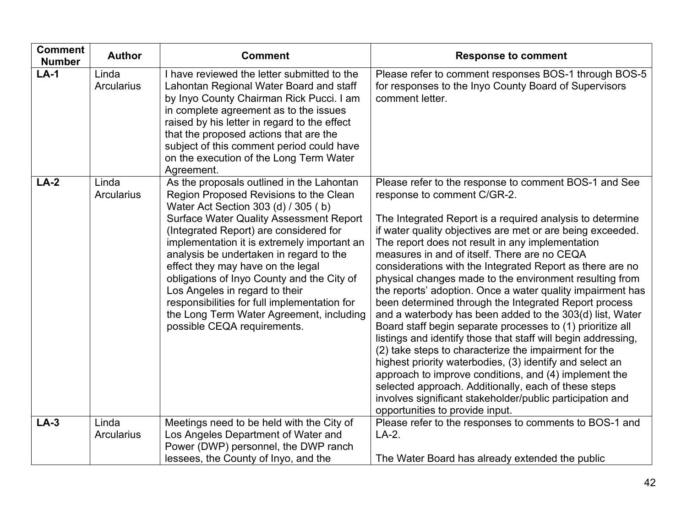| <b>Comment</b><br><b>Number</b> | <b>Author</b>              | <b>Comment</b>                                                                                                                                                                                                                                                                                                                                                                                                                                                                                                                                                   | <b>Response to comment</b>                                                                                                                                                                                                                                                                                                                                                                                                                                                                                                                                                                                                                                                                                                                                                                                                                                                                                                                                                                                                                                                                          |
|---------------------------------|----------------------------|------------------------------------------------------------------------------------------------------------------------------------------------------------------------------------------------------------------------------------------------------------------------------------------------------------------------------------------------------------------------------------------------------------------------------------------------------------------------------------------------------------------------------------------------------------------|-----------------------------------------------------------------------------------------------------------------------------------------------------------------------------------------------------------------------------------------------------------------------------------------------------------------------------------------------------------------------------------------------------------------------------------------------------------------------------------------------------------------------------------------------------------------------------------------------------------------------------------------------------------------------------------------------------------------------------------------------------------------------------------------------------------------------------------------------------------------------------------------------------------------------------------------------------------------------------------------------------------------------------------------------------------------------------------------------------|
| $LA-1$                          | Linda<br><b>Arcularius</b> | I have reviewed the letter submitted to the<br>Lahontan Regional Water Board and staff<br>by Inyo County Chairman Rick Pucci. I am<br>in complete agreement as to the issues<br>raised by his letter in regard to the effect<br>that the proposed actions that are the<br>subject of this comment period could have<br>on the execution of the Long Term Water<br>Agreement.                                                                                                                                                                                     | Please refer to comment responses BOS-1 through BOS-5<br>for responses to the Inyo County Board of Supervisors<br>comment letter.                                                                                                                                                                                                                                                                                                                                                                                                                                                                                                                                                                                                                                                                                                                                                                                                                                                                                                                                                                   |
| $LA-2$                          | Linda<br><b>Arcularius</b> | As the proposals outlined in the Lahontan<br>Region Proposed Revisions to the Clean<br>Water Act Section 303 (d) / 305 (b)<br><b>Surface Water Quality Assessment Report</b><br>(Integrated Report) are considered for<br>implementation it is extremely important an<br>analysis be undertaken in regard to the<br>effect they may have on the legal<br>obligations of Inyo County and the City of<br>Los Angeles in regard to their<br>responsibilities for full implementation for<br>the Long Term Water Agreement, including<br>possible CEQA requirements. | Please refer to the response to comment BOS-1 and See<br>response to comment C/GR-2.<br>The Integrated Report is a required analysis to determine<br>if water quality objectives are met or are being exceeded.<br>The report does not result in any implementation<br>measures in and of itself. There are no CEQA<br>considerations with the Integrated Report as there are no<br>physical changes made to the environment resulting from<br>the reports' adoption. Once a water quality impairment has<br>been determined through the Integrated Report process<br>and a waterbody has been added to the 303(d) list, Water<br>Board staff begin separate processes to (1) prioritize all<br>listings and identify those that staff will begin addressing,<br>(2) take steps to characterize the impairment for the<br>highest priority waterbodies, (3) identify and select an<br>approach to improve conditions, and (4) implement the<br>selected approach. Additionally, each of these steps<br>involves significant stakeholder/public participation and<br>opportunities to provide input. |
| $LA-3$                          | Linda<br><b>Arcularius</b> | Meetings need to be held with the City of<br>Los Angeles Department of Water and<br>Power (DWP) personnel, the DWP ranch<br>lessees, the County of Inyo, and the                                                                                                                                                                                                                                                                                                                                                                                                 | Please refer to the responses to comments to BOS-1 and<br>$LA-2.$<br>The Water Board has already extended the public                                                                                                                                                                                                                                                                                                                                                                                                                                                                                                                                                                                                                                                                                                                                                                                                                                                                                                                                                                                |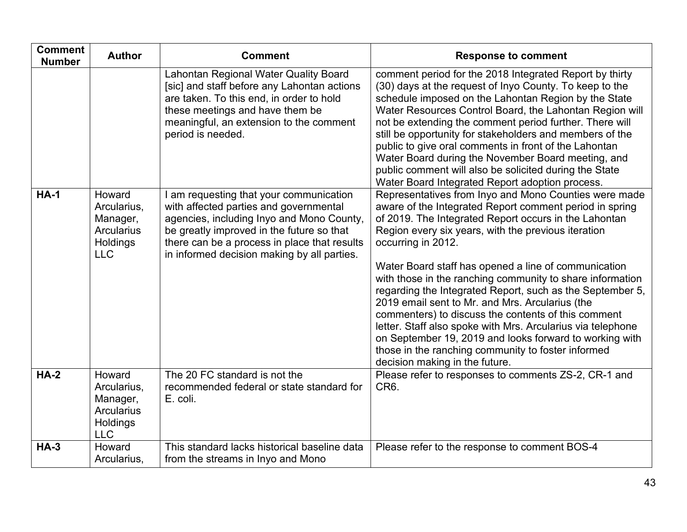| <b>Comment</b><br><b>Number</b> | <b>Author</b>                                                             | <b>Comment</b>                                                                                                                                                                                                                                                             | <b>Response to comment</b>                                                                                                                                                                                                                                                                                                                                                                                                                                                                                                                                                                                                                                                                                                                                           |
|---------------------------------|---------------------------------------------------------------------------|----------------------------------------------------------------------------------------------------------------------------------------------------------------------------------------------------------------------------------------------------------------------------|----------------------------------------------------------------------------------------------------------------------------------------------------------------------------------------------------------------------------------------------------------------------------------------------------------------------------------------------------------------------------------------------------------------------------------------------------------------------------------------------------------------------------------------------------------------------------------------------------------------------------------------------------------------------------------------------------------------------------------------------------------------------|
|                                 |                                                                           | Lahontan Regional Water Quality Board<br>[sic] and staff before any Lahontan actions<br>are taken. To this end, in order to hold<br>these meetings and have them be<br>meaningful, an extension to the comment<br>period is needed.                                        | comment period for the 2018 Integrated Report by thirty<br>(30) days at the request of Inyo County. To keep to the<br>schedule imposed on the Lahontan Region by the State<br>Water Resources Control Board, the Lahontan Region will<br>not be extending the comment period further. There will<br>still be opportunity for stakeholders and members of the<br>public to give oral comments in front of the Lahontan<br>Water Board during the November Board meeting, and<br>public comment will also be solicited during the State<br>Water Board Integrated Report adoption process.                                                                                                                                                                             |
| $HA-1$                          | Howard<br>Arcularius,<br>Manager,<br>Arcularius<br>Holdings<br><b>LLC</b> | I am requesting that your communication<br>with affected parties and governmental<br>agencies, including Inyo and Mono County,<br>be greatly improved in the future so that<br>there can be a process in place that results<br>in informed decision making by all parties. | Representatives from Inyo and Mono Counties were made<br>aware of the Integrated Report comment period in spring<br>of 2019. The Integrated Report occurs in the Lahontan<br>Region every six years, with the previous iteration<br>occurring in 2012.<br>Water Board staff has opened a line of communication<br>with those in the ranching community to share information<br>regarding the Integrated Report, such as the September 5,<br>2019 email sent to Mr. and Mrs. Arcularius (the<br>commenters) to discuss the contents of this comment<br>letter. Staff also spoke with Mrs. Arcularius via telephone<br>on September 19, 2019 and looks forward to working with<br>those in the ranching community to foster informed<br>decision making in the future. |
| $HA-2$                          | Howard<br>Arcularius,<br>Manager,<br>Arcularius<br>Holdings<br><b>LLC</b> | The 20 FC standard is not the<br>recommended federal or state standard for<br>E. coli.                                                                                                                                                                                     | Please refer to responses to comments ZS-2, CR-1 and<br>CR <sub>6</sub>                                                                                                                                                                                                                                                                                                                                                                                                                                                                                                                                                                                                                                                                                              |
| $HA-3$                          | Howard<br>Arcularius,                                                     | This standard lacks historical baseline data<br>from the streams in Inyo and Mono                                                                                                                                                                                          | Please refer to the response to comment BOS-4                                                                                                                                                                                                                                                                                                                                                                                                                                                                                                                                                                                                                                                                                                                        |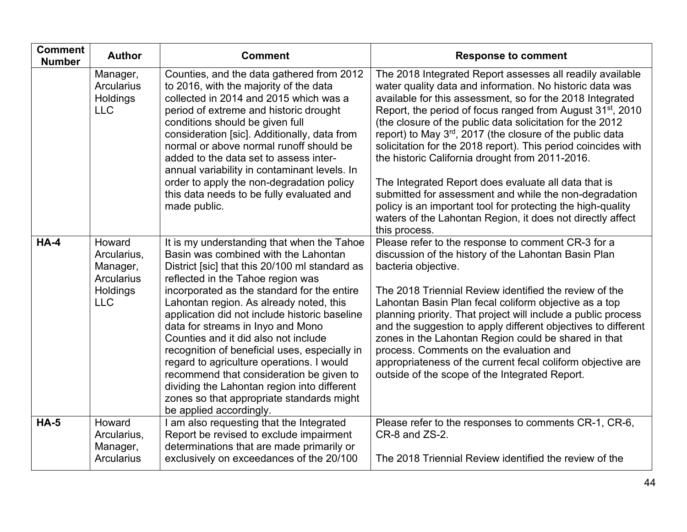| <b>Comment</b><br><b>Number</b> | <b>Author</b>                                                                    | <b>Comment</b>                                                                                                                                                                                                                                                                                                                                                                                                                                                                                                                                                                                                                                                     | <b>Response to comment</b>                                                                                                                                                                                                                                                                                                                                                                                                                                                                                                                                                                                                                                                                                                                                                |
|---------------------------------|----------------------------------------------------------------------------------|--------------------------------------------------------------------------------------------------------------------------------------------------------------------------------------------------------------------------------------------------------------------------------------------------------------------------------------------------------------------------------------------------------------------------------------------------------------------------------------------------------------------------------------------------------------------------------------------------------------------------------------------------------------------|---------------------------------------------------------------------------------------------------------------------------------------------------------------------------------------------------------------------------------------------------------------------------------------------------------------------------------------------------------------------------------------------------------------------------------------------------------------------------------------------------------------------------------------------------------------------------------------------------------------------------------------------------------------------------------------------------------------------------------------------------------------------------|
|                                 | Manager,<br><b>Arcularius</b><br>Holdings<br><b>LLC</b>                          | Counties, and the data gathered from 2012<br>to 2016, with the majority of the data<br>collected in 2014 and 2015 which was a<br>period of extreme and historic drought<br>conditions should be given full<br>consideration [sic]. Additionally, data from<br>normal or above normal runoff should be<br>added to the data set to assess inter-<br>annual variability in contaminant levels. In<br>order to apply the non-degradation policy<br>this data needs to be fully evaluated and<br>made public.                                                                                                                                                          | The 2018 Integrated Report assesses all readily available<br>water quality data and information. No historic data was<br>available for this assessment, so for the 2018 Integrated<br>Report, the period of focus ranged from August 31 <sup>st</sup> , 2010<br>(the closure of the public data solicitation for the 2012<br>report) to May 3rd, 2017 (the closure of the public data<br>solicitation for the 2018 report). This period coincides with<br>the historic California drought from 2011-2016.<br>The Integrated Report does evaluate all data that is<br>submitted for assessment and while the non-degradation<br>policy is an important tool for protecting the high-quality<br>waters of the Lahontan Region, it does not directly affect<br>this process. |
| $HA-4$                          | Howard<br>Arcularius,<br>Manager,<br><b>Arcularius</b><br>Holdings<br><b>LLC</b> | It is my understanding that when the Tahoe<br>Basin was combined with the Lahontan<br>District [sic] that this 20/100 ml standard as<br>reflected in the Tahoe region was<br>incorporated as the standard for the entire<br>Lahontan region. As already noted, this<br>application did not include historic baseline<br>data for streams in Inyo and Mono<br>Counties and it did also not include<br>recognition of beneficial uses, especially in<br>regard to agriculture operations. I would<br>recommend that consideration be given to<br>dividing the Lahontan region into different<br>zones so that appropriate standards might<br>be applied accordingly. | Please refer to the response to comment CR-3 for a<br>discussion of the history of the Lahontan Basin Plan<br>bacteria objective.<br>The 2018 Triennial Review identified the review of the<br>Lahontan Basin Plan fecal coliform objective as a top<br>planning priority. That project will include a public process<br>and the suggestion to apply different objectives to different<br>zones in the Lahontan Region could be shared in that<br>process. Comments on the evaluation and<br>appropriateness of the current fecal coliform objective are<br>outside of the scope of the Integrated Report.                                                                                                                                                                |
| $HA-5$                          | Howard<br>Arcularius,<br>Manager,<br><b>Arcularius</b>                           | I am also requesting that the Integrated<br>Report be revised to exclude impairment<br>determinations that are made primarily or<br>exclusively on exceedances of the 20/100                                                                                                                                                                                                                                                                                                                                                                                                                                                                                       | Please refer to the responses to comments CR-1, CR-6,<br>CR-8 and ZS-2.<br>The 2018 Triennial Review identified the review of the                                                                                                                                                                                                                                                                                                                                                                                                                                                                                                                                                                                                                                         |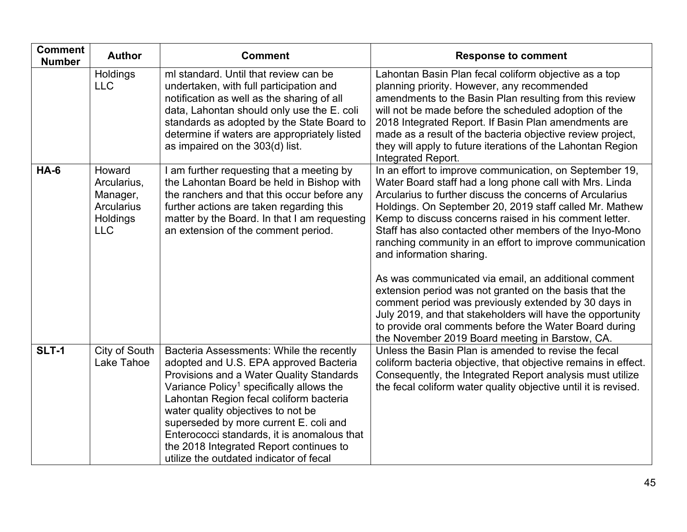| <b>Comment</b><br><b>Number</b> | <b>Author</b>                                                                    | <b>Comment</b>                                                                                                                                                                                                                                                                                                                                                                                                                                         | <b>Response to comment</b>                                                                                                                                                                                                                                                                                                                                                                                                                                                                                                                                                                                                                                                                                                                                                                                  |
|---------------------------------|----------------------------------------------------------------------------------|--------------------------------------------------------------------------------------------------------------------------------------------------------------------------------------------------------------------------------------------------------------------------------------------------------------------------------------------------------------------------------------------------------------------------------------------------------|-------------------------------------------------------------------------------------------------------------------------------------------------------------------------------------------------------------------------------------------------------------------------------------------------------------------------------------------------------------------------------------------------------------------------------------------------------------------------------------------------------------------------------------------------------------------------------------------------------------------------------------------------------------------------------------------------------------------------------------------------------------------------------------------------------------|
|                                 | Holdings<br><b>LLC</b>                                                           | ml standard. Until that review can be<br>undertaken, with full participation and<br>notification as well as the sharing of all<br>data, Lahontan should only use the E. coli<br>standards as adopted by the State Board to<br>determine if waters are appropriately listed<br>as impaired on the 303(d) list.                                                                                                                                          | Lahontan Basin Plan fecal coliform objective as a top<br>planning priority. However, any recommended<br>amendments to the Basin Plan resulting from this review<br>will not be made before the scheduled adoption of the<br>2018 Integrated Report. If Basin Plan amendments are<br>made as a result of the bacteria objective review project,<br>they will apply to future iterations of the Lahontan Region<br>Integrated Report.                                                                                                                                                                                                                                                                                                                                                                         |
| $HA-6$                          | Howard<br>Arcularius,<br>Manager,<br><b>Arcularius</b><br>Holdings<br><b>LLC</b> | I am further requesting that a meeting by<br>the Lahontan Board be held in Bishop with<br>the ranchers and that this occur before any<br>further actions are taken regarding this<br>matter by the Board. In that I am requesting<br>an extension of the comment period.                                                                                                                                                                               | In an effort to improve communication, on September 19,<br>Water Board staff had a long phone call with Mrs. Linda<br>Arcularius to further discuss the concerns of Arcularius<br>Holdings. On September 20, 2019 staff called Mr. Mathew<br>Kemp to discuss concerns raised in his comment letter.<br>Staff has also contacted other members of the Inyo-Mono<br>ranching community in an effort to improve communication<br>and information sharing.<br>As was communicated via email, an additional comment<br>extension period was not granted on the basis that the<br>comment period was previously extended by 30 days in<br>July 2019, and that stakeholders will have the opportunity<br>to provide oral comments before the Water Board during<br>the November 2019 Board meeting in Barstow, CA. |
| <b>SLT-1</b>                    | City of South<br>Lake Tahoe                                                      | Bacteria Assessments: While the recently<br>adopted and U.S. EPA approved Bacteria<br>Provisions and a Water Quality Standards<br>Variance Policy <sup>1</sup> specifically allows the<br>Lahontan Region fecal coliform bacteria<br>water quality objectives to not be<br>superseded by more current E. coli and<br>Enterococci standards, it is anomalous that<br>the 2018 Integrated Report continues to<br>utilize the outdated indicator of fecal | Unless the Basin Plan is amended to revise the fecal<br>coliform bacteria objective, that objective remains in effect.<br>Consequently, the Integrated Report analysis must utilize<br>the fecal coliform water quality objective until it is revised.                                                                                                                                                                                                                                                                                                                                                                                                                                                                                                                                                      |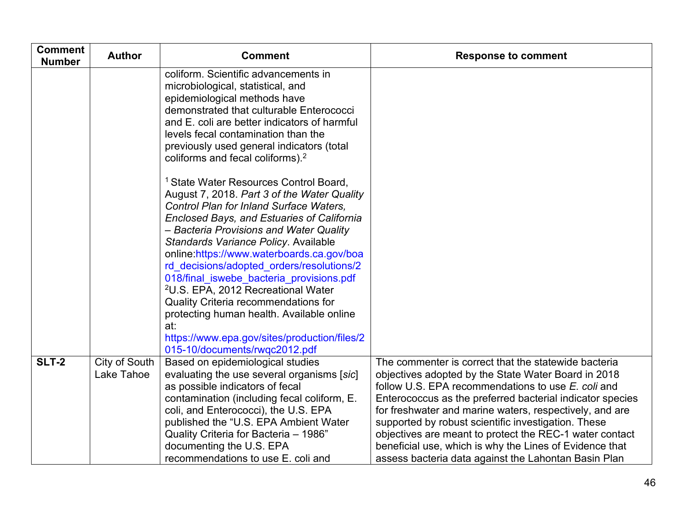| <b>Comment</b><br><b>Number</b> | <b>Author</b>               | <b>Comment</b>                                                                                                                                                                                                                                                                                                                                                                                                                                                                                                                                                                                                                                                                                                                                                                                                                                                                                                       | <b>Response to comment</b>                                                                                                                                                                                                                                                                                                                                                                                                                                                                                                     |
|---------------------------------|-----------------------------|----------------------------------------------------------------------------------------------------------------------------------------------------------------------------------------------------------------------------------------------------------------------------------------------------------------------------------------------------------------------------------------------------------------------------------------------------------------------------------------------------------------------------------------------------------------------------------------------------------------------------------------------------------------------------------------------------------------------------------------------------------------------------------------------------------------------------------------------------------------------------------------------------------------------|--------------------------------------------------------------------------------------------------------------------------------------------------------------------------------------------------------------------------------------------------------------------------------------------------------------------------------------------------------------------------------------------------------------------------------------------------------------------------------------------------------------------------------|
|                                 |                             | coliform. Scientific advancements in<br>microbiological, statistical, and<br>epidemiological methods have<br>demonstrated that culturable Enterococci<br>and E. coli are better indicators of harmful<br>levels fecal contamination than the<br>previously used general indicators (total<br>coliforms and fecal coliforms). <sup>2</sup><br><sup>1</sup> State Water Resources Control Board,<br>August 7, 2018. Part 3 of the Water Quality<br>Control Plan for Inland Surface Waters,<br><b>Enclosed Bays, and Estuaries of California</b><br>– Bacteria Provisions and Water Quality<br>Standards Variance Policy. Available<br>online:https://www.waterboards.ca.gov/boa<br>rd decisions/adopted orders/resolutions/2<br>018/final iswebe bacteria provisions.pdf<br><sup>2</sup> U.S. EPA, 2012 Recreational Water<br>Quality Criteria recommendations for<br>protecting human health. Available online<br>at: |                                                                                                                                                                                                                                                                                                                                                                                                                                                                                                                                |
|                                 |                             | https://www.epa.gov/sites/production/files/2<br>015-10/documents/rwqc2012.pdf                                                                                                                                                                                                                                                                                                                                                                                                                                                                                                                                                                                                                                                                                                                                                                                                                                        |                                                                                                                                                                                                                                                                                                                                                                                                                                                                                                                                |
| <b>SLT-2</b>                    | City of South<br>Lake Tahoe | Based on epidemiological studies<br>evaluating the use several organisms [sic]<br>as possible indicators of fecal<br>contamination (including fecal coliform, E.<br>coli, and Enterococci), the U.S. EPA<br>published the "U.S. EPA Ambient Water<br>Quality Criteria for Bacteria - 1986"<br>documenting the U.S. EPA<br>recommendations to use E. coli and                                                                                                                                                                                                                                                                                                                                                                                                                                                                                                                                                         | The commenter is correct that the statewide bacteria<br>objectives adopted by the State Water Board in 2018<br>follow U.S. EPA recommendations to use E. coli and<br>Enterococcus as the preferred bacterial indicator species<br>for freshwater and marine waters, respectively, and are<br>supported by robust scientific investigation. These<br>objectives are meant to protect the REC-1 water contact<br>beneficial use, which is why the Lines of Evidence that<br>assess bacteria data against the Lahontan Basin Plan |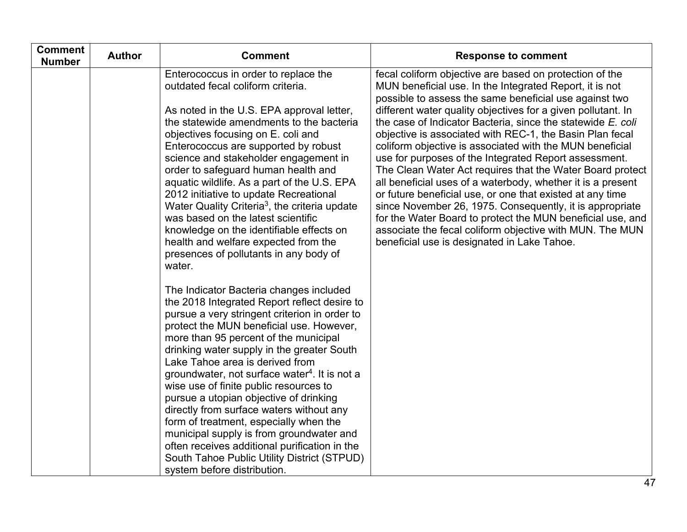| <b>Comment</b><br><b>Number</b> | <b>Author</b> | <b>Comment</b>                                                                                                                                                                                                                                                                                                                                                                                                                                                                                                                                                                                                                                                                                                                                                                                                                                                                                                                                                                                                                                                                                                                                                                                                                                                            | <b>Response to comment</b>                                                                                                                                                                                                                                                                                                                                                                                                                                                                                                                                                                                                                                                                                                                                                                                                                                                                                                 |
|---------------------------------|---------------|---------------------------------------------------------------------------------------------------------------------------------------------------------------------------------------------------------------------------------------------------------------------------------------------------------------------------------------------------------------------------------------------------------------------------------------------------------------------------------------------------------------------------------------------------------------------------------------------------------------------------------------------------------------------------------------------------------------------------------------------------------------------------------------------------------------------------------------------------------------------------------------------------------------------------------------------------------------------------------------------------------------------------------------------------------------------------------------------------------------------------------------------------------------------------------------------------------------------------------------------------------------------------|----------------------------------------------------------------------------------------------------------------------------------------------------------------------------------------------------------------------------------------------------------------------------------------------------------------------------------------------------------------------------------------------------------------------------------------------------------------------------------------------------------------------------------------------------------------------------------------------------------------------------------------------------------------------------------------------------------------------------------------------------------------------------------------------------------------------------------------------------------------------------------------------------------------------------|
|                                 |               | Enterococcus in order to replace the<br>outdated fecal coliform criteria.<br>As noted in the U.S. EPA approval letter,<br>the statewide amendments to the bacteria<br>objectives focusing on E. coli and<br>Enterococcus are supported by robust<br>science and stakeholder engagement in<br>order to safeguard human health and<br>aquatic wildlife. As a part of the U.S. EPA<br>2012 initiative to update Recreational<br>Water Quality Criteria <sup>3</sup> , the criteria update<br>was based on the latest scientific<br>knowledge on the identifiable effects on<br>health and welfare expected from the<br>presences of pollutants in any body of<br>water.<br>The Indicator Bacteria changes included<br>the 2018 Integrated Report reflect desire to<br>pursue a very stringent criterion in order to<br>protect the MUN beneficial use. However,<br>more than 95 percent of the municipal<br>drinking water supply in the greater South<br>Lake Tahoe area is derived from<br>groundwater, not surface water <sup>4</sup> . It is not a<br>wise use of finite public resources to<br>pursue a utopian objective of drinking<br>directly from surface waters without any<br>form of treatment, especially when the<br>municipal supply is from groundwater and | fecal coliform objective are based on protection of the<br>MUN beneficial use. In the Integrated Report, it is not<br>possible to assess the same beneficial use against two<br>different water quality objectives for a given pollutant. In<br>the case of Indicator Bacteria, since the statewide E. coli<br>objective is associated with REC-1, the Basin Plan fecal<br>coliform objective is associated with the MUN beneficial<br>use for purposes of the Integrated Report assessment.<br>The Clean Water Act requires that the Water Board protect<br>all beneficial uses of a waterbody, whether it is a present<br>or future beneficial use, or one that existed at any time<br>since November 26, 1975. Consequently, it is appropriate<br>for the Water Board to protect the MUN beneficial use, and<br>associate the fecal coliform objective with MUN. The MUN<br>beneficial use is designated in Lake Tahoe. |
|                                 |               | often receives additional purification in the<br>South Tahoe Public Utility District (STPUD)                                                                                                                                                                                                                                                                                                                                                                                                                                                                                                                                                                                                                                                                                                                                                                                                                                                                                                                                                                                                                                                                                                                                                                              |                                                                                                                                                                                                                                                                                                                                                                                                                                                                                                                                                                                                                                                                                                                                                                                                                                                                                                                            |
|                                 |               | system before distribution.                                                                                                                                                                                                                                                                                                                                                                                                                                                                                                                                                                                                                                                                                                                                                                                                                                                                                                                                                                                                                                                                                                                                                                                                                                               |                                                                                                                                                                                                                                                                                                                                                                                                                                                                                                                                                                                                                                                                                                                                                                                                                                                                                                                            |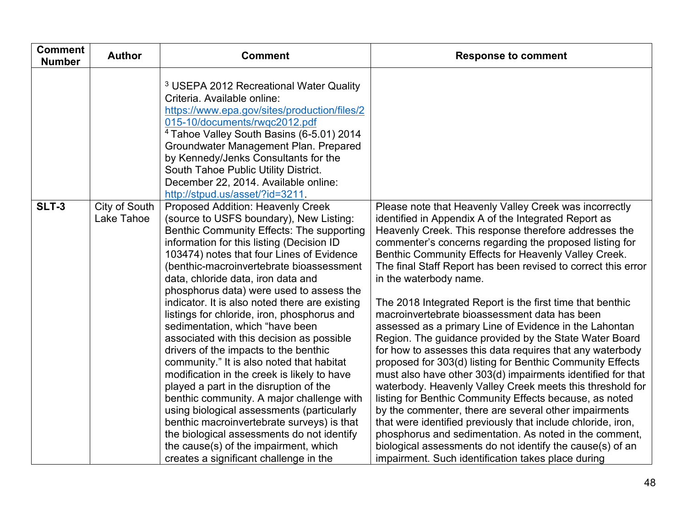| <b>Author</b><br><b>Number</b>              | <b>Comment</b>                                                                                                                                                                                                                                                                                                                                                                                                                                                                                                                                                                                                                                                                                                                                                                                                                                                                                                                                           | <b>Response to comment</b>                                                                                                                                                                                                                                                                                                                                                                                                                                                                                                                                                                                                                                                                                                                                                                                                                                                                                                                                                                                                                                                                                                                                                               |
|---------------------------------------------|----------------------------------------------------------------------------------------------------------------------------------------------------------------------------------------------------------------------------------------------------------------------------------------------------------------------------------------------------------------------------------------------------------------------------------------------------------------------------------------------------------------------------------------------------------------------------------------------------------------------------------------------------------------------------------------------------------------------------------------------------------------------------------------------------------------------------------------------------------------------------------------------------------------------------------------------------------|------------------------------------------------------------------------------------------------------------------------------------------------------------------------------------------------------------------------------------------------------------------------------------------------------------------------------------------------------------------------------------------------------------------------------------------------------------------------------------------------------------------------------------------------------------------------------------------------------------------------------------------------------------------------------------------------------------------------------------------------------------------------------------------------------------------------------------------------------------------------------------------------------------------------------------------------------------------------------------------------------------------------------------------------------------------------------------------------------------------------------------------------------------------------------------------|
|                                             | <sup>3</sup> USEPA 2012 Recreational Water Quality<br>Criteria. Available online:<br>https://www.epa.gov/sites/production/files/2<br>015-10/documents/rwqc2012.pdf<br><sup>4</sup> Tahoe Valley South Basins (6-5.01) 2014<br>Groundwater Management Plan. Prepared<br>by Kennedy/Jenks Consultants for the<br>South Tahoe Public Utility District.<br>December 22, 2014. Available online:<br>http://stpud.us/asset/?id=3211.                                                                                                                                                                                                                                                                                                                                                                                                                                                                                                                           |                                                                                                                                                                                                                                                                                                                                                                                                                                                                                                                                                                                                                                                                                                                                                                                                                                                                                                                                                                                                                                                                                                                                                                                          |
| <b>SLT-3</b><br>City of South<br>Lake Tahoe | <b>Proposed Addition: Heavenly Creek</b><br>(source to USFS boundary), New Listing:<br>Benthic Community Effects: The supporting<br>information for this listing (Decision ID<br>103474) notes that four Lines of Evidence<br>(benthic-macroinvertebrate bioassessment<br>data, chloride data, iron data and<br>phosphorus data) were used to assess the<br>indicator. It is also noted there are existing<br>listings for chloride, iron, phosphorus and<br>sedimentation, which "have been<br>associated with this decision as possible<br>drivers of the impacts to the benthic<br>community." It is also noted that habitat<br>modification in the creek is likely to have<br>played a part in the disruption of the<br>benthic community. A major challenge with<br>using biological assessments (particularly<br>benthic macroinvertebrate surveys) is that<br>the biological assessments do not identify<br>the cause(s) of the impairment, which | Please note that Heavenly Valley Creek was incorrectly<br>identified in Appendix A of the Integrated Report as<br>Heavenly Creek. This response therefore addresses the<br>commenter's concerns regarding the proposed listing for<br>Benthic Community Effects for Heavenly Valley Creek.<br>The final Staff Report has been revised to correct this error<br>in the waterbody name.<br>The 2018 Integrated Report is the first time that benthic<br>macroinvertebrate bioassessment data has been<br>assessed as a primary Line of Evidence in the Lahontan<br>Region. The guidance provided by the State Water Board<br>for how to assesses this data requires that any waterbody<br>proposed for 303(d) listing for Benthic Community Effects<br>must also have other 303(d) impairments identified for that<br>waterbody. Heavenly Valley Creek meets this threshold for<br>listing for Benthic Community Effects because, as noted<br>by the commenter, there are several other impairments<br>that were identified previously that include chloride, iron,<br>phosphorus and sedimentation. As noted in the comment,<br>biological assessments do not identify the cause(s) of an |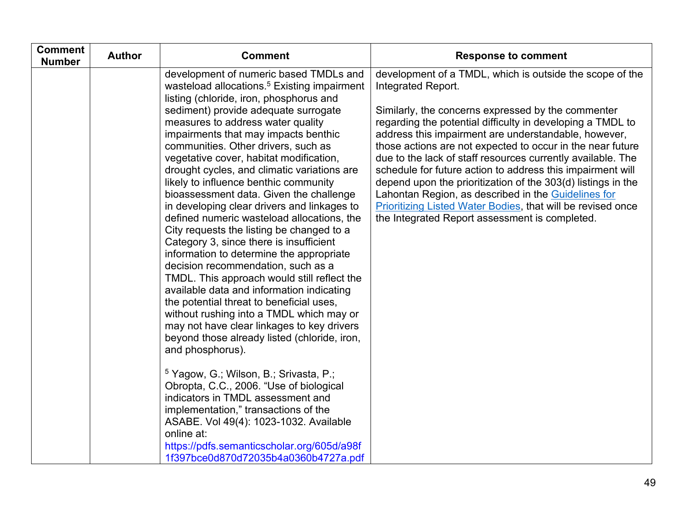| <b>Comment</b><br><b>Number</b> | <b>Author</b> | <b>Comment</b>                                                                                                                                                                                                                                                                                                                                                                                                                                                                                                                                                                                                                                                                                                                                                                                                                                                                                                      | <b>Response to comment</b>                                                                                                                                                                                                                                                                                                                                                                                                                                                                                                                                                                                         |
|---------------------------------|---------------|---------------------------------------------------------------------------------------------------------------------------------------------------------------------------------------------------------------------------------------------------------------------------------------------------------------------------------------------------------------------------------------------------------------------------------------------------------------------------------------------------------------------------------------------------------------------------------------------------------------------------------------------------------------------------------------------------------------------------------------------------------------------------------------------------------------------------------------------------------------------------------------------------------------------|--------------------------------------------------------------------------------------------------------------------------------------------------------------------------------------------------------------------------------------------------------------------------------------------------------------------------------------------------------------------------------------------------------------------------------------------------------------------------------------------------------------------------------------------------------------------------------------------------------------------|
|                                 |               | development of numeric based TMDLs and<br>wasteload allocations. <sup>5</sup> Existing impairment<br>listing (chloride, iron, phosphorus and                                                                                                                                                                                                                                                                                                                                                                                                                                                                                                                                                                                                                                                                                                                                                                        | development of a TMDL, which is outside the scope of the<br>Integrated Report.                                                                                                                                                                                                                                                                                                                                                                                                                                                                                                                                     |
|                                 |               | sediment) provide adequate surrogate<br>measures to address water quality<br>impairments that may impacts benthic<br>communities. Other drivers, such as<br>vegetative cover, habitat modification,<br>drought cycles, and climatic variations are<br>likely to influence benthic community<br>bioassessment data. Given the challenge<br>in developing clear drivers and linkages to<br>defined numeric wasteload allocations, the<br>City requests the listing be changed to a<br>Category 3, since there is insufficient<br>information to determine the appropriate<br>decision recommendation, such as a<br>TMDL. This approach would still reflect the<br>available data and information indicating<br>the potential threat to beneficial uses,<br>without rushing into a TMDL which may or<br>may not have clear linkages to key drivers<br>beyond those already listed (chloride, iron,<br>and phosphorus). | Similarly, the concerns expressed by the commenter<br>regarding the potential difficulty in developing a TMDL to<br>address this impairment are understandable, however,<br>those actions are not expected to occur in the near future<br>due to the lack of staff resources currently available. The<br>schedule for future action to address this impairment will<br>depend upon the prioritization of the 303(d) listings in the<br>Lahontan Region, as described in the Guidelines for<br><b>Prioritizing Listed Water Bodies, that will be revised once</b><br>the Integrated Report assessment is completed. |
|                                 |               | $5$ Yagow, G.; Wilson, B.; Srivasta, P.;<br>Obropta, C.C., 2006. "Use of biological<br>indicators in TMDL assessment and<br>implementation," transactions of the<br>ASABE. Vol 49(4): 1023-1032. Available<br>online at:<br>https://pdfs.semanticscholar.org/605d/a98f<br>1f397bce0d870d72035b4a0360b4727a.pdf                                                                                                                                                                                                                                                                                                                                                                                                                                                                                                                                                                                                      |                                                                                                                                                                                                                                                                                                                                                                                                                                                                                                                                                                                                                    |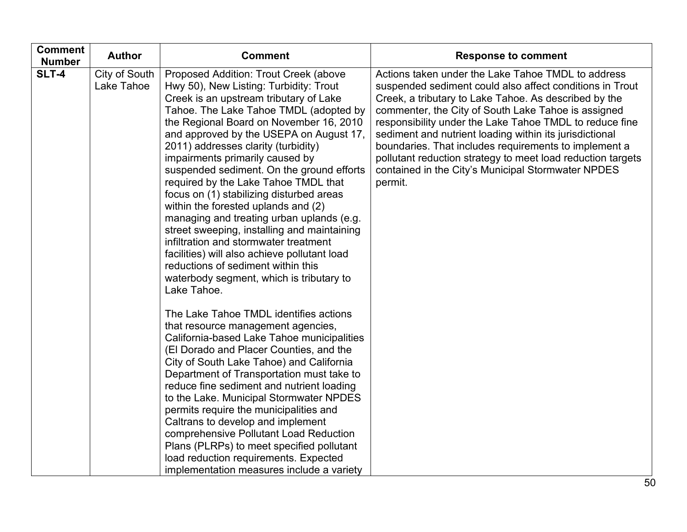| <b>Comment</b><br><b>Number</b> | <b>Author</b>               | <b>Comment</b>                                                                                                                                                                                                                                                                                                                                                                                                                                                                                                                                                                                                                                                                                                                                                                                    | <b>Response to comment</b>                                                                                                                                                                                                                                                                                                                                                                                                                                                                                                                    |
|---------------------------------|-----------------------------|---------------------------------------------------------------------------------------------------------------------------------------------------------------------------------------------------------------------------------------------------------------------------------------------------------------------------------------------------------------------------------------------------------------------------------------------------------------------------------------------------------------------------------------------------------------------------------------------------------------------------------------------------------------------------------------------------------------------------------------------------------------------------------------------------|-----------------------------------------------------------------------------------------------------------------------------------------------------------------------------------------------------------------------------------------------------------------------------------------------------------------------------------------------------------------------------------------------------------------------------------------------------------------------------------------------------------------------------------------------|
| SLT-4                           | City of South<br>Lake Tahoe | Proposed Addition: Trout Creek (above<br>Hwy 50), New Listing: Turbidity: Trout<br>Creek is an upstream tributary of Lake<br>Tahoe. The Lake Tahoe TMDL (adopted by<br>the Regional Board on November 16, 2010<br>and approved by the USEPA on August 17,<br>2011) addresses clarity (turbidity)<br>impairments primarily caused by<br>suspended sediment. On the ground efforts<br>required by the Lake Tahoe TMDL that<br>focus on (1) stabilizing disturbed areas<br>within the forested uplands and (2)<br>managing and treating urban uplands (e.g.<br>street sweeping, installing and maintaining<br>infiltration and stormwater treatment<br>facilities) will also achieve pollutant load<br>reductions of sediment within this<br>waterbody segment, which is tributary to<br>Lake Tahoe. | Actions taken under the Lake Tahoe TMDL to address<br>suspended sediment could also affect conditions in Trout<br>Creek, a tributary to Lake Tahoe. As described by the<br>commenter, the City of South Lake Tahoe is assigned<br>responsibility under the Lake Tahoe TMDL to reduce fine<br>sediment and nutrient loading within its jurisdictional<br>boundaries. That includes requirements to implement a<br>pollutant reduction strategy to meet load reduction targets<br>contained in the City's Municipal Stormwater NPDES<br>permit. |
|                                 |                             | The Lake Tahoe TMDL identifies actions<br>that resource management agencies,<br>California-based Lake Tahoe municipalities<br>(El Dorado and Placer Counties, and the<br>City of South Lake Tahoe) and California<br>Department of Transportation must take to<br>reduce fine sediment and nutrient loading<br>to the Lake. Municipal Stormwater NPDES<br>permits require the municipalities and<br>Caltrans to develop and implement<br>comprehensive Pollutant Load Reduction<br>Plans (PLRPs) to meet specified pollutant<br>load reduction requirements. Expected<br>implementation measures include a variety                                                                                                                                                                                |                                                                                                                                                                                                                                                                                                                                                                                                                                                                                                                                               |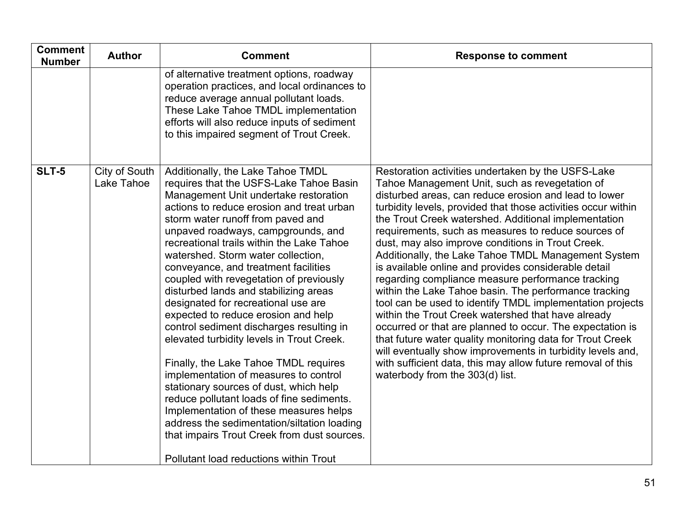| <b>Comment</b><br><b>Number</b> | <b>Author</b>               | <b>Comment</b>                                                                                                                                                                                                                                                                                                                                                                                                                                                                                                                                                                                                                                                                                                                                                                                                                                                                                                                                                                                 | <b>Response to comment</b>                                                                                                                                                                                                                                                                                                                                                                                                                                                                                                                                                                                                                                                                                                                                                                                                                                                                                                                                                                                                                   |
|---------------------------------|-----------------------------|------------------------------------------------------------------------------------------------------------------------------------------------------------------------------------------------------------------------------------------------------------------------------------------------------------------------------------------------------------------------------------------------------------------------------------------------------------------------------------------------------------------------------------------------------------------------------------------------------------------------------------------------------------------------------------------------------------------------------------------------------------------------------------------------------------------------------------------------------------------------------------------------------------------------------------------------------------------------------------------------|----------------------------------------------------------------------------------------------------------------------------------------------------------------------------------------------------------------------------------------------------------------------------------------------------------------------------------------------------------------------------------------------------------------------------------------------------------------------------------------------------------------------------------------------------------------------------------------------------------------------------------------------------------------------------------------------------------------------------------------------------------------------------------------------------------------------------------------------------------------------------------------------------------------------------------------------------------------------------------------------------------------------------------------------|
|                                 |                             | of alternative treatment options, roadway<br>operation practices, and local ordinances to<br>reduce average annual pollutant loads.<br>These Lake Tahoe TMDL implementation<br>efforts will also reduce inputs of sediment<br>to this impaired segment of Trout Creek.                                                                                                                                                                                                                                                                                                                                                                                                                                                                                                                                                                                                                                                                                                                         |                                                                                                                                                                                                                                                                                                                                                                                                                                                                                                                                                                                                                                                                                                                                                                                                                                                                                                                                                                                                                                              |
| <b>SLT-5</b>                    | City of South<br>Lake Tahoe | Additionally, the Lake Tahoe TMDL<br>requires that the USFS-Lake Tahoe Basin<br>Management Unit undertake restoration<br>actions to reduce erosion and treat urban<br>storm water runoff from paved and<br>unpaved roadways, campgrounds, and<br>recreational trails within the Lake Tahoe<br>watershed. Storm water collection,<br>conveyance, and treatment facilities<br>coupled with revegetation of previously<br>disturbed lands and stabilizing areas<br>designated for recreational use are<br>expected to reduce erosion and help<br>control sediment discharges resulting in<br>elevated turbidity levels in Trout Creek.<br>Finally, the Lake Tahoe TMDL requires<br>implementation of measures to control<br>stationary sources of dust, which help<br>reduce pollutant loads of fine sediments.<br>Implementation of these measures helps<br>address the sedimentation/siltation loading<br>that impairs Trout Creek from dust sources.<br>Pollutant load reductions within Trout | Restoration activities undertaken by the USFS-Lake<br>Tahoe Management Unit, such as revegetation of<br>disturbed areas, can reduce erosion and lead to lower<br>turbidity levels, provided that those activities occur within<br>the Trout Creek watershed. Additional implementation<br>requirements, such as measures to reduce sources of<br>dust, may also improve conditions in Trout Creek.<br>Additionally, the Lake Tahoe TMDL Management System<br>is available online and provides considerable detail<br>regarding compliance measure performance tracking<br>within the Lake Tahoe basin. The performance tracking<br>tool can be used to identify TMDL implementation projects<br>within the Trout Creek watershed that have already<br>occurred or that are planned to occur. The expectation is<br>that future water quality monitoring data for Trout Creek<br>will eventually show improvements in turbidity levels and,<br>with sufficient data, this may allow future removal of this<br>waterbody from the 303(d) list. |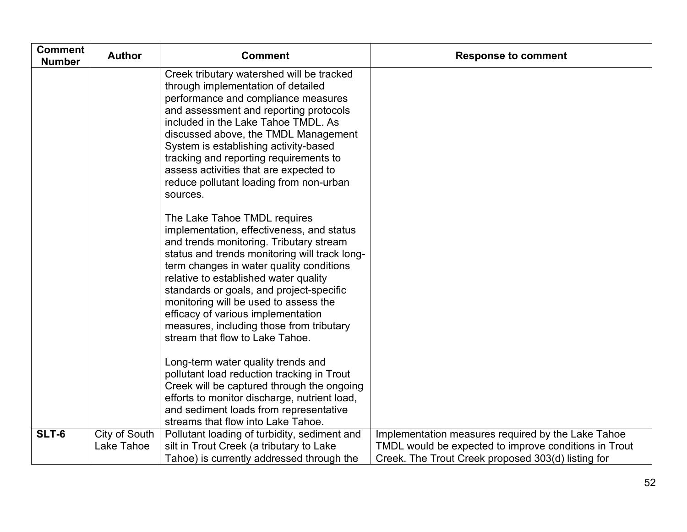| <b>Comment</b><br><b>Number</b> | <b>Author</b>               | <b>Comment</b>                                                                                                                                                                                                                                                                                                                                                                                                                                                       | <b>Response to comment</b>                                                                                                                                        |
|---------------------------------|-----------------------------|----------------------------------------------------------------------------------------------------------------------------------------------------------------------------------------------------------------------------------------------------------------------------------------------------------------------------------------------------------------------------------------------------------------------------------------------------------------------|-------------------------------------------------------------------------------------------------------------------------------------------------------------------|
|                                 |                             | Creek tributary watershed will be tracked<br>through implementation of detailed<br>performance and compliance measures<br>and assessment and reporting protocols<br>included in the Lake Tahoe TMDL. As<br>discussed above, the TMDL Management<br>System is establishing activity-based<br>tracking and reporting requirements to<br>assess activities that are expected to<br>reduce pollutant loading from non-urban<br>sources.                                  |                                                                                                                                                                   |
|                                 |                             | The Lake Tahoe TMDL requires<br>implementation, effectiveness, and status<br>and trends monitoring. Tributary stream<br>status and trends monitoring will track long-<br>term changes in water quality conditions<br>relative to established water quality<br>standards or goals, and project-specific<br>monitoring will be used to assess the<br>efficacy of various implementation<br>measures, including those from tributary<br>stream that flow to Lake Tahoe. |                                                                                                                                                                   |
|                                 |                             | Long-term water quality trends and<br>pollutant load reduction tracking in Trout<br>Creek will be captured through the ongoing<br>efforts to monitor discharge, nutrient load,<br>and sediment loads from representative<br>streams that flow into Lake Tahoe.                                                                                                                                                                                                       |                                                                                                                                                                   |
| SLT-6                           | City of South<br>Lake Tahoe | Pollutant loading of turbidity, sediment and<br>silt in Trout Creek (a tributary to Lake<br>Tahoe) is currently addressed through the                                                                                                                                                                                                                                                                                                                                | Implementation measures required by the Lake Tahoe<br>TMDL would be expected to improve conditions in Trout<br>Creek. The Trout Creek proposed 303(d) listing for |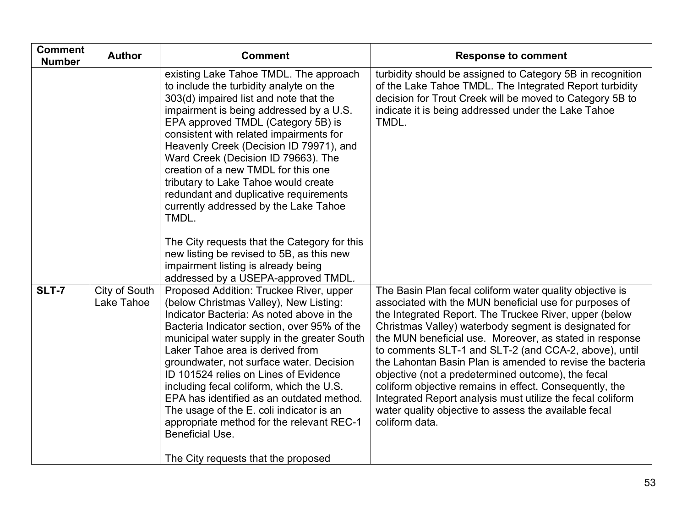| <b>Comment</b><br><b>Number</b> | <b>Author</b>               | <b>Comment</b>                                                                                                                                                                                                                                                                                                                                                                                                                                                                                                                                                                                    | <b>Response to comment</b>                                                                                                                                                                                                                                                                                                                                                                                                                                                                                                                                                                                                                                                       |
|---------------------------------|-----------------------------|---------------------------------------------------------------------------------------------------------------------------------------------------------------------------------------------------------------------------------------------------------------------------------------------------------------------------------------------------------------------------------------------------------------------------------------------------------------------------------------------------------------------------------------------------------------------------------------------------|----------------------------------------------------------------------------------------------------------------------------------------------------------------------------------------------------------------------------------------------------------------------------------------------------------------------------------------------------------------------------------------------------------------------------------------------------------------------------------------------------------------------------------------------------------------------------------------------------------------------------------------------------------------------------------|
|                                 |                             | existing Lake Tahoe TMDL. The approach<br>to include the turbidity analyte on the<br>303(d) impaired list and note that the<br>impairment is being addressed by a U.S.<br>EPA approved TMDL (Category 5B) is<br>consistent with related impairments for<br>Heavenly Creek (Decision ID 79971), and<br>Ward Creek (Decision ID 79663). The<br>creation of a new TMDL for this one<br>tributary to Lake Tahoe would create<br>redundant and duplicative requirements<br>currently addressed by the Lake Tahoe<br>TMDL.<br>The City requests that the Category for this                              | turbidity should be assigned to Category 5B in recognition<br>of the Lake Tahoe TMDL. The Integrated Report turbidity<br>decision for Trout Creek will be moved to Category 5B to<br>indicate it is being addressed under the Lake Tahoe<br>TMDL.                                                                                                                                                                                                                                                                                                                                                                                                                                |
|                                 |                             | new listing be revised to 5B, as this new<br>impairment listing is already being<br>addressed by a USEPA-approved TMDL.                                                                                                                                                                                                                                                                                                                                                                                                                                                                           |                                                                                                                                                                                                                                                                                                                                                                                                                                                                                                                                                                                                                                                                                  |
| <b>SLT-7</b>                    | City of South<br>Lake Tahoe | Proposed Addition: Truckee River, upper<br>(below Christmas Valley), New Listing:<br>Indicator Bacteria: As noted above in the<br>Bacteria Indicator section, over 95% of the<br>municipal water supply in the greater South<br>Laker Tahoe area is derived from<br>groundwater, not surface water. Decision<br>ID 101524 relies on Lines of Evidence<br>including fecal coliform, which the U.S.<br>EPA has identified as an outdated method.<br>The usage of the E. coli indicator is an<br>appropriate method for the relevant REC-1<br>Beneficial Use.<br>The City requests that the proposed | The Basin Plan fecal coliform water quality objective is<br>associated with the MUN beneficial use for purposes of<br>the Integrated Report. The Truckee River, upper (below<br>Christmas Valley) waterbody segment is designated for<br>the MUN beneficial use. Moreover, as stated in response<br>to comments SLT-1 and SLT-2 (and CCA-2, above), until<br>the Lahontan Basin Plan is amended to revise the bacteria<br>objective (not a predetermined outcome), the fecal<br>coliform objective remains in effect. Consequently, the<br>Integrated Report analysis must utilize the fecal coliform<br>water quality objective to assess the available fecal<br>coliform data. |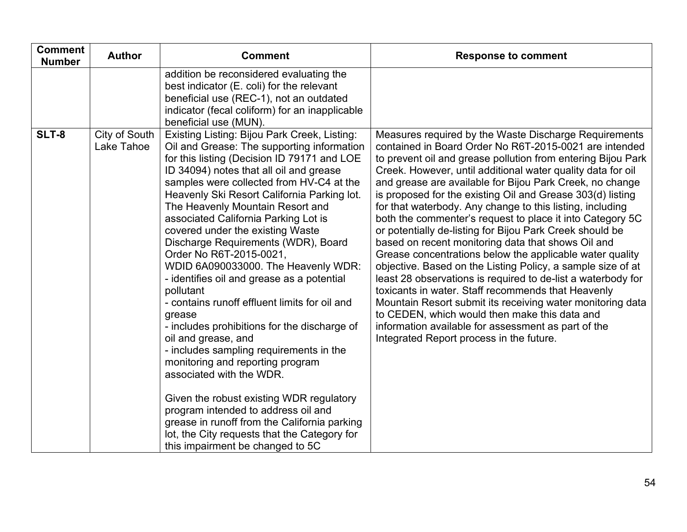| <b>Comment</b><br><b>Number</b> | <b>Author</b>               | <b>Comment</b>                                                                                                                                                                                                                                                                                                                                                                                                                                                                                                                                                                                                                                                                                                                                                                                                                                                                                                                                                                                                                          | <b>Response to comment</b>                                                                                                                                                                                                                                                                                                                                                                                                                                                                                                                                                                                                                                                                                                                                                                                                                                                                                                                                                                                                                                                              |
|---------------------------------|-----------------------------|-----------------------------------------------------------------------------------------------------------------------------------------------------------------------------------------------------------------------------------------------------------------------------------------------------------------------------------------------------------------------------------------------------------------------------------------------------------------------------------------------------------------------------------------------------------------------------------------------------------------------------------------------------------------------------------------------------------------------------------------------------------------------------------------------------------------------------------------------------------------------------------------------------------------------------------------------------------------------------------------------------------------------------------------|-----------------------------------------------------------------------------------------------------------------------------------------------------------------------------------------------------------------------------------------------------------------------------------------------------------------------------------------------------------------------------------------------------------------------------------------------------------------------------------------------------------------------------------------------------------------------------------------------------------------------------------------------------------------------------------------------------------------------------------------------------------------------------------------------------------------------------------------------------------------------------------------------------------------------------------------------------------------------------------------------------------------------------------------------------------------------------------------|
|                                 |                             | addition be reconsidered evaluating the<br>best indicator (E. coli) for the relevant<br>beneficial use (REC-1), not an outdated<br>indicator (fecal coliform) for an inapplicable<br>beneficial use (MUN).                                                                                                                                                                                                                                                                                                                                                                                                                                                                                                                                                                                                                                                                                                                                                                                                                              |                                                                                                                                                                                                                                                                                                                                                                                                                                                                                                                                                                                                                                                                                                                                                                                                                                                                                                                                                                                                                                                                                         |
| SLT-8                           | City of South<br>Lake Tahoe | Existing Listing: Bijou Park Creek, Listing:<br>Oil and Grease: The supporting information<br>for this listing (Decision ID 79171 and LOE<br>ID 34094) notes that all oil and grease<br>samples were collected from HV-C4 at the<br>Heavenly Ski Resort California Parking lot.<br>The Heavenly Mountain Resort and<br>associated California Parking Lot is<br>covered under the existing Waste<br>Discharge Requirements (WDR), Board<br>Order No R6T-2015-0021,<br>WDID 6A090033000. The Heavenly WDR:<br>- identifies oil and grease as a potential<br>pollutant<br>- contains runoff effluent limits for oil and<br>grease<br>- includes prohibitions for the discharge of<br>oil and grease, and<br>- includes sampling requirements in the<br>monitoring and reporting program<br>associated with the WDR.<br>Given the robust existing WDR regulatory<br>program intended to address oil and<br>grease in runoff from the California parking<br>lot, the City requests that the Category for<br>this impairment be changed to 5C | Measures required by the Waste Discharge Requirements<br>contained in Board Order No R6T-2015-0021 are intended<br>to prevent oil and grease pollution from entering Bijou Park<br>Creek. However, until additional water quality data for oil<br>and grease are available for Bijou Park Creek, no change<br>is proposed for the existing Oil and Grease 303(d) listing<br>for that waterbody. Any change to this listing, including<br>both the commenter's request to place it into Category 5C<br>or potentially de-listing for Bijou Park Creek should be<br>based on recent monitoring data that shows Oil and<br>Grease concentrations below the applicable water quality<br>objective. Based on the Listing Policy, a sample size of at<br>least 28 observations is required to de-list a waterbody for<br>toxicants in water. Staff recommends that Heavenly<br>Mountain Resort submit its receiving water monitoring data<br>to CEDEN, which would then make this data and<br>information available for assessment as part of the<br>Integrated Report process in the future. |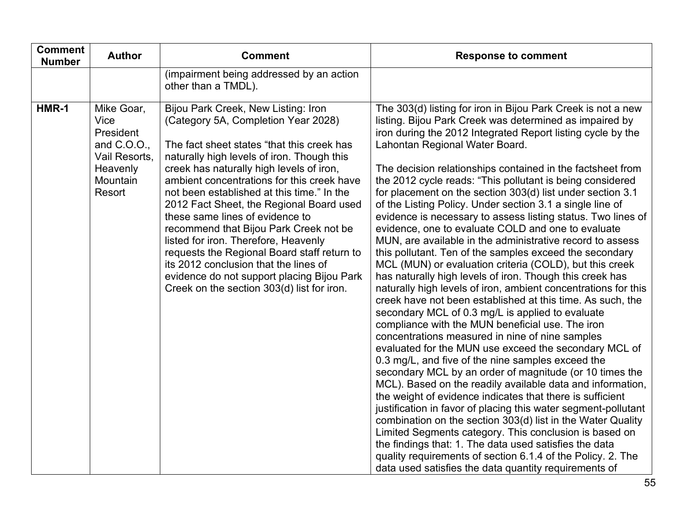| <b>Comment</b><br><b>Number</b> | <b>Author</b>                                                                                     | <b>Comment</b>                                                                                                                                                                                                                                                                                                                                                                                                                                                                                                                                                                                                                                                      | <b>Response to comment</b>                                                                                                                                                                                                                                                                                                                                                                                                                                                                                                                                                                                                                                                                                                                                                                                                                                                                                                                                                                                                                                                                                                                                                                                                                                                                                                                                                                                                                                                                                                                                                                                                                                                                                                                                                                                                      |
|---------------------------------|---------------------------------------------------------------------------------------------------|---------------------------------------------------------------------------------------------------------------------------------------------------------------------------------------------------------------------------------------------------------------------------------------------------------------------------------------------------------------------------------------------------------------------------------------------------------------------------------------------------------------------------------------------------------------------------------------------------------------------------------------------------------------------|---------------------------------------------------------------------------------------------------------------------------------------------------------------------------------------------------------------------------------------------------------------------------------------------------------------------------------------------------------------------------------------------------------------------------------------------------------------------------------------------------------------------------------------------------------------------------------------------------------------------------------------------------------------------------------------------------------------------------------------------------------------------------------------------------------------------------------------------------------------------------------------------------------------------------------------------------------------------------------------------------------------------------------------------------------------------------------------------------------------------------------------------------------------------------------------------------------------------------------------------------------------------------------------------------------------------------------------------------------------------------------------------------------------------------------------------------------------------------------------------------------------------------------------------------------------------------------------------------------------------------------------------------------------------------------------------------------------------------------------------------------------------------------------------------------------------------------|
|                                 |                                                                                                   | (impairment being addressed by an action<br>other than a TMDL).                                                                                                                                                                                                                                                                                                                                                                                                                                                                                                                                                                                                     |                                                                                                                                                                                                                                                                                                                                                                                                                                                                                                                                                                                                                                                                                                                                                                                                                                                                                                                                                                                                                                                                                                                                                                                                                                                                                                                                                                                                                                                                                                                                                                                                                                                                                                                                                                                                                                 |
| HMR-1                           | Mike Goar,<br>Vice<br>President<br>and C.O.O.,<br>Vail Resorts,<br>Heavenly<br>Mountain<br>Resort | Bijou Park Creek, New Listing: Iron<br>(Category 5A, Completion Year 2028)<br>The fact sheet states "that this creek has<br>naturally high levels of iron. Though this<br>creek has naturally high levels of iron,<br>ambient concentrations for this creek have<br>not been established at this time." In the<br>2012 Fact Sheet, the Regional Board used<br>these same lines of evidence to<br>recommend that Bijou Park Creek not be<br>listed for iron. Therefore, Heavenly<br>requests the Regional Board staff return to<br>its 2012 conclusion that the lines of<br>evidence do not support placing Bijou Park<br>Creek on the section 303(d) list for iron. | The 303(d) listing for iron in Bijou Park Creek is not a new<br>listing. Bijou Park Creek was determined as impaired by<br>iron during the 2012 Integrated Report listing cycle by the<br>Lahontan Regional Water Board.<br>The decision relationships contained in the factsheet from<br>the 2012 cycle reads: "This pollutant is being considered<br>for placement on the section 303(d) list under section 3.1<br>of the Listing Policy. Under section 3.1 a single line of<br>evidence is necessary to assess listing status. Two lines of<br>evidence, one to evaluate COLD and one to evaluate<br>MUN, are available in the administrative record to assess<br>this pollutant. Ten of the samples exceed the secondary<br>MCL (MUN) or evaluation criteria (COLD), but this creek<br>has naturally high levels of iron. Though this creek has<br>naturally high levels of iron, ambient concentrations for this<br>creek have not been established at this time. As such, the<br>secondary MCL of 0.3 mg/L is applied to evaluate<br>compliance with the MUN beneficial use. The iron<br>concentrations measured in nine of nine samples<br>evaluated for the MUN use exceed the secondary MCL of<br>0.3 mg/L, and five of the nine samples exceed the<br>secondary MCL by an order of magnitude (or 10 times the<br>MCL). Based on the readily available data and information,<br>the weight of evidence indicates that there is sufficient<br>justification in favor of placing this water segment-pollutant<br>combination on the section 303(d) list in the Water Quality<br>Limited Segments category. This conclusion is based on<br>the findings that: 1. The data used satisfies the data<br>quality requirements of section 6.1.4 of the Policy. 2. The<br>data used satisfies the data quantity requirements of |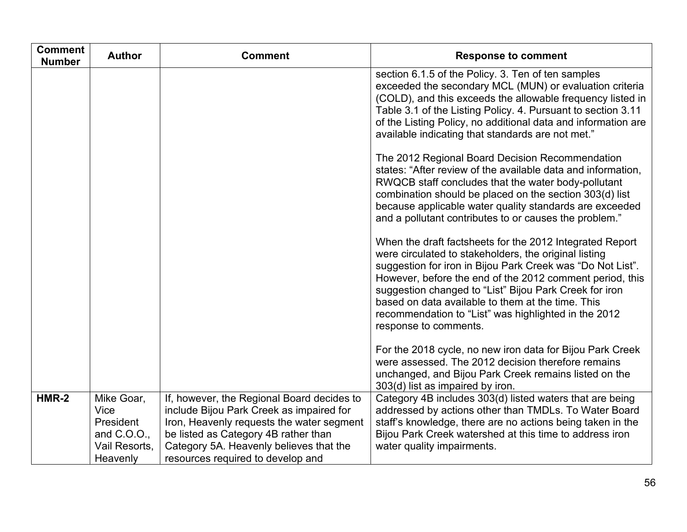| <b>Comment</b><br><b>Number</b> | <b>Author</b>                                                               | <b>Comment</b>                                                                                                                                                                                                                                              | <b>Response to comment</b>                                                                                                                                                                                                                                                                                                                                                                                                                  |
|---------------------------------|-----------------------------------------------------------------------------|-------------------------------------------------------------------------------------------------------------------------------------------------------------------------------------------------------------------------------------------------------------|---------------------------------------------------------------------------------------------------------------------------------------------------------------------------------------------------------------------------------------------------------------------------------------------------------------------------------------------------------------------------------------------------------------------------------------------|
|                                 |                                                                             |                                                                                                                                                                                                                                                             | section 6.1.5 of the Policy. 3. Ten of ten samples<br>exceeded the secondary MCL (MUN) or evaluation criteria<br>(COLD), and this exceeds the allowable frequency listed in<br>Table 3.1 of the Listing Policy. 4. Pursuant to section 3.11<br>of the Listing Policy, no additional data and information are<br>available indicating that standards are not met."                                                                           |
|                                 |                                                                             |                                                                                                                                                                                                                                                             | The 2012 Regional Board Decision Recommendation<br>states: "After review of the available data and information,<br>RWQCB staff concludes that the water body-pollutant<br>combination should be placed on the section 303(d) list<br>because applicable water quality standards are exceeded<br>and a pollutant contributes to or causes the problem."                                                                                      |
|                                 |                                                                             |                                                                                                                                                                                                                                                             | When the draft factsheets for the 2012 Integrated Report<br>were circulated to stakeholders, the original listing<br>suggestion for iron in Bijou Park Creek was "Do Not List".<br>However, before the end of the 2012 comment period, this<br>suggestion changed to "List" Bijou Park Creek for iron<br>based on data available to them at the time. This<br>recommendation to "List" was highlighted in the 2012<br>response to comments. |
|                                 |                                                                             |                                                                                                                                                                                                                                                             | For the 2018 cycle, no new iron data for Bijou Park Creek<br>were assessed. The 2012 decision therefore remains<br>unchanged, and Bijou Park Creek remains listed on the<br>303(d) list as impaired by iron.                                                                                                                                                                                                                                |
| $HMR-2$                         | Mike Goar,<br>Vice<br>President<br>and C.O.O.,<br>Vail Resorts,<br>Heavenly | If, however, the Regional Board decides to<br>include Bijou Park Creek as impaired for<br>Iron, Heavenly requests the water segment<br>be listed as Category 4B rather than<br>Category 5A. Heavenly believes that the<br>resources required to develop and | Category 4B includes 303(d) listed waters that are being<br>addressed by actions other than TMDLs. To Water Board<br>staff's knowledge, there are no actions being taken in the<br>Bijou Park Creek watershed at this time to address iron<br>water quality impairments.                                                                                                                                                                    |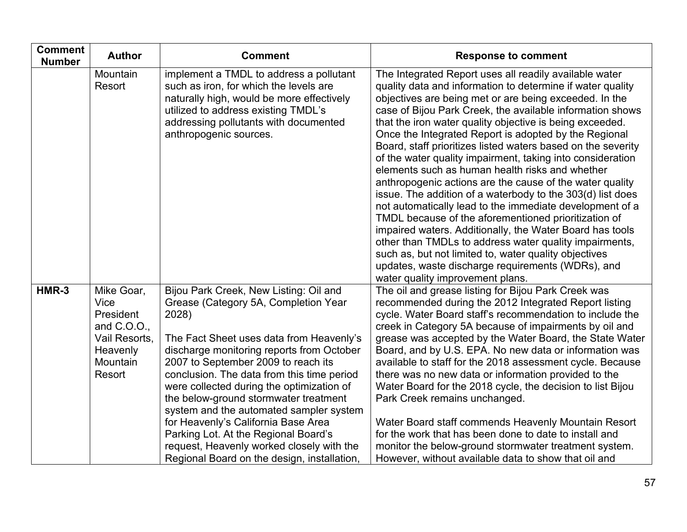| <b>Comment</b><br><b>Number</b> | <b>Author</b>                                                                                     | <b>Comment</b>                                                                                                                                                                                                                                                                                                                                                                                                                                                                                                                                                                    | <b>Response to comment</b>                                                                                                                                                                                                                                                                                                                                                                                                                                                                                                                                                                                                                                                                                                                                                                                                                                                                                                                                                                                                                                              |
|---------------------------------|---------------------------------------------------------------------------------------------------|-----------------------------------------------------------------------------------------------------------------------------------------------------------------------------------------------------------------------------------------------------------------------------------------------------------------------------------------------------------------------------------------------------------------------------------------------------------------------------------------------------------------------------------------------------------------------------------|-------------------------------------------------------------------------------------------------------------------------------------------------------------------------------------------------------------------------------------------------------------------------------------------------------------------------------------------------------------------------------------------------------------------------------------------------------------------------------------------------------------------------------------------------------------------------------------------------------------------------------------------------------------------------------------------------------------------------------------------------------------------------------------------------------------------------------------------------------------------------------------------------------------------------------------------------------------------------------------------------------------------------------------------------------------------------|
|                                 | Mountain<br>Resort                                                                                | implement a TMDL to address a pollutant<br>such as iron, for which the levels are<br>naturally high, would be more effectively<br>utilized to address existing TMDL's<br>addressing pollutants with documented<br>anthropogenic sources.                                                                                                                                                                                                                                                                                                                                          | The Integrated Report uses all readily available water<br>quality data and information to determine if water quality<br>objectives are being met or are being exceeded. In the<br>case of Bijou Park Creek, the available information shows<br>that the iron water quality objective is being exceeded.<br>Once the Integrated Report is adopted by the Regional<br>Board, staff prioritizes listed waters based on the severity<br>of the water quality impairment, taking into consideration<br>elements such as human health risks and whether<br>anthropogenic actions are the cause of the water quality<br>issue. The addition of a waterbody to the 303(d) list does<br>not automatically lead to the immediate development of a<br>TMDL because of the aforementioned prioritization of<br>impaired waters. Additionally, the Water Board has tools<br>other than TMDLs to address water quality impairments,<br>such as, but not limited to, water quality objectives<br>updates, waste discharge requirements (WDRs), and<br>water quality improvement plans. |
| HMR-3                           | Mike Goar,<br>Vice<br>President<br>and C.O.O.,<br>Vail Resorts,<br>Heavenly<br>Mountain<br>Resort | Bijou Park Creek, New Listing: Oil and<br>Grease (Category 5A, Completion Year<br>2028)<br>The Fact Sheet uses data from Heavenly's<br>discharge monitoring reports from October<br>2007 to September 2009 to reach its<br>conclusion. The data from this time period<br>were collected during the optimization of<br>the below-ground stormwater treatment<br>system and the automated sampler system<br>for Heavenly's California Base Area<br>Parking Lot. At the Regional Board's<br>request, Heavenly worked closely with the<br>Regional Board on the design, installation, | The oil and grease listing for Bijou Park Creek was<br>recommended during the 2012 Integrated Report listing<br>cycle. Water Board staff's recommendation to include the<br>creek in Category 5A because of impairments by oil and<br>grease was accepted by the Water Board, the State Water<br>Board, and by U.S. EPA. No new data or information was<br>available to staff for the 2018 assessment cycle. Because<br>there was no new data or information provided to the<br>Water Board for the 2018 cycle, the decision to list Bijou<br>Park Creek remains unchanged.<br>Water Board staff commends Heavenly Mountain Resort<br>for the work that has been done to date to install and<br>monitor the below-ground stormwater treatment system.<br>However, without available data to show that oil and                                                                                                                                                                                                                                                           |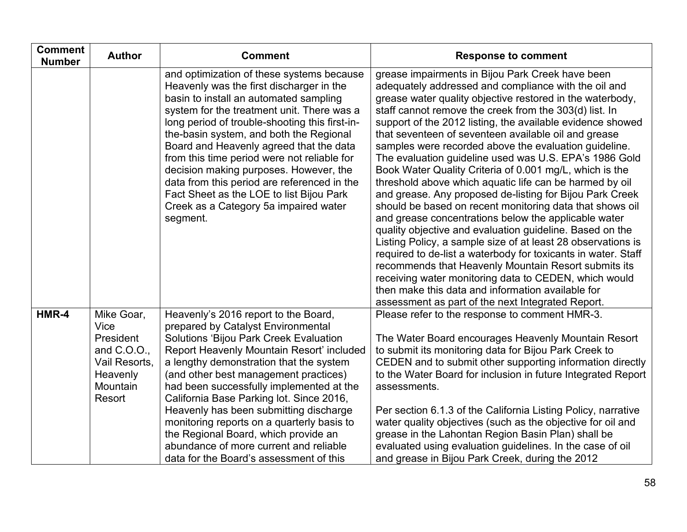| <b>Comment</b><br><b>Number</b> | <b>Author</b>                                                                                     | <b>Comment</b>                                                                                                                                                                                                                                                                                                                                                                                                                                                                                                                                                            | <b>Response to comment</b>                                                                                                                                                                                                                                                                                                                                                                                                                                                                                                                                                                                                                                                                                                                                                                                                                                                                                                                                                                                                                                                                                                                                                                             |
|---------------------------------|---------------------------------------------------------------------------------------------------|---------------------------------------------------------------------------------------------------------------------------------------------------------------------------------------------------------------------------------------------------------------------------------------------------------------------------------------------------------------------------------------------------------------------------------------------------------------------------------------------------------------------------------------------------------------------------|--------------------------------------------------------------------------------------------------------------------------------------------------------------------------------------------------------------------------------------------------------------------------------------------------------------------------------------------------------------------------------------------------------------------------------------------------------------------------------------------------------------------------------------------------------------------------------------------------------------------------------------------------------------------------------------------------------------------------------------------------------------------------------------------------------------------------------------------------------------------------------------------------------------------------------------------------------------------------------------------------------------------------------------------------------------------------------------------------------------------------------------------------------------------------------------------------------|
|                                 |                                                                                                   | and optimization of these systems because<br>Heavenly was the first discharger in the<br>basin to install an automated sampling<br>system for the treatment unit. There was a<br>long period of trouble-shooting this first-in-<br>the-basin system, and both the Regional<br>Board and Heavenly agreed that the data<br>from this time period were not reliable for<br>decision making purposes. However, the<br>data from this period are referenced in the<br>Fact Sheet as the LOE to list Bijou Park<br>Creek as a Category 5a impaired water<br>segment.            | grease impairments in Bijou Park Creek have been<br>adequately addressed and compliance with the oil and<br>grease water quality objective restored in the waterbody,<br>staff cannot remove the creek from the 303(d) list. In<br>support of the 2012 listing, the available evidence showed<br>that seventeen of seventeen available oil and grease<br>samples were recorded above the evaluation guideline.<br>The evaluation guideline used was U.S. EPA's 1986 Gold<br>Book Water Quality Criteria of 0.001 mg/L, which is the<br>threshold above which aquatic life can be harmed by oil<br>and grease. Any proposed de-listing for Bijou Park Creek<br>should be based on recent monitoring data that shows oil<br>and grease concentrations below the applicable water<br>quality objective and evaluation guideline. Based on the<br>Listing Policy, a sample size of at least 28 observations is<br>required to de-list a waterbody for toxicants in water. Staff<br>recommends that Heavenly Mountain Resort submits its<br>receiving water monitoring data to CEDEN, which would<br>then make this data and information available for<br>assessment as part of the next Integrated Report. |
| HMR-4                           | Mike Goar,<br>Vice<br>President<br>and C.O.O.,<br>Vail Resorts,<br>Heavenly<br>Mountain<br>Resort | Heavenly's 2016 report to the Board,<br>prepared by Catalyst Environmental<br><b>Solutions 'Bijou Park Creek Evaluation</b><br>Report Heavenly Mountain Resort' included<br>a lengthy demonstration that the system<br>(and other best management practices)<br>had been successfully implemented at the<br>California Base Parking lot. Since 2016,<br>Heavenly has been submitting discharge<br>monitoring reports on a quarterly basis to<br>the Regional Board, which provide an<br>abundance of more current and reliable<br>data for the Board's assessment of this | Please refer to the response to comment HMR-3.<br>The Water Board encourages Heavenly Mountain Resort<br>to submit its monitoring data for Bijou Park Creek to<br>CEDEN and to submit other supporting information directly<br>to the Water Board for inclusion in future Integrated Report<br>assessments.<br>Per section 6.1.3 of the California Listing Policy, narrative<br>water quality objectives (such as the objective for oil and<br>grease in the Lahontan Region Basin Plan) shall be<br>evaluated using evaluation guidelines. In the case of oil<br>and grease in Bijou Park Creek, during the 2012                                                                                                                                                                                                                                                                                                                                                                                                                                                                                                                                                                                      |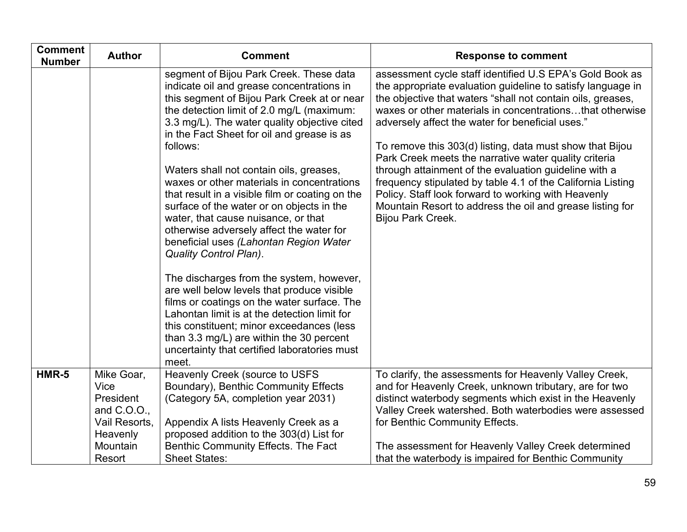| <b>Comment</b><br><b>Number</b> | <b>Author</b>                                                                                       | <b>Comment</b>                                                                                                                                                                                                                                                                                                                                                                                                                                                                                                                                                                                                                                                                                                                                                                                                                                                                                                                                                                               | <b>Response to comment</b>                                                                                                                                                                                                                                                                                                                                                                                                                                                                                                                                                                                                                                                                   |
|---------------------------------|-----------------------------------------------------------------------------------------------------|----------------------------------------------------------------------------------------------------------------------------------------------------------------------------------------------------------------------------------------------------------------------------------------------------------------------------------------------------------------------------------------------------------------------------------------------------------------------------------------------------------------------------------------------------------------------------------------------------------------------------------------------------------------------------------------------------------------------------------------------------------------------------------------------------------------------------------------------------------------------------------------------------------------------------------------------------------------------------------------------|----------------------------------------------------------------------------------------------------------------------------------------------------------------------------------------------------------------------------------------------------------------------------------------------------------------------------------------------------------------------------------------------------------------------------------------------------------------------------------------------------------------------------------------------------------------------------------------------------------------------------------------------------------------------------------------------|
|                                 |                                                                                                     | segment of Bijou Park Creek. These data<br>indicate oil and grease concentrations in<br>this segment of Bijou Park Creek at or near<br>the detection limit of 2.0 mg/L (maximum:<br>3.3 mg/L). The water quality objective cited<br>in the Fact Sheet for oil and grease is as<br>follows:<br>Waters shall not contain oils, greases,<br>waxes or other materials in concentrations<br>that result in a visible film or coating on the<br>surface of the water or on objects in the<br>water, that cause nuisance, or that<br>otherwise adversely affect the water for<br>beneficial uses (Lahontan Region Water<br><b>Quality Control Plan).</b><br>The discharges from the system, however,<br>are well below levels that produce visible<br>films or coatings on the water surface. The<br>Lahontan limit is at the detection limit for<br>this constituent; minor exceedances (less<br>than 3.3 mg/L) are within the 30 percent<br>uncertainty that certified laboratories must<br>meet. | assessment cycle staff identified U.S EPA's Gold Book as<br>the appropriate evaluation guideline to satisfy language in<br>the objective that waters "shall not contain oils, greases,<br>waxes or other materials in concentrationsthat otherwise<br>adversely affect the water for beneficial uses."<br>To remove this 303(d) listing, data must show that Bijou<br>Park Creek meets the narrative water quality criteria<br>through attainment of the evaluation guideline with a<br>frequency stipulated by table 4.1 of the California Listing<br>Policy. Staff look forward to working with Heavenly<br>Mountain Resort to address the oil and grease listing for<br>Bijou Park Creek. |
| HMR-5                           | Mike Goar,<br>Vice<br>President<br>and $C.0.0$ .<br>Vail Resorts,<br>Heavenly<br>Mountain<br>Resort | Heavenly Creek (source to USFS<br>Boundary), Benthic Community Effects<br>(Category 5A, completion year 2031)<br>Appendix A lists Heavenly Creek as a<br>proposed addition to the 303(d) List for<br>Benthic Community Effects. The Fact<br><b>Sheet States:</b>                                                                                                                                                                                                                                                                                                                                                                                                                                                                                                                                                                                                                                                                                                                             | To clarify, the assessments for Heavenly Valley Creek,<br>and for Heavenly Creek, unknown tributary, are for two<br>distinct waterbody segments which exist in the Heavenly<br>Valley Creek watershed. Both waterbodies were assessed<br>for Benthic Community Effects.<br>The assessment for Heavenly Valley Creek determined<br>that the waterbody is impaired for Benthic Community                                                                                                                                                                                                                                                                                                       |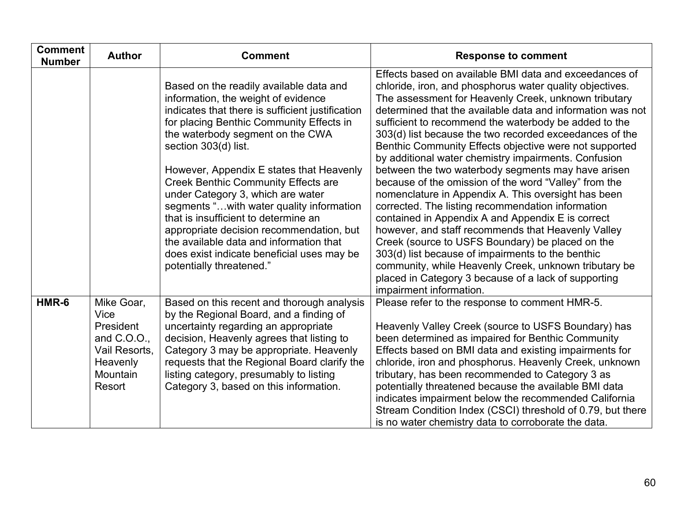| <b>Comment</b><br><b>Number</b> | <b>Author</b>                                                                                     | <b>Comment</b>                                                                                                                                                                                                                                                                                                                                                                                                                                                                                                                                                                                                                 | <b>Response to comment</b>                                                                                                                                                                                                                                                                                                                                                                                                                                                                                                                                                                                                                                                                                                                                                                                                                                                                                                                                                                                                                                                |
|---------------------------------|---------------------------------------------------------------------------------------------------|--------------------------------------------------------------------------------------------------------------------------------------------------------------------------------------------------------------------------------------------------------------------------------------------------------------------------------------------------------------------------------------------------------------------------------------------------------------------------------------------------------------------------------------------------------------------------------------------------------------------------------|---------------------------------------------------------------------------------------------------------------------------------------------------------------------------------------------------------------------------------------------------------------------------------------------------------------------------------------------------------------------------------------------------------------------------------------------------------------------------------------------------------------------------------------------------------------------------------------------------------------------------------------------------------------------------------------------------------------------------------------------------------------------------------------------------------------------------------------------------------------------------------------------------------------------------------------------------------------------------------------------------------------------------------------------------------------------------|
|                                 |                                                                                                   | Based on the readily available data and<br>information, the weight of evidence<br>indicates that there is sufficient justification<br>for placing Benthic Community Effects in<br>the waterbody segment on the CWA<br>section 303(d) list.<br>However, Appendix E states that Heavenly<br><b>Creek Benthic Community Effects are</b><br>under Category 3, which are water<br>segments "with water quality information<br>that is insufficient to determine an<br>appropriate decision recommendation, but<br>the available data and information that<br>does exist indicate beneficial uses may be<br>potentially threatened." | Effects based on available BMI data and exceedances of<br>chloride, iron, and phosphorus water quality objectives.<br>The assessment for Heavenly Creek, unknown tributary<br>determined that the available data and information was not<br>sufficient to recommend the waterbody be added to the<br>303(d) list because the two recorded exceedances of the<br>Benthic Community Effects objective were not supported<br>by additional water chemistry impairments. Confusion<br>between the two waterbody segments may have arisen<br>because of the omission of the word "Valley" from the<br>nomenclature in Appendix A. This oversight has been<br>corrected. The listing recommendation information<br>contained in Appendix A and Appendix E is correct<br>however, and staff recommends that Heavenly Valley<br>Creek (source to USFS Boundary) be placed on the<br>303(d) list because of impairments to the benthic<br>community, while Heavenly Creek, unknown tributary be<br>placed in Category 3 because of a lack of supporting<br>impairment information. |
| HMR-6                           | Mike Goar,<br>Vice<br>President<br>and C.O.O.,<br>Vail Resorts,<br>Heavenly<br>Mountain<br>Resort | Based on this recent and thorough analysis<br>by the Regional Board, and a finding of<br>uncertainty regarding an appropriate<br>decision, Heavenly agrees that listing to<br>Category 3 may be appropriate. Heavenly<br>requests that the Regional Board clarify the<br>listing category, presumably to listing<br>Category 3, based on this information.                                                                                                                                                                                                                                                                     | Please refer to the response to comment HMR-5.<br>Heavenly Valley Creek (source to USFS Boundary) has<br>been determined as impaired for Benthic Community<br>Effects based on BMI data and existing impairments for<br>chloride, iron and phosphorus. Heavenly Creek, unknown<br>tributary, has been recommended to Category 3 as<br>potentially threatened because the available BMI data<br>indicates impairment below the recommended California<br>Stream Condition Index (CSCI) threshold of 0.79, but there<br>is no water chemistry data to corroborate the data.                                                                                                                                                                                                                                                                                                                                                                                                                                                                                                 |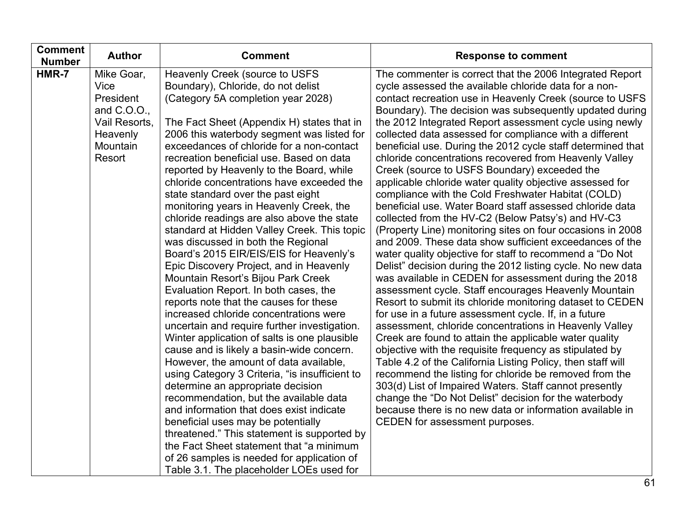| <b>Number</b><br>HMR-7<br>Heavenly Creek (source to USFS<br>Mike Goar,<br>The commenter is correct that the 2006 Integrated Report<br>Vice<br>Boundary), Chloride, do not delist<br>cycle assessed the available chloride data for a non-<br>(Category 5A completion year 2028)<br>President<br>contact recreation use in Heavenly Creek (source to USFS<br>and $C.O.O.,$<br>Boundary). The decision was subsequently updated during<br>Vail Resorts,<br>The Fact Sheet (Appendix H) states that in<br>the 2012 Integrated Report assessment cycle using newly<br>collected data assessed for compliance with a different<br>Heavenly<br>2006 this waterbody segment was listed for<br>exceedances of chloride for a non-contact<br>Mountain<br>beneficial use. During the 2012 cycle staff determined that<br>Resort<br>recreation beneficial use. Based on data<br>chloride concentrations recovered from Heavenly Valley<br>Creek (source to USFS Boundary) exceeded the<br>reported by Heavenly to the Board, while<br>chloride concentrations have exceeded the<br>applicable chloride water quality objective assessed for<br>state standard over the past eight<br>compliance with the Cold Freshwater Habitat (COLD)<br>monitoring years in Heavenly Creek, the<br>beneficial use. Water Board staff assessed chloride data<br>chloride readings are also above the state<br>collected from the HV-C2 (Below Patsy's) and HV-C3<br>standard at Hidden Valley Creek. This topic<br>(Property Line) monitoring sites on four occasions in 2008<br>and 2009. These data show sufficient exceedances of the<br>was discussed in both the Regional<br>Board's 2015 EIR/EIS/EIS for Heavenly's<br>water quality objective for staff to recommend a "Do Not<br>Delist" decision during the 2012 listing cycle. No new data<br>Epic Discovery Project, and in Heavenly<br>Mountain Resort's Bijou Park Creek<br>was available in CEDEN for assessment during the 2018<br>Evaluation Report. In both cases, the<br>assessment cycle. Staff encourages Heavenly Mountain<br>reports note that the causes for these<br>Resort to submit its chloride monitoring dataset to CEDEN<br>increased chloride concentrations were<br>for use in a future assessment cycle. If, in a future<br>uncertain and require further investigation.<br>assessment, chloride concentrations in Heavenly Valley<br>Creek are found to attain the applicable water quality<br>Winter application of salts is one plausible<br>cause and is likely a basin-wide concern.<br>objective with the requisite frequency as stipulated by<br>However, the amount of data available,<br>Table 4.2 of the California Listing Policy, then staff will<br>recommend the listing for chloride be removed from the<br>using Category 3 Criteria, "is insufficient to<br>303(d) List of Impaired Waters. Staff cannot presently<br>determine an appropriate decision<br>change the "Do Not Delist" decision for the waterbody<br>recommendation, but the available data<br>and information that does exist indicate<br>because there is no new data or information available in<br>beneficial uses may be potentially<br>CEDEN for assessment purposes.<br>threatened." This statement is supported by<br>the Fact Sheet statement that "a minimum<br>of 26 samples is needed for application of<br>Table 3.1. The placeholder LOEs used for |  |
|----------------------------------------------------------------------------------------------------------------------------------------------------------------------------------------------------------------------------------------------------------------------------------------------------------------------------------------------------------------------------------------------------------------------------------------------------------------------------------------------------------------------------------------------------------------------------------------------------------------------------------------------------------------------------------------------------------------------------------------------------------------------------------------------------------------------------------------------------------------------------------------------------------------------------------------------------------------------------------------------------------------------------------------------------------------------------------------------------------------------------------------------------------------------------------------------------------------------------------------------------------------------------------------------------------------------------------------------------------------------------------------------------------------------------------------------------------------------------------------------------------------------------------------------------------------------------------------------------------------------------------------------------------------------------------------------------------------------------------------------------------------------------------------------------------------------------------------------------------------------------------------------------------------------------------------------------------------------------------------------------------------------------------------------------------------------------------------------------------------------------------------------------------------------------------------------------------------------------------------------------------------------------------------------------------------------------------------------------------------------------------------------------------------------------------------------------------------------------------------------------------------------------------------------------------------------------------------------------------------------------------------------------------------------------------------------------------------------------------------------------------------------------------------------------------------------------------------------------------------------------------------------------------------------------------------------------------------------------------------------------------------------------------------------------------------------------------------------------------------------------------------------------------------------------------------------------------------------------------------------------------------------------------------------------------------------------------------------------------------------------------------------------------|--|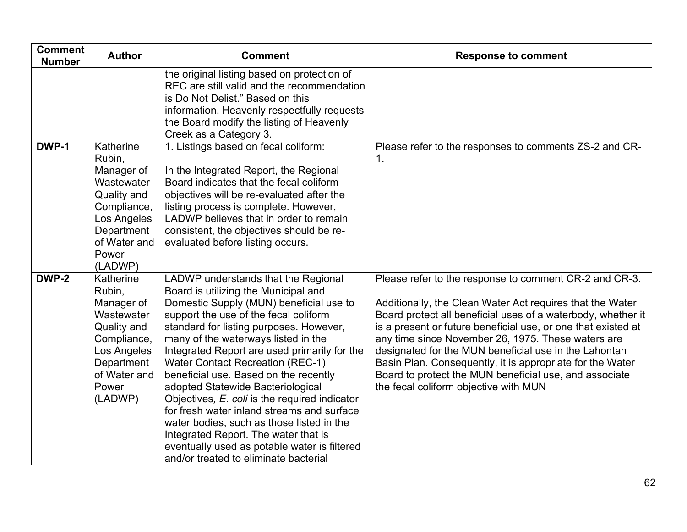| <b>Comment</b><br><b>Number</b> | <b>Author</b>                                                                                                                                  | <b>Comment</b>                                                                                                                                                                                                                                                                                                                                                                                                                                                                                                                                                                                                                                                                                          | <b>Response to comment</b>                                                                                                                                                                                                                                                                                                                                                                                                                                                                                                          |
|---------------------------------|------------------------------------------------------------------------------------------------------------------------------------------------|---------------------------------------------------------------------------------------------------------------------------------------------------------------------------------------------------------------------------------------------------------------------------------------------------------------------------------------------------------------------------------------------------------------------------------------------------------------------------------------------------------------------------------------------------------------------------------------------------------------------------------------------------------------------------------------------------------|-------------------------------------------------------------------------------------------------------------------------------------------------------------------------------------------------------------------------------------------------------------------------------------------------------------------------------------------------------------------------------------------------------------------------------------------------------------------------------------------------------------------------------------|
|                                 |                                                                                                                                                | the original listing based on protection of<br>REC are still valid and the recommendation<br>is Do Not Delist." Based on this<br>information, Heavenly respectfully requests<br>the Board modify the listing of Heavenly<br>Creek as a Category 3.                                                                                                                                                                                                                                                                                                                                                                                                                                                      |                                                                                                                                                                                                                                                                                                                                                                                                                                                                                                                                     |
| DWP-1                           | Katherine<br>Rubin,<br>Manager of<br>Wastewater<br>Quality and<br>Compliance,<br>Los Angeles<br>Department<br>of Water and<br>Power<br>(LADWP) | 1. Listings based on fecal coliform:<br>In the Integrated Report, the Regional<br>Board indicates that the fecal coliform<br>objectives will be re-evaluated after the<br>listing process is complete. However,<br>LADWP believes that in order to remain<br>consistent, the objectives should be re-<br>evaluated before listing occurs.                                                                                                                                                                                                                                                                                                                                                               | Please refer to the responses to comments ZS-2 and CR-<br>$\mathbf{1}$ .                                                                                                                                                                                                                                                                                                                                                                                                                                                            |
| DWP-2                           | Katherine<br>Rubin,<br>Manager of<br>Wastewater<br>Quality and<br>Compliance,<br>Los Angeles<br>Department<br>of Water and<br>Power<br>(LADWP) | LADWP understands that the Regional<br>Board is utilizing the Municipal and<br>Domestic Supply (MUN) beneficial use to<br>support the use of the fecal coliform<br>standard for listing purposes. However,<br>many of the waterways listed in the<br>Integrated Report are used primarily for the<br><b>Water Contact Recreation (REC-1)</b><br>beneficial use. Based on the recently<br>adopted Statewide Bacteriological<br>Objectives, E. coli is the required indicator<br>for fresh water inland streams and surface<br>water bodies, such as those listed in the<br>Integrated Report. The water that is<br>eventually used as potable water is filtered<br>and/or treated to eliminate bacterial | Please refer to the response to comment CR-2 and CR-3.<br>Additionally, the Clean Water Act requires that the Water<br>Board protect all beneficial uses of a waterbody, whether it<br>is a present or future beneficial use, or one that existed at<br>any time since November 26, 1975. These waters are<br>designated for the MUN beneficial use in the Lahontan<br>Basin Plan. Consequently, it is appropriate for the Water<br>Board to protect the MUN beneficial use, and associate<br>the fecal coliform objective with MUN |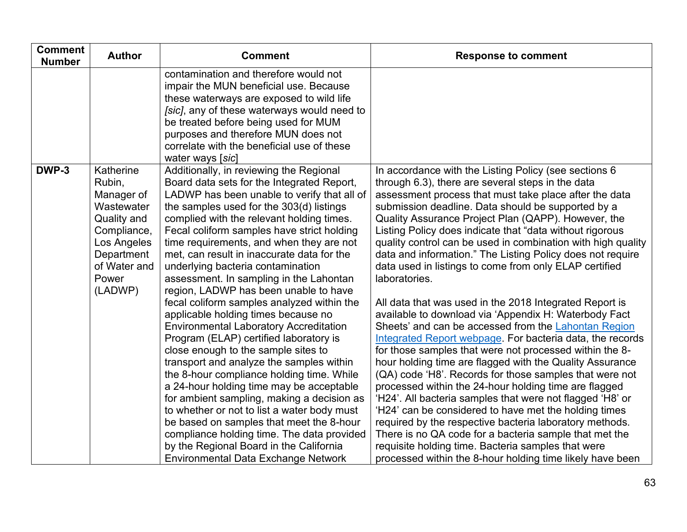| <b>Comment</b><br><b>Number</b> | <b>Author</b>                                                                                                                                  | <b>Comment</b>                                                                                                                                                                                                                                                                                                                                                                                                                                                                                                                                                                                                                                                                                                                                                                                                                                                                                                                                                                                                                                                                                                                             | <b>Response to comment</b>                                                                                                                                                                                                                                                                                                                                                                                                                                                                                                                                                                                                                                                                                                                                                                                                                                                                                                                                                                                                                                                                                                                                                                                                                                                                                                                                                                               |
|---------------------------------|------------------------------------------------------------------------------------------------------------------------------------------------|--------------------------------------------------------------------------------------------------------------------------------------------------------------------------------------------------------------------------------------------------------------------------------------------------------------------------------------------------------------------------------------------------------------------------------------------------------------------------------------------------------------------------------------------------------------------------------------------------------------------------------------------------------------------------------------------------------------------------------------------------------------------------------------------------------------------------------------------------------------------------------------------------------------------------------------------------------------------------------------------------------------------------------------------------------------------------------------------------------------------------------------------|----------------------------------------------------------------------------------------------------------------------------------------------------------------------------------------------------------------------------------------------------------------------------------------------------------------------------------------------------------------------------------------------------------------------------------------------------------------------------------------------------------------------------------------------------------------------------------------------------------------------------------------------------------------------------------------------------------------------------------------------------------------------------------------------------------------------------------------------------------------------------------------------------------------------------------------------------------------------------------------------------------------------------------------------------------------------------------------------------------------------------------------------------------------------------------------------------------------------------------------------------------------------------------------------------------------------------------------------------------------------------------------------------------|
|                                 |                                                                                                                                                | contamination and therefore would not<br>impair the MUN beneficial use. Because<br>these waterways are exposed to wild life<br>[sic], any of these waterways would need to<br>be treated before being used for MUM<br>purposes and therefore MUN does not<br>correlate with the beneficial use of these<br>water ways [sic]                                                                                                                                                                                                                                                                                                                                                                                                                                                                                                                                                                                                                                                                                                                                                                                                                |                                                                                                                                                                                                                                                                                                                                                                                                                                                                                                                                                                                                                                                                                                                                                                                                                                                                                                                                                                                                                                                                                                                                                                                                                                                                                                                                                                                                          |
| DWP-3                           | Katherine<br>Rubin,<br>Manager of<br>Wastewater<br>Quality and<br>Compliance,<br>Los Angeles<br>Department<br>of Water and<br>Power<br>(LADWP) | Additionally, in reviewing the Regional<br>Board data sets for the Integrated Report,<br>LADWP has been unable to verify that all of<br>the samples used for the 303(d) listings<br>complied with the relevant holding times.<br>Fecal coliform samples have strict holding<br>time requirements, and when they are not<br>met, can result in inaccurate data for the<br>underlying bacteria contamination<br>assessment. In sampling in the Lahontan<br>region, LADWP has been unable to have<br>fecal coliform samples analyzed within the<br>applicable holding times because no<br><b>Environmental Laboratory Accreditation</b><br>Program (ELAP) certified laboratory is<br>close enough to the sample sites to<br>transport and analyze the samples within<br>the 8-hour compliance holding time. While<br>a 24-hour holding time may be acceptable<br>for ambient sampling, making a decision as<br>to whether or not to list a water body must<br>be based on samples that meet the 8-hour<br>compliance holding time. The data provided<br>by the Regional Board in the California<br><b>Environmental Data Exchange Network</b> | In accordance with the Listing Policy (see sections 6<br>through 6.3), there are several steps in the data<br>assessment process that must take place after the data<br>submission deadline. Data should be supported by a<br>Quality Assurance Project Plan (QAPP). However, the<br>Listing Policy does indicate that "data without rigorous<br>quality control can be used in combination with high quality<br>data and information." The Listing Policy does not require<br>data used in listings to come from only ELAP certified<br>laboratories.<br>All data that was used in the 2018 Integrated Report is<br>available to download via 'Appendix H: Waterbody Fact<br>Sheets' and can be accessed from the Lahontan Region<br>Integrated Report webpage. For bacteria data, the records<br>for those samples that were not processed within the 8-<br>hour holding time are flagged with the Quality Assurance<br>(QA) code 'H8'. Records for those samples that were not<br>processed within the 24-hour holding time are flagged<br>'H24'. All bacteria samples that were not flagged 'H8' or<br>'H24' can be considered to have met the holding times<br>required by the respective bacteria laboratory methods.<br>There is no QA code for a bacteria sample that met the<br>requisite holding time. Bacteria samples that were<br>processed within the 8-hour holding time likely have been |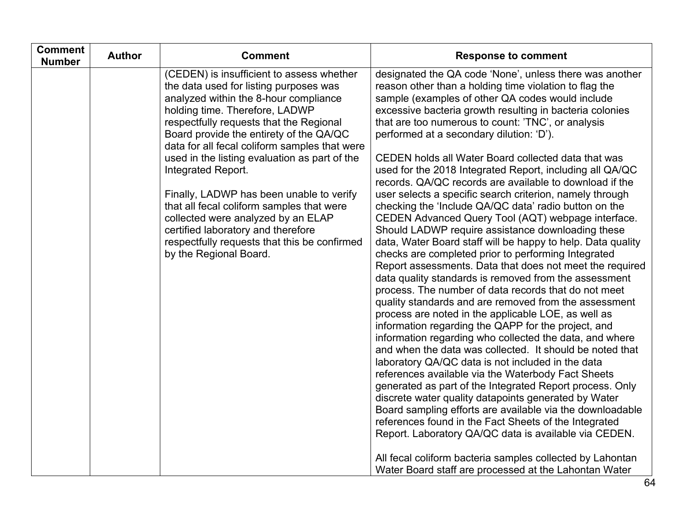| <b>Comment</b><br><b>Number</b> | <b>Author</b> | <b>Comment</b>                                                                                                                                                                                                                                                                                                                                                                                                                                                                                                                                                                                                              | <b>Response to comment</b>                                                                                                                                                                                                                                                                                                                                                                                                                                                                                                                                                                                                                                                                                                                                                                                                                                                                                                                                                                                                                                                                                                                                                                                                                                                                                                                                                                                                                                                                                                                                                        |
|---------------------------------|---------------|-----------------------------------------------------------------------------------------------------------------------------------------------------------------------------------------------------------------------------------------------------------------------------------------------------------------------------------------------------------------------------------------------------------------------------------------------------------------------------------------------------------------------------------------------------------------------------------------------------------------------------|-----------------------------------------------------------------------------------------------------------------------------------------------------------------------------------------------------------------------------------------------------------------------------------------------------------------------------------------------------------------------------------------------------------------------------------------------------------------------------------------------------------------------------------------------------------------------------------------------------------------------------------------------------------------------------------------------------------------------------------------------------------------------------------------------------------------------------------------------------------------------------------------------------------------------------------------------------------------------------------------------------------------------------------------------------------------------------------------------------------------------------------------------------------------------------------------------------------------------------------------------------------------------------------------------------------------------------------------------------------------------------------------------------------------------------------------------------------------------------------------------------------------------------------------------------------------------------------|
|                                 |               | (CEDEN) is insufficient to assess whether<br>the data used for listing purposes was<br>analyzed within the 8-hour compliance<br>holding time. Therefore, LADWP<br>respectfully requests that the Regional<br>Board provide the entirety of the QA/QC<br>data for all fecal coliform samples that were<br>used in the listing evaluation as part of the<br>Integrated Report.<br>Finally, LADWP has been unable to verify<br>that all fecal coliform samples that were<br>collected were analyzed by an ELAP<br>certified laboratory and therefore<br>respectfully requests that this be confirmed<br>by the Regional Board. | designated the QA code 'None', unless there was another<br>reason other than a holding time violation to flag the<br>sample (examples of other QA codes would include<br>excessive bacteria growth resulting in bacteria colonies<br>that are too numerous to count: 'TNC', or analysis<br>performed at a secondary dilution: 'D').<br>CEDEN holds all Water Board collected data that was<br>used for the 2018 Integrated Report, including all QA/QC<br>records. QA/QC records are available to download if the<br>user selects a specific search criterion, namely through<br>checking the 'Include QA/QC data' radio button on the<br>CEDEN Advanced Query Tool (AQT) webpage interface.<br>Should LADWP require assistance downloading these<br>data, Water Board staff will be happy to help. Data quality<br>checks are completed prior to performing Integrated<br>Report assessments. Data that does not meet the required<br>data quality standards is removed from the assessment<br>process. The number of data records that do not meet<br>quality standards and are removed from the assessment<br>process are noted in the applicable LOE, as well as<br>information regarding the QAPP for the project, and<br>information regarding who collected the data, and where<br>and when the data was collected. It should be noted that<br>laboratory QA/QC data is not included in the data<br>references available via the Waterbody Fact Sheets<br>generated as part of the Integrated Report process. Only<br>discrete water quality datapoints generated by Water |
|                                 |               |                                                                                                                                                                                                                                                                                                                                                                                                                                                                                                                                                                                                                             | Board sampling efforts are available via the downloadable<br>references found in the Fact Sheets of the Integrated<br>Report. Laboratory QA/QC data is available via CEDEN.<br>All fecal coliform bacteria samples collected by Lahontan<br>Water Board staff are processed at the Lahontan Water                                                                                                                                                                                                                                                                                                                                                                                                                                                                                                                                                                                                                                                                                                                                                                                                                                                                                                                                                                                                                                                                                                                                                                                                                                                                                 |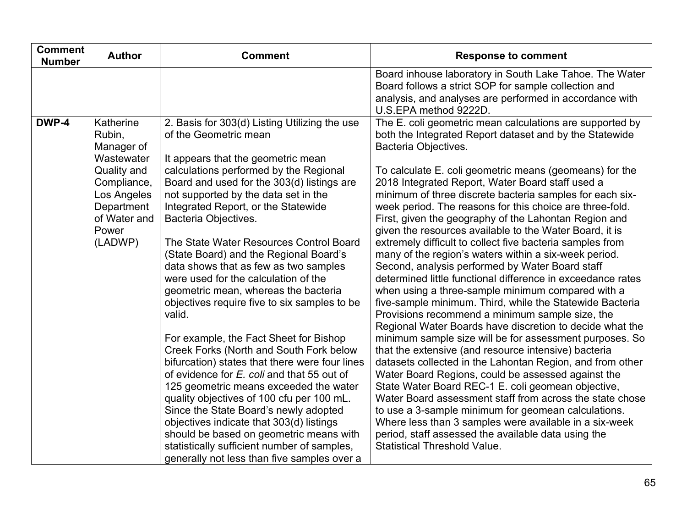| <b>Comment</b><br><b>Number</b> | <b>Author</b>                                                                                                                                  | <b>Comment</b>                                                                                                                                                                                                                                                                                                                                                                                                                                                                                                                                                                                                                                                                                                                                                                                                                                                                                                                                                                                                                                                                                | <b>Response to comment</b>                                                                                                                                                                                                                                                                                                                                                                                                                                                                                                                                                                                                                                                                                                                                                                                                                                                                                                                                                                                                                                                                                                                                                                                                                                                                                                                                                                                                                                                                                                                            |
|---------------------------------|------------------------------------------------------------------------------------------------------------------------------------------------|-----------------------------------------------------------------------------------------------------------------------------------------------------------------------------------------------------------------------------------------------------------------------------------------------------------------------------------------------------------------------------------------------------------------------------------------------------------------------------------------------------------------------------------------------------------------------------------------------------------------------------------------------------------------------------------------------------------------------------------------------------------------------------------------------------------------------------------------------------------------------------------------------------------------------------------------------------------------------------------------------------------------------------------------------------------------------------------------------|-------------------------------------------------------------------------------------------------------------------------------------------------------------------------------------------------------------------------------------------------------------------------------------------------------------------------------------------------------------------------------------------------------------------------------------------------------------------------------------------------------------------------------------------------------------------------------------------------------------------------------------------------------------------------------------------------------------------------------------------------------------------------------------------------------------------------------------------------------------------------------------------------------------------------------------------------------------------------------------------------------------------------------------------------------------------------------------------------------------------------------------------------------------------------------------------------------------------------------------------------------------------------------------------------------------------------------------------------------------------------------------------------------------------------------------------------------------------------------------------------------------------------------------------------------|
|                                 |                                                                                                                                                |                                                                                                                                                                                                                                                                                                                                                                                                                                                                                                                                                                                                                                                                                                                                                                                                                                                                                                                                                                                                                                                                                               | Board inhouse laboratory in South Lake Tahoe. The Water<br>Board follows a strict SOP for sample collection and<br>analysis, and analyses are performed in accordance with<br>U.S.EPA method 9222D.                                                                                                                                                                                                                                                                                                                                                                                                                                                                                                                                                                                                                                                                                                                                                                                                                                                                                                                                                                                                                                                                                                                                                                                                                                                                                                                                                   |
| DWP-4                           | Katherine<br>Rubin,<br>Manager of<br>Wastewater<br>Quality and<br>Compliance,<br>Los Angeles<br>Department<br>of Water and<br>Power<br>(LADWP) | 2. Basis for 303(d) Listing Utilizing the use<br>of the Geometric mean<br>It appears that the geometric mean<br>calculations performed by the Regional<br>Board and used for the 303(d) listings are<br>not supported by the data set in the<br>Integrated Report, or the Statewide<br>Bacteria Objectives.<br>The State Water Resources Control Board<br>(State Board) and the Regional Board's<br>data shows that as few as two samples<br>were used for the calculation of the<br>geometric mean, whereas the bacteria<br>objectives require five to six samples to be<br>valid.<br>For example, the Fact Sheet for Bishop<br>Creek Forks (North and South Fork below<br>bifurcation) states that there were four lines<br>of evidence for E. coli and that 55 out of<br>125 geometric means exceeded the water<br>quality objectives of 100 cfu per 100 mL.<br>Since the State Board's newly adopted<br>objectives indicate that 303(d) listings<br>should be based on geometric means with<br>statistically sufficient number of samples,<br>generally not less than five samples over a | The E. coli geometric mean calculations are supported by<br>both the Integrated Report dataset and by the Statewide<br>Bacteria Objectives.<br>To calculate E. coli geometric means (geomeans) for the<br>2018 Integrated Report, Water Board staff used a<br>minimum of three discrete bacteria samples for each six-<br>week period. The reasons for this choice are three-fold.<br>First, given the geography of the Lahontan Region and<br>given the resources available to the Water Board, it is<br>extremely difficult to collect five bacteria samples from<br>many of the region's waters within a six-week period.<br>Second, analysis performed by Water Board staff<br>determined little functional difference in exceedance rates<br>when using a three-sample minimum compared with a<br>five-sample minimum. Third, while the Statewide Bacteria<br>Provisions recommend a minimum sample size, the<br>Regional Water Boards have discretion to decide what the<br>minimum sample size will be for assessment purposes. So<br>that the extensive (and resource intensive) bacteria<br>datasets collected in the Lahontan Region, and from other<br>Water Board Regions, could be assessed against the<br>State Water Board REC-1 E. coli geomean objective,<br>Water Board assessment staff from across the state chose<br>to use a 3-sample minimum for geomean calculations.<br>Where less than 3 samples were available in a six-week<br>period, staff assessed the available data using the<br><b>Statistical Threshold Value.</b> |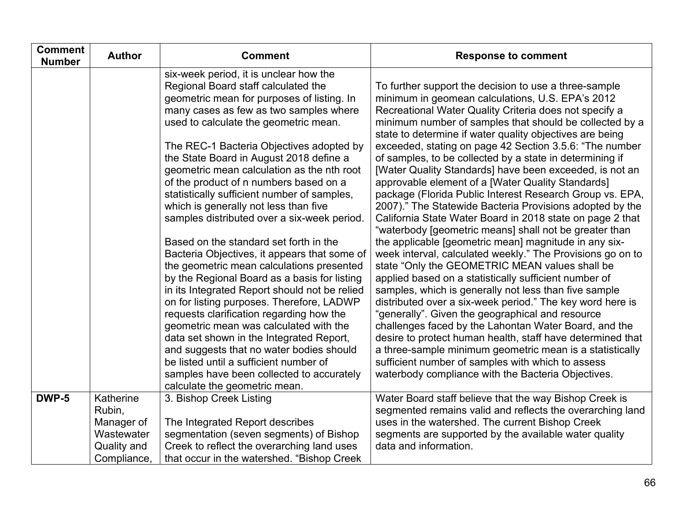| <b>Comment</b><br><b>Number</b> | <b>Author</b>                                                  | <b>Comment</b>                                                                                                                                                                                                                                                                                                                                                                                                                                                                                                                                                                                                                                                                                                                                                                                                                                                                                                                                                                                                                                                                                 | <b>Response to comment</b>                                                                                                                                                                                                                                                                                                                                                                                                                                                                                                                                                                                                                                                                                                                                                                                                                                                                                                                                                                                                                                                                                                                                                                                                                                                                                                                                                                                                                                                                 |
|---------------------------------|----------------------------------------------------------------|------------------------------------------------------------------------------------------------------------------------------------------------------------------------------------------------------------------------------------------------------------------------------------------------------------------------------------------------------------------------------------------------------------------------------------------------------------------------------------------------------------------------------------------------------------------------------------------------------------------------------------------------------------------------------------------------------------------------------------------------------------------------------------------------------------------------------------------------------------------------------------------------------------------------------------------------------------------------------------------------------------------------------------------------------------------------------------------------|--------------------------------------------------------------------------------------------------------------------------------------------------------------------------------------------------------------------------------------------------------------------------------------------------------------------------------------------------------------------------------------------------------------------------------------------------------------------------------------------------------------------------------------------------------------------------------------------------------------------------------------------------------------------------------------------------------------------------------------------------------------------------------------------------------------------------------------------------------------------------------------------------------------------------------------------------------------------------------------------------------------------------------------------------------------------------------------------------------------------------------------------------------------------------------------------------------------------------------------------------------------------------------------------------------------------------------------------------------------------------------------------------------------------------------------------------------------------------------------------|
|                                 |                                                                | six-week period, it is unclear how the<br>Regional Board staff calculated the<br>geometric mean for purposes of listing. In<br>many cases as few as two samples where<br>used to calculate the geometric mean.<br>The REC-1 Bacteria Objectives adopted by<br>the State Board in August 2018 define a<br>geometric mean calculation as the nth root<br>of the product of n numbers based on a<br>statistically sufficient number of samples,<br>which is generally not less than five<br>samples distributed over a six-week period.<br>Based on the standard set forth in the<br>Bacteria Objectives, it appears that some of<br>the geometric mean calculations presented<br>by the Regional Board as a basis for listing<br>in its Integrated Report should not be relied<br>on for listing purposes. Therefore, LADWP<br>requests clarification regarding how the<br>geometric mean was calculated with the<br>data set shown in the Integrated Report,<br>and suggests that no water bodies should<br>be listed until a sufficient number of<br>samples have been collected to accurately | To further support the decision to use a three-sample<br>minimum in geomean calculations, U.S. EPA's 2012<br>Recreational Water Quality Criteria does not specify a<br>minimum number of samples that should be collected by a<br>state to determine if water quality objectives are being<br>exceeded, stating on page 42 Section 3.5.6: "The number<br>of samples, to be collected by a state in determining if<br>[Water Quality Standards] have been exceeded, is not an<br>approvable element of a [Water Quality Standards]<br>package (Florida Public Interest Research Group vs. EPA,<br>2007)." The Statewide Bacteria Provisions adopted by the<br>California State Water Board in 2018 state on page 2 that<br>"waterbody [geometric means] shall not be greater than<br>the applicable [geometric mean] magnitude in any six-<br>week interval, calculated weekly." The Provisions go on to<br>state "Only the GEOMETRIC MEAN values shall be<br>applied based on a statistically sufficient number of<br>samples, which is generally not less than five sample<br>distributed over a six-week period." The key word here is<br>"generally". Given the geographical and resource<br>challenges faced by the Lahontan Water Board, and the<br>desire to protect human health, staff have determined that<br>a three-sample minimum geometric mean is a statistically<br>sufficient number of samples with which to assess<br>waterbody compliance with the Bacteria Objectives. |
|                                 |                                                                | calculate the geometric mean.                                                                                                                                                                                                                                                                                                                                                                                                                                                                                                                                                                                                                                                                                                                                                                                                                                                                                                                                                                                                                                                                  |                                                                                                                                                                                                                                                                                                                                                                                                                                                                                                                                                                                                                                                                                                                                                                                                                                                                                                                                                                                                                                                                                                                                                                                                                                                                                                                                                                                                                                                                                            |
| DWP-5                           | Katherine<br>Rubin,<br>Manager of<br>Wastewater<br>Quality and | 3. Bishop Creek Listing<br>The Integrated Report describes<br>segmentation (seven segments) of Bishop<br>Creek to reflect the overarching land uses                                                                                                                                                                                                                                                                                                                                                                                                                                                                                                                                                                                                                                                                                                                                                                                                                                                                                                                                            | Water Board staff believe that the way Bishop Creek is<br>segmented remains valid and reflects the overarching land<br>uses in the watershed. The current Bishop Creek<br>segments are supported by the available water quality<br>data and information.                                                                                                                                                                                                                                                                                                                                                                                                                                                                                                                                                                                                                                                                                                                                                                                                                                                                                                                                                                                                                                                                                                                                                                                                                                   |
|                                 | Compliance.                                                    | that occur in the watershed. "Bishop Creek                                                                                                                                                                                                                                                                                                                                                                                                                                                                                                                                                                                                                                                                                                                                                                                                                                                                                                                                                                                                                                                     |                                                                                                                                                                                                                                                                                                                                                                                                                                                                                                                                                                                                                                                                                                                                                                                                                                                                                                                                                                                                                                                                                                                                                                                                                                                                                                                                                                                                                                                                                            |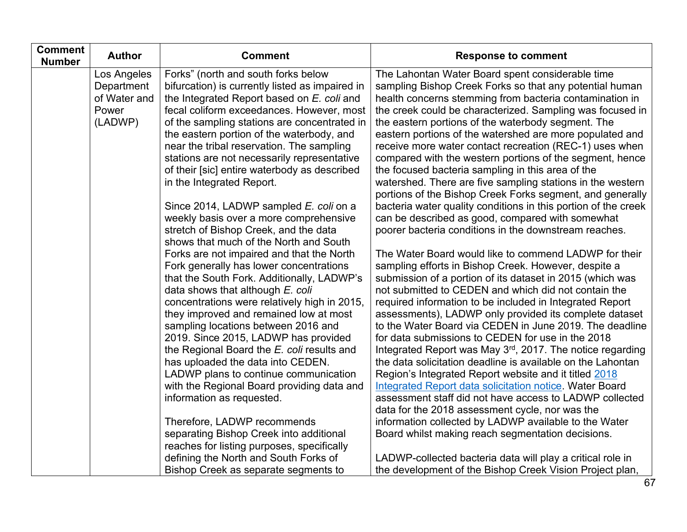| <b>Comment</b><br><b>Number</b> | <b>Author</b> | <b>Comment</b>                                                                         | <b>Response to comment</b>                                                                                          |
|---------------------------------|---------------|----------------------------------------------------------------------------------------|---------------------------------------------------------------------------------------------------------------------|
|                                 | Los Angeles   | Forks" (north and south forks below                                                    | The Lahontan Water Board spent considerable time                                                                    |
|                                 | Department    | bifurcation) is currently listed as impaired in                                        | sampling Bishop Creek Forks so that any potential human                                                             |
|                                 | of Water and  | the Integrated Report based on E. coli and                                             | health concerns stemming from bacteria contamination in                                                             |
|                                 | Power         | fecal coliform exceedances. However, most                                              | the creek could be characterized. Sampling was focused in                                                           |
|                                 | (LADWP)       | of the sampling stations are concentrated in                                           | the eastern portions of the waterbody segment. The                                                                  |
|                                 |               | the eastern portion of the waterbody, and<br>near the tribal reservation. The sampling | eastern portions of the watershed are more populated and<br>receive more water contact recreation (REC-1) uses when |
|                                 |               | stations are not necessarily representative                                            | compared with the western portions of the segment, hence                                                            |
|                                 |               | of their [sic] entire waterbody as described                                           | the focused bacteria sampling in this area of the                                                                   |
|                                 |               | in the Integrated Report.                                                              | watershed. There are five sampling stations in the western                                                          |
|                                 |               |                                                                                        | portions of the Bishop Creek Forks segment, and generally                                                           |
|                                 |               | Since 2014, LADWP sampled E. coli on a                                                 | bacteria water quality conditions in this portion of the creek                                                      |
|                                 |               | weekly basis over a more comprehensive                                                 | can be described as good, compared with somewhat                                                                    |
|                                 |               | stretch of Bishop Creek, and the data                                                  | poorer bacteria conditions in the downstream reaches.                                                               |
|                                 |               | shows that much of the North and South                                                 |                                                                                                                     |
|                                 |               | Forks are not impaired and that the North                                              | The Water Board would like to commend LADWP for their                                                               |
|                                 |               | Fork generally has lower concentrations                                                | sampling efforts in Bishop Creek. However, despite a                                                                |
|                                 |               | that the South Fork. Additionally, LADWP's<br>data shows that although E. coli         | submission of a portion of its dataset in 2015 (which was<br>not submitted to CEDEN and which did not contain the   |
|                                 |               | concentrations were relatively high in 2015,                                           | required information to be included in Integrated Report                                                            |
|                                 |               | they improved and remained low at most                                                 | assessments), LADWP only provided its complete dataset                                                              |
|                                 |               | sampling locations between 2016 and                                                    | to the Water Board via CEDEN in June 2019. The deadline                                                             |
|                                 |               | 2019. Since 2015, LADWP has provided                                                   | for data submissions to CEDEN for use in the 2018                                                                   |
|                                 |               | the Regional Board the E. coli results and                                             | Integrated Report was May 3rd, 2017. The notice regarding                                                           |
|                                 |               | has uploaded the data into CEDEN.                                                      | the data solicitation deadline is available on the Lahontan                                                         |
|                                 |               | LADWP plans to continue communication                                                  | Region's Integrated Report website and it titled 2018                                                               |
|                                 |               | with the Regional Board providing data and                                             | <b>Integrated Report data solicitation notice. Water Board</b>                                                      |
|                                 |               | information as requested.                                                              | assessment staff did not have access to LADWP collected                                                             |
|                                 |               | Therefore, LADWP recommends                                                            | data for the 2018 assessment cycle, nor was the<br>information collected by LADWP available to the Water            |
|                                 |               | separating Bishop Creek into additional                                                | Board whilst making reach segmentation decisions.                                                                   |
|                                 |               | reaches for listing purposes, specifically                                             |                                                                                                                     |
|                                 |               | defining the North and South Forks of                                                  | LADWP-collected bacteria data will play a critical role in                                                          |
|                                 |               | Bishop Creek as separate segments to                                                   | the development of the Bishop Creek Vision Project plan,                                                            |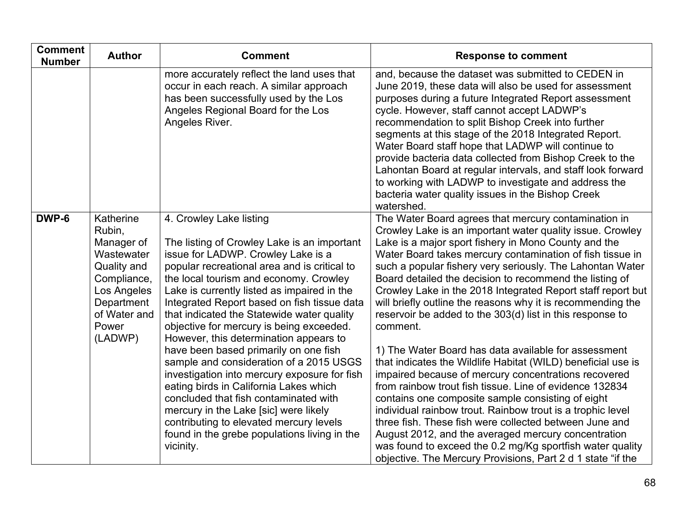| <b>Comment</b><br><b>Number</b> | <b>Author</b>                                                                                                                                  | <b>Comment</b>                                                                                                                                                                                                                                                                                                                                                                                                                                                                                                                                                                                                                                                                                                                                                                                                   | <b>Response to comment</b>                                                                                                                                                                                                                                                                                                                                                                                                                                                                                                                                                                                                                                                                                                                                                                                                                                                                                                                                                                                                                                                                                                                                                       |
|---------------------------------|------------------------------------------------------------------------------------------------------------------------------------------------|------------------------------------------------------------------------------------------------------------------------------------------------------------------------------------------------------------------------------------------------------------------------------------------------------------------------------------------------------------------------------------------------------------------------------------------------------------------------------------------------------------------------------------------------------------------------------------------------------------------------------------------------------------------------------------------------------------------------------------------------------------------------------------------------------------------|----------------------------------------------------------------------------------------------------------------------------------------------------------------------------------------------------------------------------------------------------------------------------------------------------------------------------------------------------------------------------------------------------------------------------------------------------------------------------------------------------------------------------------------------------------------------------------------------------------------------------------------------------------------------------------------------------------------------------------------------------------------------------------------------------------------------------------------------------------------------------------------------------------------------------------------------------------------------------------------------------------------------------------------------------------------------------------------------------------------------------------------------------------------------------------|
|                                 |                                                                                                                                                | more accurately reflect the land uses that<br>occur in each reach. A similar approach<br>has been successfully used by the Los<br>Angeles Regional Board for the Los<br>Angeles River.                                                                                                                                                                                                                                                                                                                                                                                                                                                                                                                                                                                                                           | and, because the dataset was submitted to CEDEN in<br>June 2019, these data will also be used for assessment<br>purposes during a future Integrated Report assessment<br>cycle. However, staff cannot accept LADWP's<br>recommendation to split Bishop Creek into further<br>segments at this stage of the 2018 Integrated Report.<br>Water Board staff hope that LADWP will continue to<br>provide bacteria data collected from Bishop Creek to the<br>Lahontan Board at regular intervals, and staff look forward<br>to working with LADWP to investigate and address the<br>bacteria water quality issues in the Bishop Creek<br>watershed.                                                                                                                                                                                                                                                                                                                                                                                                                                                                                                                                   |
| DWP-6                           | Katherine<br>Rubin,<br>Manager of<br>Wastewater<br>Quality and<br>Compliance,<br>Los Angeles<br>Department<br>of Water and<br>Power<br>(LADWP) | 4. Crowley Lake listing<br>The listing of Crowley Lake is an important<br>issue for LADWP. Crowley Lake is a<br>popular recreational area and is critical to<br>the local tourism and economy. Crowley<br>Lake is currently listed as impaired in the<br>Integrated Report based on fish tissue data<br>that indicated the Statewide water quality<br>objective for mercury is being exceeded.<br>However, this determination appears to<br>have been based primarily on one fish<br>sample and consideration of a 2015 USGS<br>investigation into mercury exposure for fish<br>eating birds in California Lakes which<br>concluded that fish contaminated with<br>mercury in the Lake [sic] were likely<br>contributing to elevated mercury levels<br>found in the grebe populations living in the<br>vicinity. | The Water Board agrees that mercury contamination in<br>Crowley Lake is an important water quality issue. Crowley<br>Lake is a major sport fishery in Mono County and the<br>Water Board takes mercury contamination of fish tissue in<br>such a popular fishery very seriously. The Lahontan Water<br>Board detailed the decision to recommend the listing of<br>Crowley Lake in the 2018 Integrated Report staff report but<br>will briefly outline the reasons why it is recommending the<br>reservoir be added to the 303(d) list in this response to<br>comment.<br>1) The Water Board has data available for assessment<br>that indicates the Wildlife Habitat (WILD) beneficial use is<br>impaired because of mercury concentrations recovered<br>from rainbow trout fish tissue. Line of evidence 132834<br>contains one composite sample consisting of eight<br>individual rainbow trout. Rainbow trout is a trophic level<br>three fish. These fish were collected between June and<br>August 2012, and the averaged mercury concentration<br>was found to exceed the 0.2 mg/Kg sportfish water quality<br>objective. The Mercury Provisions, Part 2 d 1 state "if the |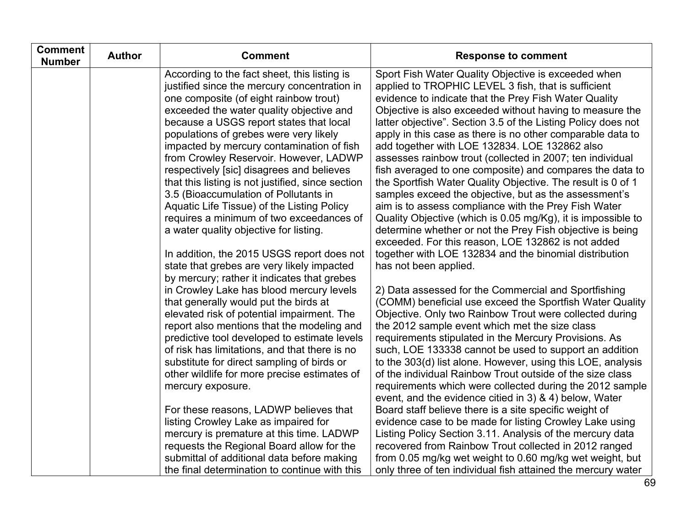| <b>Comment</b><br><b>Number</b> | <b>Author</b> | <b>Comment</b>                                                                          | <b>Response to comment</b>                                                                                           |
|---------------------------------|---------------|-----------------------------------------------------------------------------------------|----------------------------------------------------------------------------------------------------------------------|
|                                 |               | According to the fact sheet, this listing is                                            | Sport Fish Water Quality Objective is exceeded when                                                                  |
|                                 |               | justified since the mercury concentration in                                            | applied to TROPHIC LEVEL 3 fish, that is sufficient                                                                  |
|                                 |               | one composite (of eight rainbow trout)                                                  | evidence to indicate that the Prey Fish Water Quality                                                                |
|                                 |               | exceeded the water quality objective and                                                | Objective is also exceeded without having to measure the                                                             |
|                                 |               | because a USGS report states that local                                                 | latter objective". Section 3.5 of the Listing Policy does not                                                        |
|                                 |               | populations of grebes were very likely<br>impacted by mercury contamination of fish     | apply in this case as there is no other comparable data to<br>add together with LOE 132834. LOE 132862 also          |
|                                 |               | from Crowley Reservoir. However, LADWP                                                  | assesses rainbow trout (collected in 2007; ten individual                                                            |
|                                 |               | respectively [sic] disagrees and believes                                               | fish averaged to one composite) and compares the data to                                                             |
|                                 |               | that this listing is not justified, since section                                       | the Sportfish Water Quality Objective. The result is 0 of 1                                                          |
|                                 |               | 3.5 (Bioaccumulation of Pollutants in                                                   | samples exceed the objective, but as the assessment's                                                                |
|                                 |               | Aquatic Life Tissue) of the Listing Policy                                              | aim is to assess compliance with the Prey Fish Water                                                                 |
|                                 |               | requires a minimum of two exceedances of                                                | Quality Objective (which is 0.05 mg/Kg), it is impossible to                                                         |
|                                 |               | a water quality objective for listing.                                                  | determine whether or not the Prey Fish objective is being                                                            |
|                                 |               |                                                                                         | exceeded. For this reason, LOE 132862 is not added                                                                   |
|                                 |               | In addition, the 2015 USGS report does not                                              | together with LOE 132834 and the binomial distribution                                                               |
|                                 |               | state that grebes are very likely impacted                                              | has not been applied.                                                                                                |
|                                 |               | by mercury; rather it indicates that grebes<br>in Crowley Lake has blood mercury levels | 2) Data assessed for the Commercial and Sportfishing                                                                 |
|                                 |               | that generally would put the birds at                                                   | (COMM) beneficial use exceed the Sportfish Water Quality                                                             |
|                                 |               | elevated risk of potential impairment. The                                              | Objective. Only two Rainbow Trout were collected during                                                              |
|                                 |               | report also mentions that the modeling and                                              | the 2012 sample event which met the size class                                                                       |
|                                 |               | predictive tool developed to estimate levels                                            | requirements stipulated in the Mercury Provisions. As                                                                |
|                                 |               | of risk has limitations, and that there is no                                           | such, LOE 133338 cannot be used to support an addition                                                               |
|                                 |               | substitute for direct sampling of birds or                                              | to the 303(d) list alone. However, using this LOE, analysis                                                          |
|                                 |               | other wildlife for more precise estimates of                                            | of the individual Rainbow Trout outside of the size class                                                            |
|                                 |               | mercury exposure.                                                                       | requirements which were collected during the 2012 sample                                                             |
|                                 |               |                                                                                         | event, and the evidence citied in 3) & 4) below, Water                                                               |
|                                 |               | For these reasons, LADWP believes that                                                  | Board staff believe there is a site specific weight of                                                               |
|                                 |               | listing Crowley Lake as impaired for<br>mercury is premature at this time. LADWP        | evidence case to be made for listing Crowley Lake using<br>Listing Policy Section 3.11. Analysis of the mercury data |
|                                 |               | requests the Regional Board allow for the                                               | recovered from Rainbow Trout collected in 2012 ranged                                                                |
|                                 |               | submittal of additional data before making                                              | from 0.05 mg/kg wet weight to 0.60 mg/kg wet weight, but                                                             |
|                                 |               | the final determination to continue with this                                           | only three of ten individual fish attained the mercury water                                                         |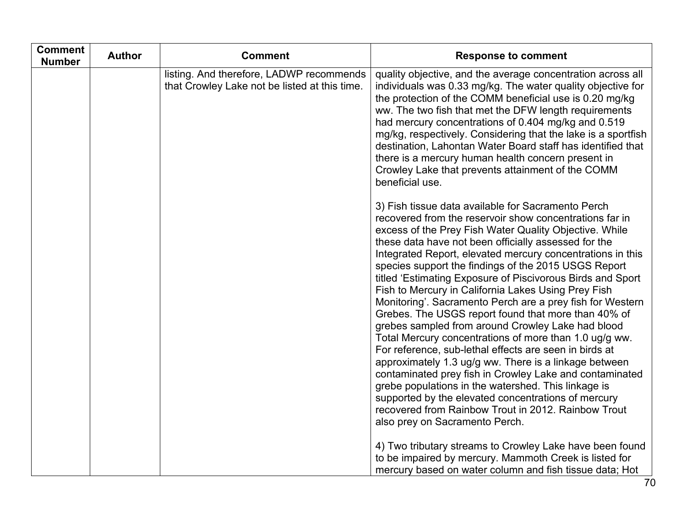| <b>Comment</b><br><b>Number</b> | <b>Author</b> | <b>Comment</b>                                                                            | <b>Response to comment</b>                                                                                                                                                                                                                                                                                                                                                                                                                                                                                                                                                                                                                                                                                                                                                                                                                                                                                                                                                                                                                                                                         |
|---------------------------------|---------------|-------------------------------------------------------------------------------------------|----------------------------------------------------------------------------------------------------------------------------------------------------------------------------------------------------------------------------------------------------------------------------------------------------------------------------------------------------------------------------------------------------------------------------------------------------------------------------------------------------------------------------------------------------------------------------------------------------------------------------------------------------------------------------------------------------------------------------------------------------------------------------------------------------------------------------------------------------------------------------------------------------------------------------------------------------------------------------------------------------------------------------------------------------------------------------------------------------|
|                                 |               | listing. And therefore, LADWP recommends<br>that Crowley Lake not be listed at this time. | quality objective, and the average concentration across all<br>individuals was 0.33 mg/kg. The water quality objective for<br>the protection of the COMM beneficial use is 0.20 mg/kg<br>ww. The two fish that met the DFW length requirements<br>had mercury concentrations of 0.404 mg/kg and 0.519<br>mg/kg, respectively. Considering that the lake is a sportfish<br>destination, Lahontan Water Board staff has identified that<br>there is a mercury human health concern present in<br>Crowley Lake that prevents attainment of the COMM<br>beneficial use.                                                                                                                                                                                                                                                                                                                                                                                                                                                                                                                                |
|                                 |               |                                                                                           | 3) Fish tissue data available for Sacramento Perch<br>recovered from the reservoir show concentrations far in<br>excess of the Prey Fish Water Quality Objective. While<br>these data have not been officially assessed for the<br>Integrated Report, elevated mercury concentrations in this<br>species support the findings of the 2015 USGS Report<br>titled 'Estimating Exposure of Piscivorous Birds and Sport<br>Fish to Mercury in California Lakes Using Prey Fish<br>Monitoring'. Sacramento Perch are a prey fish for Western<br>Grebes. The USGS report found that more than 40% of<br>grebes sampled from around Crowley Lake had blood<br>Total Mercury concentrations of more than 1.0 ug/g ww.<br>For reference, sub-lethal effects are seen in birds at<br>approximately 1.3 ug/g ww. There is a linkage between<br>contaminated prey fish in Crowley Lake and contaminated<br>grebe populations in the watershed. This linkage is<br>supported by the elevated concentrations of mercury<br>recovered from Rainbow Trout in 2012. Rainbow Trout<br>also prey on Sacramento Perch. |
|                                 |               |                                                                                           | 4) Two tributary streams to Crowley Lake have been found<br>to be impaired by mercury. Mammoth Creek is listed for<br>mercury based on water column and fish tissue data; Hot                                                                                                                                                                                                                                                                                                                                                                                                                                                                                                                                                                                                                                                                                                                                                                                                                                                                                                                      |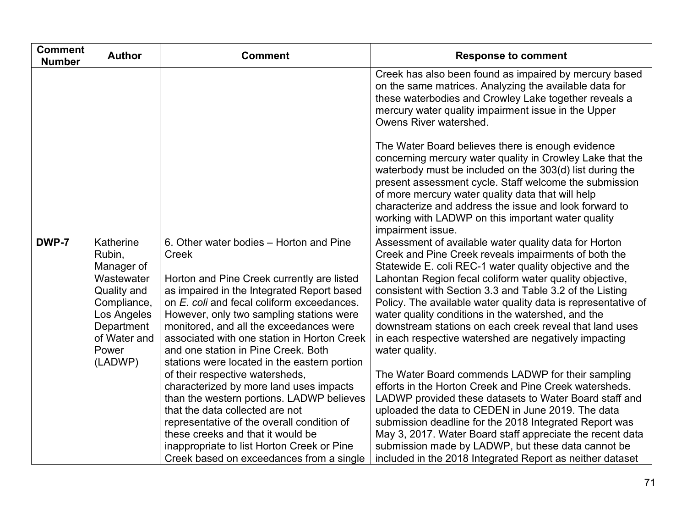| <b>Comment</b><br><b>Number</b> | <b>Author</b>                                                                                                                                  | <b>Comment</b>                                                                                                                                                                                                                                                                                                                                                                                                                                                                                                                                                                                                                                                                                                                                                     | <b>Response to comment</b>                                                                                                                                                                                                                                                                                                                                                                                                                                                                                                                                                                                                                                                                                                                                                                                                                                                                                                                                                                                                           |
|---------------------------------|------------------------------------------------------------------------------------------------------------------------------------------------|--------------------------------------------------------------------------------------------------------------------------------------------------------------------------------------------------------------------------------------------------------------------------------------------------------------------------------------------------------------------------------------------------------------------------------------------------------------------------------------------------------------------------------------------------------------------------------------------------------------------------------------------------------------------------------------------------------------------------------------------------------------------|--------------------------------------------------------------------------------------------------------------------------------------------------------------------------------------------------------------------------------------------------------------------------------------------------------------------------------------------------------------------------------------------------------------------------------------------------------------------------------------------------------------------------------------------------------------------------------------------------------------------------------------------------------------------------------------------------------------------------------------------------------------------------------------------------------------------------------------------------------------------------------------------------------------------------------------------------------------------------------------------------------------------------------------|
|                                 |                                                                                                                                                |                                                                                                                                                                                                                                                                                                                                                                                                                                                                                                                                                                                                                                                                                                                                                                    | Creek has also been found as impaired by mercury based<br>on the same matrices. Analyzing the available data for<br>these waterbodies and Crowley Lake together reveals a<br>mercury water quality impairment issue in the Upper<br>Owens River watershed.                                                                                                                                                                                                                                                                                                                                                                                                                                                                                                                                                                                                                                                                                                                                                                           |
|                                 |                                                                                                                                                |                                                                                                                                                                                                                                                                                                                                                                                                                                                                                                                                                                                                                                                                                                                                                                    | The Water Board believes there is enough evidence<br>concerning mercury water quality in Crowley Lake that the<br>waterbody must be included on the 303(d) list during the<br>present assessment cycle. Staff welcome the submission<br>of more mercury water quality data that will help<br>characterize and address the issue and look forward to<br>working with LADWP on this important water quality<br>impairment issue.                                                                                                                                                                                                                                                                                                                                                                                                                                                                                                                                                                                                       |
| DWP-7                           | Katherine<br>Rubin,<br>Manager of<br>Wastewater<br>Quality and<br>Compliance,<br>Los Angeles<br>Department<br>of Water and<br>Power<br>(LADWP) | 6. Other water bodies - Horton and Pine<br>Creek<br>Horton and Pine Creek currently are listed<br>as impaired in the Integrated Report based<br>on E. coli and fecal coliform exceedances.<br>However, only two sampling stations were<br>monitored, and all the exceedances were<br>associated with one station in Horton Creek<br>and one station in Pine Creek. Both<br>stations were located in the eastern portion<br>of their respective watersheds,<br>characterized by more land uses impacts<br>than the western portions. LADWP believes<br>that the data collected are not<br>representative of the overall condition of<br>these creeks and that it would be<br>inappropriate to list Horton Creek or Pine<br>Creek based on exceedances from a single | Assessment of available water quality data for Horton<br>Creek and Pine Creek reveals impairments of both the<br>Statewide E. coli REC-1 water quality objective and the<br>Lahontan Region fecal coliform water quality objective,<br>consistent with Section 3.3 and Table 3.2 of the Listing<br>Policy. The available water quality data is representative of<br>water quality conditions in the watershed, and the<br>downstream stations on each creek reveal that land uses<br>in each respective watershed are negatively impacting<br>water quality.<br>The Water Board commends LADWP for their sampling<br>efforts in the Horton Creek and Pine Creek watersheds.<br>LADWP provided these datasets to Water Board staff and<br>uploaded the data to CEDEN in June 2019. The data<br>submission deadline for the 2018 Integrated Report was<br>May 3, 2017. Water Board staff appreciate the recent data<br>submission made by LADWP, but these data cannot be<br>included in the 2018 Integrated Report as neither dataset |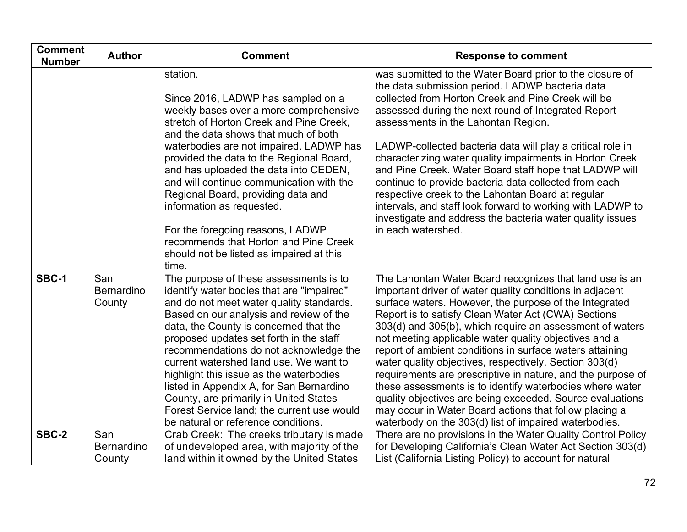| <b>Comment</b><br><b>Number</b> | <b>Author</b>                      | <b>Comment</b>                                                                                                                                                                                                                                                                                                                                                                                                                                                                                                                                                            | <b>Response to comment</b>                                                                                                                                                                                                                                                                                                                                                                                                                                                                                                                                                                                                                                                                                                                                                                 |
|---------------------------------|------------------------------------|---------------------------------------------------------------------------------------------------------------------------------------------------------------------------------------------------------------------------------------------------------------------------------------------------------------------------------------------------------------------------------------------------------------------------------------------------------------------------------------------------------------------------------------------------------------------------|--------------------------------------------------------------------------------------------------------------------------------------------------------------------------------------------------------------------------------------------------------------------------------------------------------------------------------------------------------------------------------------------------------------------------------------------------------------------------------------------------------------------------------------------------------------------------------------------------------------------------------------------------------------------------------------------------------------------------------------------------------------------------------------------|
|                                 |                                    | station.<br>Since 2016, LADWP has sampled on a<br>weekly bases over a more comprehensive<br>stretch of Horton Creek and Pine Creek,<br>and the data shows that much of both<br>waterbodies are not impaired. LADWP has<br>provided the data to the Regional Board,<br>and has uploaded the data into CEDEN,<br>and will continue communication with the<br>Regional Board, providing data and<br>information as requested.<br>For the foregoing reasons, LADWP<br>recommends that Horton and Pine Creek<br>should not be listed as impaired at this<br>time.              | was submitted to the Water Board prior to the closure of<br>the data submission period. LADWP bacteria data<br>collected from Horton Creek and Pine Creek will be<br>assessed during the next round of Integrated Report<br>assessments in the Lahontan Region.<br>LADWP-collected bacteria data will play a critical role in<br>characterizing water quality impairments in Horton Creek<br>and Pine Creek. Water Board staff hope that LADWP will<br>continue to provide bacteria data collected from each<br>respective creek to the Lahontan Board at regular<br>intervals, and staff look forward to working with LADWP to<br>investigate and address the bacteria water quality issues<br>in each watershed.                                                                         |
| SBC-1                           | San<br><b>Bernardino</b><br>County | The purpose of these assessments is to<br>identify water bodies that are "impaired"<br>and do not meet water quality standards.<br>Based on our analysis and review of the<br>data, the County is concerned that the<br>proposed updates set forth in the staff<br>recommendations do not acknowledge the<br>current watershed land use. We want to<br>highlight this issue as the waterbodies<br>listed in Appendix A, for San Bernardino<br>County, are primarily in United States<br>Forest Service land; the current use would<br>be natural or reference conditions. | The Lahontan Water Board recognizes that land use is an<br>important driver of water quality conditions in adjacent<br>surface waters. However, the purpose of the Integrated<br>Report is to satisfy Clean Water Act (CWA) Sections<br>303(d) and 305(b), which require an assessment of waters<br>not meeting applicable water quality objectives and a<br>report of ambient conditions in surface waters attaining<br>water quality objectives, respectively. Section 303(d)<br>requirements are prescriptive in nature, and the purpose of<br>these assessments is to identify waterbodies where water<br>quality objectives are being exceeded. Source evaluations<br>may occur in Water Board actions that follow placing a<br>waterbody on the 303(d) list of impaired waterbodies. |
| SBC-2                           | San<br><b>Bernardino</b><br>County | Crab Creek: The creeks tributary is made<br>of undeveloped area, with majority of the<br>land within it owned by the United States                                                                                                                                                                                                                                                                                                                                                                                                                                        | There are no provisions in the Water Quality Control Policy<br>for Developing California's Clean Water Act Section 303(d)<br>List (California Listing Policy) to account for natural                                                                                                                                                                                                                                                                                                                                                                                                                                                                                                                                                                                                       |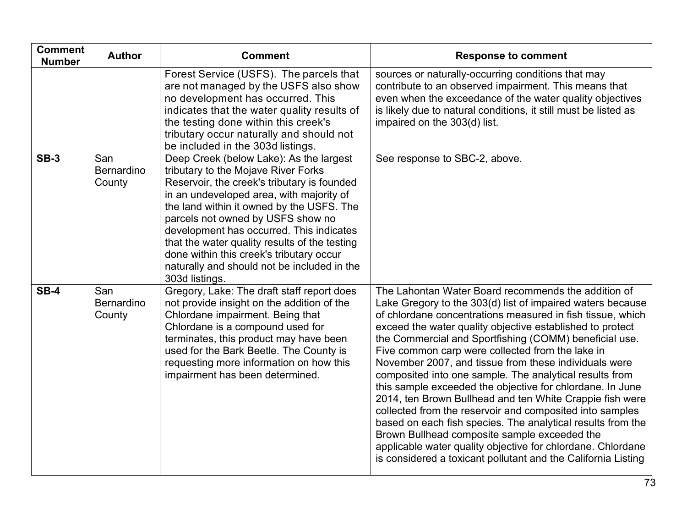| <b>Comment</b><br><b>Number</b> | <b>Author</b>               | <b>Comment</b>                                                                                                                                                                                                                                                                                                                                                                                                                                                        | <b>Response to comment</b>                                                                                                                                                                                                                                                                                                                                                                                                                                                                                                                                                                                                                                                                                                                                                                                                                                                                                         |
|---------------------------------|-----------------------------|-----------------------------------------------------------------------------------------------------------------------------------------------------------------------------------------------------------------------------------------------------------------------------------------------------------------------------------------------------------------------------------------------------------------------------------------------------------------------|--------------------------------------------------------------------------------------------------------------------------------------------------------------------------------------------------------------------------------------------------------------------------------------------------------------------------------------------------------------------------------------------------------------------------------------------------------------------------------------------------------------------------------------------------------------------------------------------------------------------------------------------------------------------------------------------------------------------------------------------------------------------------------------------------------------------------------------------------------------------------------------------------------------------|
|                                 |                             | Forest Service (USFS). The parcels that<br>are not managed by the USFS also show<br>no development has occurred. This<br>indicates that the water quality results of<br>the testing done within this creek's<br>tributary occur naturally and should not<br>be included in the 303d listings.                                                                                                                                                                         | sources or naturally-occurring conditions that may<br>contribute to an observed impairment. This means that<br>even when the exceedance of the water quality objectives<br>is likely due to natural conditions, it still must be listed as<br>impaired on the 303(d) list.                                                                                                                                                                                                                                                                                                                                                                                                                                                                                                                                                                                                                                         |
| $SB-3$                          | San<br>Bernardino<br>County | Deep Creek (below Lake): As the largest<br>tributary to the Mojave River Forks<br>Reservoir, the creek's tributary is founded<br>in an undeveloped area, with majority of<br>the land within it owned by the USFS. The<br>parcels not owned by USFS show no<br>development has occurred. This indicates<br>that the water quality results of the testing<br>done within this creek's tributary occur<br>naturally and should not be included in the<br>303d listings. | See response to SBC-2, above.                                                                                                                                                                                                                                                                                                                                                                                                                                                                                                                                                                                                                                                                                                                                                                                                                                                                                      |
| $SB-4$                          | San<br>Bernardino<br>County | Gregory, Lake: The draft staff report does<br>not provide insight on the addition of the<br>Chlordane impairment. Being that<br>Chlordane is a compound used for<br>terminates, this product may have been<br>used for the Bark Beetle. The County is<br>requesting more information on how this<br>impairment has been determined.                                                                                                                                   | The Lahontan Water Board recommends the addition of<br>Lake Gregory to the 303(d) list of impaired waters because<br>of chlordane concentrations measured in fish tissue, which<br>exceed the water quality objective established to protect<br>the Commercial and Sportfishing (COMM) beneficial use.<br>Five common carp were collected from the lake in<br>November 2007, and tissue from these individuals were<br>composited into one sample. The analytical results from<br>this sample exceeded the objective for chlordane. In June<br>2014, ten Brown Bullhead and ten White Crappie fish were<br>collected from the reservoir and composited into samples<br>based on each fish species. The analytical results from the<br>Brown Bullhead composite sample exceeded the<br>applicable water quality objective for chlordane. Chlordane<br>is considered a toxicant pollutant and the California Listing |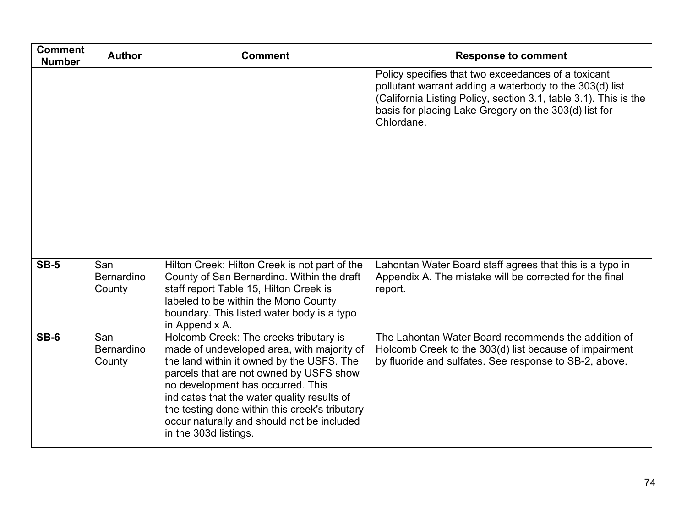| <b>Comment</b><br><b>Number</b> | <b>Author</b>               | <b>Comment</b>                                                                                                                                                                                                                                                                                                                                                                            | <b>Response to comment</b>                                                                                                                                                                                                                                |
|---------------------------------|-----------------------------|-------------------------------------------------------------------------------------------------------------------------------------------------------------------------------------------------------------------------------------------------------------------------------------------------------------------------------------------------------------------------------------------|-----------------------------------------------------------------------------------------------------------------------------------------------------------------------------------------------------------------------------------------------------------|
|                                 |                             |                                                                                                                                                                                                                                                                                                                                                                                           | Policy specifies that two exceedances of a toxicant<br>pollutant warrant adding a waterbody to the 303(d) list<br>(California Listing Policy, section 3.1, table 3.1). This is the<br>basis for placing Lake Gregory on the 303(d) list for<br>Chlordane. |
| <b>SB-5</b>                     | San<br>Bernardino<br>County | Hilton Creek: Hilton Creek is not part of the<br>County of San Bernardino. Within the draft<br>staff report Table 15, Hilton Creek is<br>labeled to be within the Mono County<br>boundary. This listed water body is a typo<br>in Appendix A.                                                                                                                                             | Lahontan Water Board staff agrees that this is a typo in<br>Appendix A. The mistake will be corrected for the final<br>report.                                                                                                                            |
| $SB-6$                          | San<br>Bernardino<br>County | Holcomb Creek: The creeks tributary is<br>made of undeveloped area, with majority of<br>the land within it owned by the USFS. The<br>parcels that are not owned by USFS show<br>no development has occurred. This<br>indicates that the water quality results of<br>the testing done within this creek's tributary<br>occur naturally and should not be included<br>in the 303d listings. | The Lahontan Water Board recommends the addition of<br>Holcomb Creek to the 303(d) list because of impairment<br>by fluoride and sulfates. See response to SB-2, above.                                                                                   |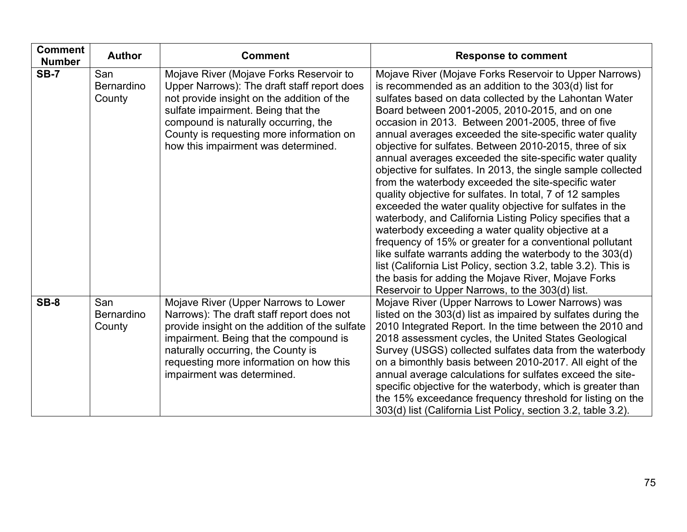| <b>Comment</b><br><b>Number</b> | <b>Author</b>                      | <b>Comment</b>                                                                                                                                                                                                                                                                                        | <b>Response to comment</b>                                                                                                                                                                                                                                                                                                                                                                                                                                                                                                                                                                                                                                                                                                                                                                                                                                                                                                                                                                                                                                                                                                                 |
|---------------------------------|------------------------------------|-------------------------------------------------------------------------------------------------------------------------------------------------------------------------------------------------------------------------------------------------------------------------------------------------------|--------------------------------------------------------------------------------------------------------------------------------------------------------------------------------------------------------------------------------------------------------------------------------------------------------------------------------------------------------------------------------------------------------------------------------------------------------------------------------------------------------------------------------------------------------------------------------------------------------------------------------------------------------------------------------------------------------------------------------------------------------------------------------------------------------------------------------------------------------------------------------------------------------------------------------------------------------------------------------------------------------------------------------------------------------------------------------------------------------------------------------------------|
| <b>SB-7</b>                     | San<br><b>Bernardino</b><br>County | Mojave River (Mojave Forks Reservoir to<br>Upper Narrows): The draft staff report does<br>not provide insight on the addition of the<br>sulfate impairment. Being that the<br>compound is naturally occurring, the<br>County is requesting more information on<br>how this impairment was determined. | Mojave River (Mojave Forks Reservoir to Upper Narrows)<br>is recommended as an addition to the 303(d) list for<br>sulfates based on data collected by the Lahontan Water<br>Board between 2001-2005, 2010-2015, and on one<br>occasion in 2013. Between 2001-2005, three of five<br>annual averages exceeded the site-specific water quality<br>objective for sulfates. Between 2010-2015, three of six<br>annual averages exceeded the site-specific water quality<br>objective for sulfates. In 2013, the single sample collected<br>from the waterbody exceeded the site-specific water<br>quality objective for sulfates. In total, 7 of 12 samples<br>exceeded the water quality objective for sulfates in the<br>waterbody, and California Listing Policy specifies that a<br>waterbody exceeding a water quality objective at a<br>frequency of 15% or greater for a conventional pollutant<br>like sulfate warrants adding the waterbody to the 303(d)<br>list (California List Policy, section 3.2, table 3.2). This is<br>the basis for adding the Mojave River, Mojave Forks<br>Reservoir to Upper Narrows, to the 303(d) list. |
| <b>SB-8</b>                     | San<br><b>Bernardino</b><br>County | Mojave River (Upper Narrows to Lower<br>Narrows): The draft staff report does not<br>provide insight on the addition of the sulfate<br>impairment. Being that the compound is<br>naturally occurring, the County is<br>requesting more information on how this<br>impairment was determined.          | Mojave River (Upper Narrows to Lower Narrows) was<br>listed on the 303(d) list as impaired by sulfates during the<br>2010 Integrated Report. In the time between the 2010 and<br>2018 assessment cycles, the United States Geological<br>Survey (USGS) collected sulfates data from the waterbody<br>on a bimonthly basis between 2010-2017. All eight of the<br>annual average calculations for sulfates exceed the site-<br>specific objective for the waterbody, which is greater than<br>the 15% exceedance frequency threshold for listing on the<br>303(d) list (California List Policy, section 3.2, table 3.2).                                                                                                                                                                                                                                                                                                                                                                                                                                                                                                                    |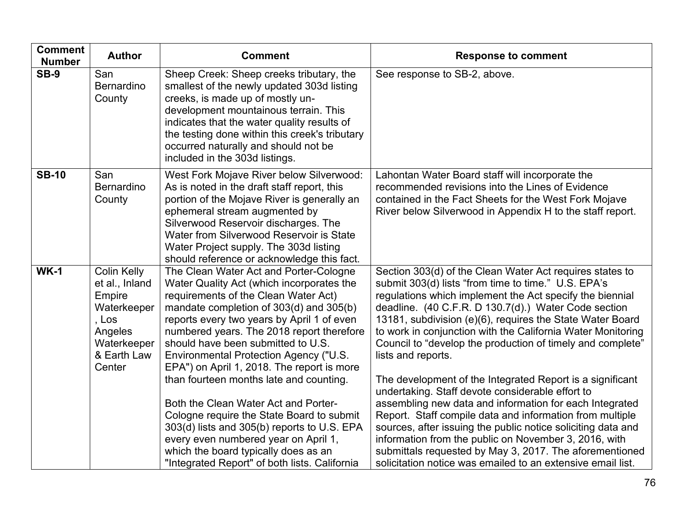| <b>Comment</b><br><b>Number</b> | <b>Author</b>                                                                                                      | <b>Comment</b>                                                                                                                                                                                                                                                                                                                                                                                  | <b>Response to comment</b>                                                                                                                                                                                                                                                                                                                                                                                                                                                              |
|---------------------------------|--------------------------------------------------------------------------------------------------------------------|-------------------------------------------------------------------------------------------------------------------------------------------------------------------------------------------------------------------------------------------------------------------------------------------------------------------------------------------------------------------------------------------------|-----------------------------------------------------------------------------------------------------------------------------------------------------------------------------------------------------------------------------------------------------------------------------------------------------------------------------------------------------------------------------------------------------------------------------------------------------------------------------------------|
| $SB-9$                          | San<br><b>Bernardino</b><br>County                                                                                 | Sheep Creek: Sheep creeks tributary, the<br>smallest of the newly updated 303d listing<br>creeks, is made up of mostly un-<br>development mountainous terrain. This<br>indicates that the water quality results of<br>the testing done within this creek's tributary<br>occurred naturally and should not be<br>included in the 303d listings.                                                  | See response to SB-2, above.                                                                                                                                                                                                                                                                                                                                                                                                                                                            |
| <b>SB-10</b>                    | San<br><b>Bernardino</b><br>County                                                                                 | West Fork Mojave River below Silverwood:<br>As is noted in the draft staff report, this<br>portion of the Mojave River is generally an<br>ephemeral stream augmented by<br>Silverwood Reservoir discharges. The<br>Water from Silverwood Reservoir is State<br>Water Project supply. The 303d listing<br>should reference or acknowledge this fact.                                             | Lahontan Water Board staff will incorporate the<br>recommended revisions into the Lines of Evidence<br>contained in the Fact Sheets for the West Fork Mojave<br>River below Silverwood in Appendix H to the staff report.                                                                                                                                                                                                                                                               |
| <b>WK-1</b>                     | Colin Kelly<br>et al., Inland<br>Empire<br>Waterkeeper<br>, Los<br>Angeles<br>Waterkeeper<br>& Earth Law<br>Center | The Clean Water Act and Porter-Cologne<br>Water Quality Act (which incorporates the<br>requirements of the Clean Water Act)<br>mandate completion of 303(d) and 305(b)<br>reports every two years by April 1 of even<br>numbered years. The 2018 report therefore<br>should have been submitted to U.S.<br>Environmental Protection Agency ("U.S.<br>EPA") on April 1, 2018. The report is more | Section 303(d) of the Clean Water Act requires states to<br>submit 303(d) lists "from time to time." U.S. EPA's<br>regulations which implement the Act specify the biennial<br>deadline. (40 C.F.R. D 130.7(d).) Water Code section<br>13181, subdivision (e)(6), requires the State Water Board<br>to work in conjunction with the California Water Monitoring<br>Council to "develop the production of timely and complete"<br>lists and reports.                                     |
|                                 |                                                                                                                    | than fourteen months late and counting.<br>Both the Clean Water Act and Porter-<br>Cologne require the State Board to submit<br>303(d) lists and 305(b) reports to U.S. EPA<br>every even numbered year on April 1,<br>which the board typically does as an<br>"Integrated Report" of both lists. California                                                                                    | The development of the Integrated Report is a significant<br>undertaking. Staff devote considerable effort to<br>assembling new data and information for each Integrated<br>Report. Staff compile data and information from multiple<br>sources, after issuing the public notice soliciting data and<br>information from the public on November 3, 2016, with<br>submittals requested by May 3, 2017. The aforementioned<br>solicitation notice was emailed to an extensive email list. |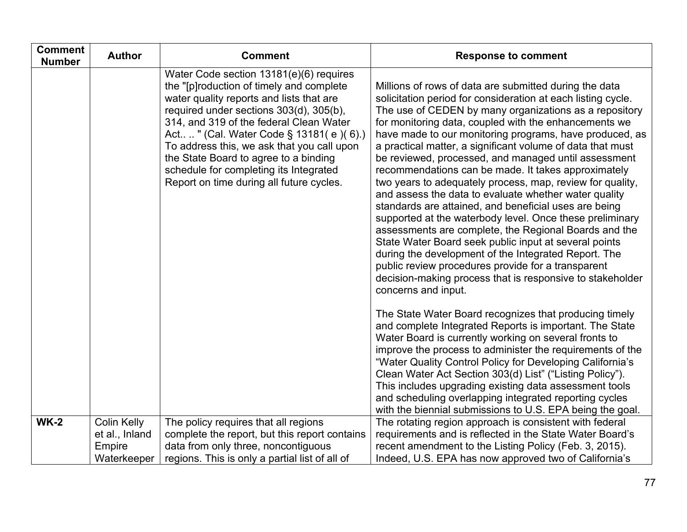| <b>Comment</b><br><b>Number</b> | <b>Author</b>                                                 | <b>Comment</b>                                                                                                                                                                                                                                                                                                                                                                                                                                 | <b>Response to comment</b>                                                                                                                                                                                                                                                                                                                                                                                                                                                                                                                                                                                                                                                                                                                                                                                                                                                                                                                                                                                                                       |
|---------------------------------|---------------------------------------------------------------|------------------------------------------------------------------------------------------------------------------------------------------------------------------------------------------------------------------------------------------------------------------------------------------------------------------------------------------------------------------------------------------------------------------------------------------------|--------------------------------------------------------------------------------------------------------------------------------------------------------------------------------------------------------------------------------------------------------------------------------------------------------------------------------------------------------------------------------------------------------------------------------------------------------------------------------------------------------------------------------------------------------------------------------------------------------------------------------------------------------------------------------------------------------------------------------------------------------------------------------------------------------------------------------------------------------------------------------------------------------------------------------------------------------------------------------------------------------------------------------------------------|
|                                 |                                                               | Water Code section 13181(e)(6) requires<br>the "[p]roduction of timely and complete<br>water quality reports and lists that are<br>required under sections 303(d), 305(b),<br>314, and 319 of the federal Clean Water<br>Act" (Cal. Water Code § 13181( e )( 6).)<br>To address this, we ask that you call upon<br>the State Board to agree to a binding<br>schedule for completing its Integrated<br>Report on time during all future cycles. | Millions of rows of data are submitted during the data<br>solicitation period for consideration at each listing cycle.<br>The use of CEDEN by many organizations as a repository<br>for monitoring data, coupled with the enhancements we<br>have made to our monitoring programs, have produced, as<br>a practical matter, a significant volume of data that must<br>be reviewed, processed, and managed until assessment<br>recommendations can be made. It takes approximately<br>two years to adequately process, map, review for quality,<br>and assess the data to evaluate whether water quality<br>standards are attained, and beneficial uses are being<br>supported at the waterbody level. Once these preliminary<br>assessments are complete, the Regional Boards and the<br>State Water Board seek public input at several points<br>during the development of the Integrated Report. The<br>public review procedures provide for a transparent<br>decision-making process that is responsive to stakeholder<br>concerns and input. |
|                                 |                                                               |                                                                                                                                                                                                                                                                                                                                                                                                                                                | The State Water Board recognizes that producing timely<br>and complete Integrated Reports is important. The State<br>Water Board is currently working on several fronts to<br>improve the process to administer the requirements of the<br>"Water Quality Control Policy for Developing California's<br>Clean Water Act Section 303(d) List" ("Listing Policy").<br>This includes upgrading existing data assessment tools<br>and scheduling overlapping integrated reporting cycles<br>with the biennial submissions to U.S. EPA being the goal.                                                                                                                                                                                                                                                                                                                                                                                                                                                                                                |
| <b>WK-2</b>                     | <b>Colin Kelly</b><br>et al., Inland<br>Empire<br>Waterkeeper | The policy requires that all regions<br>complete the report, but this report contains<br>data from only three, noncontiguous<br>regions. This is only a partial list of all of                                                                                                                                                                                                                                                                 | The rotating region approach is consistent with federal<br>requirements and is reflected in the State Water Board's<br>recent amendment to the Listing Policy (Feb. 3, 2015).<br>Indeed, U.S. EPA has now approved two of California's                                                                                                                                                                                                                                                                                                                                                                                                                                                                                                                                                                                                                                                                                                                                                                                                           |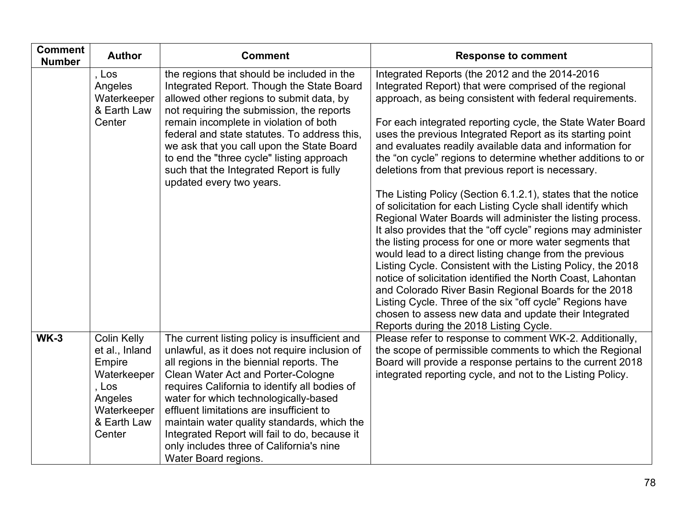| <b>Comment</b><br><b>Number</b> | <b>Author</b>                                                                                                             | <b>Comment</b>                                                                                                                                                                                                                                                                                                                                                                                                                                                                                     | <b>Response to comment</b>                                                                                                                                                                                                                                                                                                                                                                                                                                                                                                                                                                                                                                                                                                                                                                                                                                                                                                                                                                                                                                                                                                                                                                                               |
|---------------------------------|---------------------------------------------------------------------------------------------------------------------------|----------------------------------------------------------------------------------------------------------------------------------------------------------------------------------------------------------------------------------------------------------------------------------------------------------------------------------------------------------------------------------------------------------------------------------------------------------------------------------------------------|--------------------------------------------------------------------------------------------------------------------------------------------------------------------------------------------------------------------------------------------------------------------------------------------------------------------------------------------------------------------------------------------------------------------------------------------------------------------------------------------------------------------------------------------------------------------------------------------------------------------------------------------------------------------------------------------------------------------------------------------------------------------------------------------------------------------------------------------------------------------------------------------------------------------------------------------------------------------------------------------------------------------------------------------------------------------------------------------------------------------------------------------------------------------------------------------------------------------------|
|                                 | , $Los$<br>Angeles<br>Waterkeeper<br>& Earth Law<br>Center                                                                | the regions that should be included in the<br>Integrated Report. Though the State Board<br>allowed other regions to submit data, by<br>not requiring the submission, the reports<br>remain incomplete in violation of both<br>federal and state statutes. To address this,<br>we ask that you call upon the State Board<br>to end the "three cycle" listing approach<br>such that the Integrated Report is fully<br>updated every two years.                                                       | Integrated Reports (the 2012 and the 2014-2016<br>Integrated Report) that were comprised of the regional<br>approach, as being consistent with federal requirements.<br>For each integrated reporting cycle, the State Water Board<br>uses the previous Integrated Report as its starting point<br>and evaluates readily available data and information for<br>the "on cycle" regions to determine whether additions to or<br>deletions from that previous report is necessary.<br>The Listing Policy (Section 6.1.2.1), states that the notice<br>of solicitation for each Listing Cycle shall identify which<br>Regional Water Boards will administer the listing process.<br>It also provides that the "off cycle" regions may administer<br>the listing process for one or more water segments that<br>would lead to a direct listing change from the previous<br>Listing Cycle. Consistent with the Listing Policy, the 2018<br>notice of solicitation identified the North Coast, Lahontan<br>and Colorado River Basin Regional Boards for the 2018<br>Listing Cycle. Three of the six "off cycle" Regions have<br>chosen to assess new data and update their Integrated<br>Reports during the 2018 Listing Cycle. |
| $WK-3$                          | <b>Colin Kelly</b><br>et al., Inland<br>Empire<br>Waterkeeper<br>, Los<br>Angeles<br>Waterkeeper<br>& Earth Law<br>Center | The current listing policy is insufficient and<br>unlawful, as it does not require inclusion of<br>all regions in the biennial reports. The<br><b>Clean Water Act and Porter-Cologne</b><br>requires California to identify all bodies of<br>water for which technologically-based<br>effluent limitations are insufficient to<br>maintain water quality standards, which the<br>Integrated Report will fail to do, because it<br>only includes three of California's nine<br>Water Board regions. | Please refer to response to comment WK-2. Additionally,<br>the scope of permissible comments to which the Regional<br>Board will provide a response pertains to the current 2018<br>integrated reporting cycle, and not to the Listing Policy.                                                                                                                                                                                                                                                                                                                                                                                                                                                                                                                                                                                                                                                                                                                                                                                                                                                                                                                                                                           |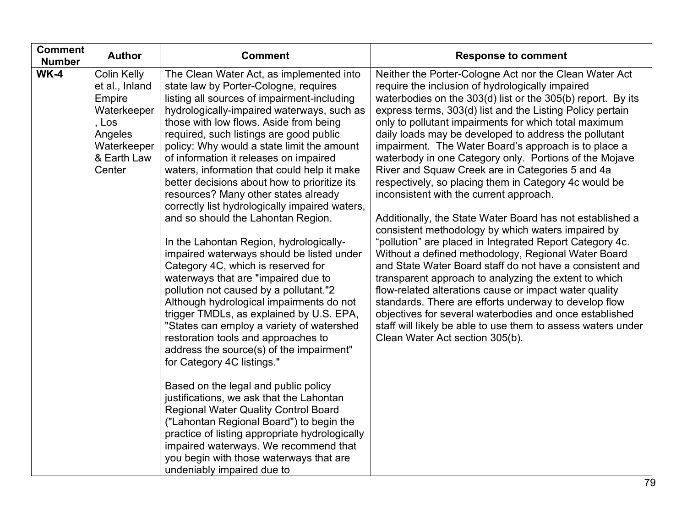| <b>Comment</b><br><b>Number</b> | <b>Author</b>                                                                                                             | <b>Comment</b>                                                                                                                                                                                                                                                                                                                                                                                                                                                                                                                                                                                                                                                                                                                                                                                                                                                                                                                                                                                                                                                                                                                                                                                                                                                                                                                                                                                                     | <b>Response to comment</b>                                                                                                                                                                                                                                                                                                                                                                                                                                                                                                                                                                                                                                                                                                                                                                                                                                                                                                                                                                                                                                                                                                                                                                                                                                                     |
|---------------------------------|---------------------------------------------------------------------------------------------------------------------------|--------------------------------------------------------------------------------------------------------------------------------------------------------------------------------------------------------------------------------------------------------------------------------------------------------------------------------------------------------------------------------------------------------------------------------------------------------------------------------------------------------------------------------------------------------------------------------------------------------------------------------------------------------------------------------------------------------------------------------------------------------------------------------------------------------------------------------------------------------------------------------------------------------------------------------------------------------------------------------------------------------------------------------------------------------------------------------------------------------------------------------------------------------------------------------------------------------------------------------------------------------------------------------------------------------------------------------------------------------------------------------------------------------------------|--------------------------------------------------------------------------------------------------------------------------------------------------------------------------------------------------------------------------------------------------------------------------------------------------------------------------------------------------------------------------------------------------------------------------------------------------------------------------------------------------------------------------------------------------------------------------------------------------------------------------------------------------------------------------------------------------------------------------------------------------------------------------------------------------------------------------------------------------------------------------------------------------------------------------------------------------------------------------------------------------------------------------------------------------------------------------------------------------------------------------------------------------------------------------------------------------------------------------------------------------------------------------------|
| <b>WK-4</b>                     | <b>Colin Kelly</b><br>et al., Inland<br>Empire<br>Waterkeeper<br>, Los<br>Angeles<br>Waterkeeper<br>& Earth Law<br>Center | The Clean Water Act, as implemented into<br>state law by Porter-Cologne, requires<br>listing all sources of impairment-including<br>hydrologically-impaired waterways, such as<br>those with low flows. Aside from being<br>required, such listings are good public<br>policy: Why would a state limit the amount<br>of information it releases on impaired<br>waters, information that could help it make<br>better decisions about how to prioritize its<br>resources? Many other states already<br>correctly list hydrologically impaired waters,<br>and so should the Lahontan Region.<br>In the Lahontan Region, hydrologically-<br>impaired waterways should be listed under<br>Category 4C, which is reserved for<br>waterways that are "impaired due to<br>pollution not caused by a pollutant."2<br>Although hydrological impairments do not<br>trigger TMDLs, as explained by U.S. EPA,<br>"States can employ a variety of watershed<br>restoration tools and approaches to<br>address the source(s) of the impairment"<br>for Category 4C listings."<br>Based on the legal and public policy<br>justifications, we ask that the Lahontan<br><b>Regional Water Quality Control Board</b><br>("Lahontan Regional Board") to begin the<br>practice of listing appropriate hydrologically<br>impaired waterways. We recommend that<br>you begin with those waterways that are<br>undeniably impaired due to | Neither the Porter-Cologne Act nor the Clean Water Act<br>require the inclusion of hydrologically impaired<br>waterbodies on the 303(d) list or the 305(b) report. By its<br>express terms, 303(d) list and the Listing Policy pertain<br>only to pollutant impairments for which total maximum<br>daily loads may be developed to address the pollutant<br>impairment. The Water Board's approach is to place a<br>waterbody in one Category only. Portions of the Mojave<br>River and Squaw Creek are in Categories 5 and 4a<br>respectively, so placing them in Category 4c would be<br>inconsistent with the current approach.<br>Additionally, the State Water Board has not established a<br>consistent methodology by which waters impaired by<br>"pollution" are placed in Integrated Report Category 4c.<br>Without a defined methodology, Regional Water Board<br>and State Water Board staff do not have a consistent and<br>transparent approach to analyzing the extent to which<br>flow-related alterations cause or impact water quality<br>standards. There are efforts underway to develop flow<br>objectives for several waterbodies and once established<br>staff will likely be able to use them to assess waters under<br>Clean Water Act section 305(b). |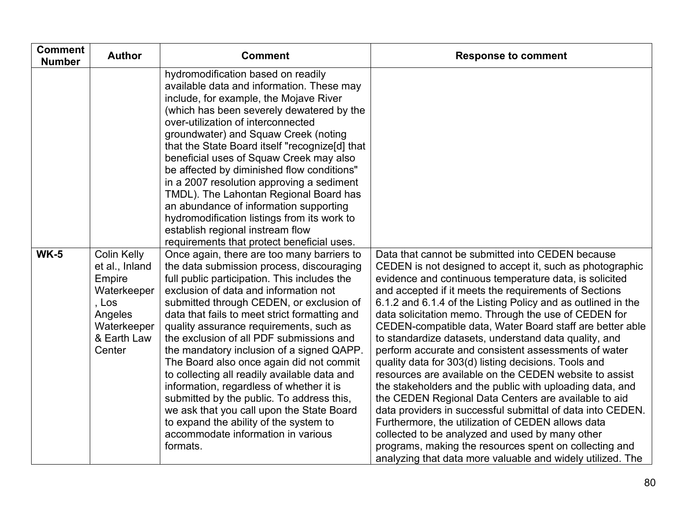| <b>Comment</b><br><b>Number</b> | <b>Author</b>                                                                                                             | <b>Comment</b>                                                                                                                                                                                                                                                                                                                                                                                                                                                                                                                                                                                                                                                                                                                                  | <b>Response to comment</b>                                                                                                                                                                                                                                                                                                                                                                                                                                                                                                                                                                                                                                                                                                                                                                                                                                                                                                                                                                                                                                               |
|---------------------------------|---------------------------------------------------------------------------------------------------------------------------|-------------------------------------------------------------------------------------------------------------------------------------------------------------------------------------------------------------------------------------------------------------------------------------------------------------------------------------------------------------------------------------------------------------------------------------------------------------------------------------------------------------------------------------------------------------------------------------------------------------------------------------------------------------------------------------------------------------------------------------------------|--------------------------------------------------------------------------------------------------------------------------------------------------------------------------------------------------------------------------------------------------------------------------------------------------------------------------------------------------------------------------------------------------------------------------------------------------------------------------------------------------------------------------------------------------------------------------------------------------------------------------------------------------------------------------------------------------------------------------------------------------------------------------------------------------------------------------------------------------------------------------------------------------------------------------------------------------------------------------------------------------------------------------------------------------------------------------|
|                                 |                                                                                                                           | hydromodification based on readily<br>available data and information. These may<br>include, for example, the Mojave River<br>(which has been severely dewatered by the<br>over-utilization of interconnected<br>groundwater) and Squaw Creek (noting<br>that the State Board itself "recognize[d] that<br>beneficial uses of Squaw Creek may also<br>be affected by diminished flow conditions"<br>in a 2007 resolution approving a sediment<br>TMDL). The Lahontan Regional Board has<br>an abundance of information supporting<br>hydromodification listings from its work to<br>establish regional instream flow<br>requirements that protect beneficial uses.                                                                               |                                                                                                                                                                                                                                                                                                                                                                                                                                                                                                                                                                                                                                                                                                                                                                                                                                                                                                                                                                                                                                                                          |
| <b>WK-5</b>                     | <b>Colin Kelly</b><br>et al., Inland<br>Empire<br>Waterkeeper<br>, Los<br>Angeles<br>Waterkeeper<br>& Earth Law<br>Center | Once again, there are too many barriers to<br>the data submission process, discouraging<br>full public participation. This includes the<br>exclusion of data and information not<br>submitted through CEDEN, or exclusion of<br>data that fails to meet strict formatting and<br>quality assurance requirements, such as<br>the exclusion of all PDF submissions and<br>the mandatory inclusion of a signed QAPP.<br>The Board also once again did not commit<br>to collecting all readily available data and<br>information, regardless of whether it is<br>submitted by the public. To address this,<br>we ask that you call upon the State Board<br>to expand the ability of the system to<br>accommodate information in various<br>formats. | Data that cannot be submitted into CEDEN because<br>CEDEN is not designed to accept it, such as photographic<br>evidence and continuous temperature data, is solicited<br>and accepted if it meets the requirements of Sections<br>6.1.2 and 6.1.4 of the Listing Policy and as outlined in the<br>data solicitation memo. Through the use of CEDEN for<br>CEDEN-compatible data, Water Board staff are better able<br>to standardize datasets, understand data quality, and<br>perform accurate and consistent assessments of water<br>quality data for 303(d) listing decisions. Tools and<br>resources are available on the CEDEN website to assist<br>the stakeholders and the public with uploading data, and<br>the CEDEN Regional Data Centers are available to aid<br>data providers in successful submittal of data into CEDEN.<br>Furthermore, the utilization of CEDEN allows data<br>collected to be analyzed and used by many other<br>programs, making the resources spent on collecting and<br>analyzing that data more valuable and widely utilized. The |